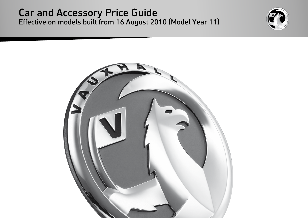### Car and Accessory Price Guide Effective on models built from 16 August 2010 (Model Year 11)



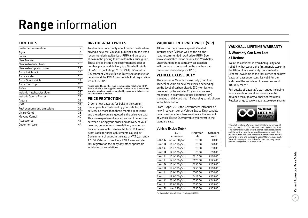## **Range** information

#### **ContentS**

| Customer information       | 2  |
|----------------------------|----|
| Agila                      | 4  |
| Corsa                      | 5  |
| New Meriva                 | 8  |
| New Astra hatchback        | 10 |
| New Astra Sports Tourer    | 11 |
| Astra hatchback            | 14 |
| Astra estate               | 15 |
| Astra Sport Hatch          | 18 |
| Astra TwinTop              | 20 |
| Zafira                     | 22 |
| Insignia hatchback/saloon  | 25 |
| Insignia Sports Tourer     | 27 |
| Antara                     | 31 |
| <b>VXR</b>                 | 32 |
| Fuel economy and emissions | 35 |
| Vivaro Combi               | 38 |
| Movano Combi               | 40 |
| Accessories                | 41 |
| Customer care              | 44 |
|                            |    |

### **On-the-road prices**

To eliminate uncertainty about hidden costs when buying a new car, Vauxhall publishes on-the-road recommended retail prices (RRP) and these are shown in the pricing tables within this price guide. These prices include the recommended cost of number plates and delivery to a Vauxhall retailer of £660.00 (including £98.30 VAT), 12 months' Government Vehicle Excise Duty (see opposite for details) and the DVLA new vehicle first registration fee of  $f55.00*$ 

Please note: The on-the-road recommended retail price (RRP) does not include fuel supplied by the retailer, motor insurance or any other goods or services supplied by agreement between the retailer and the customer.

### **Price protection**

Order a new Vauxhall for build in the current model year (as confirmed by your retailer) for delivery no more than three months in advance and the price you are quoted is the price you pay. This is irrespective of any subsequent price rises between placing your order and delivery of your new car, but you must take delivery as soon as the car is available. General Motors UK Limited is not liable for price adjustments caused by Government changes in the rate of VAT (currently 17.5%), Vehicle Excise Duty, DVLA new vehicle first registration fee or by any other applicable legislation or regulations.

### **Vauxhall Internet Price (VIP)**

All Vauxhall cars have a special Vauxhall internet price (VIP) as well as the on-theroad recommended retail price (RRP). See www.vauxhall.co.uk for details. It is Vauxhall's understanding that company car taxation will continue to be based on the on-the-road recommended retail price (RRP).

### **VEHICLE EXCISE DUTY**

The amount of Vehicle Excise Duty (road fund licence) payable on new cars varies depending on the level of carbon dioxide  $(CO<sub>2</sub>)$  emissions produced by the vehicle.  $CO<sub>2</sub>$  emissions are measured in grammes (g) per kilometre (km) travelled and divided into 13 charging bands shown in the table below.

From 1 April 2010 the Government introduced a new 'first year rate' of Vehicle Excise Duty payable on all new cars. In subsequent years the amount of Vehicle Excise Duty payable will revert to the standard rate.

#### Vehicle Excise Duty\*

|               | CO <sub>2</sub> | First year | Standard |
|---------------|-----------------|------------|----------|
|               | emissions       | rate       | rate     |
| <b>Band A</b> | up to 100g/km   | £0.00      | £0.00    |
| Band B        | 101-110g/km     | £0.00      | £20.00   |
| <b>Band C</b> | 111-120g/km     | £0.00      | £30.00   |
| Band D        | 121-130g/km     | £0.00      | £90.00   |
| Band E        | 131-140g/km     | £110.00    | £110.00  |
| <b>Band F</b> | 141-150g/km     | £125.00    | £125.00  |
| Band G        | 151-165g/km     | £155.00    | £155.00  |
| <b>Band H</b> | 166-175g/km     | £250.00    | £180.00  |
| <b>Band I</b> | 176-185g/km     | £300.00    | £200.00  |
| Band J        | 186-200g/km     | £425.00    | £235.00  |
| <b>Band K</b> | 201-225g/km     | £550.00    | £245.00  |
| <b>Band L</b> | 226-255g/km     | £750.00    | £425.00  |
| Band M        | over 255g/km    | £950.00    | £435.00  |

### **Vauxhall Lifetime Warranty**

### **A Warranty Can Now Last**

#### **a Lifetime**

We're so confident in Vauxhall quality and reliability that we are the first manufacturer in the UK to offer a warranty that can last a Lifetime! Available to the first owner of all new Vauxhall passenger cars, it's valid for the lifetime of the vehicle up to a maximum of 100,000 miles\*.

Full details of Vauxhall's warranties including terms, conditions and exclusions can be obtained through any authorised Vauxhall Retailer or go to www.vauxhall.co.uk/warranty



\*Vauxhall Lifetime Warranty covers lifetime ownership of first car owner, 100,000 mile limit, annual check required. The warranty excludes wear & tear and serviceable items and the vehicle must be serviced in accordance with the manufacturer's servicing schedule to continue the lifetime warranty. Terms and conditions apply. Offer available to all Vauxhall passenger cars, (this offer does not apply to car derived vans) from 1st August 2010.

\* = Correct at time of issue – 16 August 2010.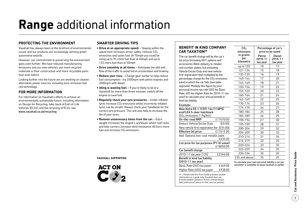## **Range** additional information

### **Protecting the environment**

Vauxhall has always been at the forefront of environmental issues and our products are increasingly winning green automotive awards.

However, our commitment to preserving the environment goes even further. We have reduced manufacturing emissions and our new vehicles use more recycled materials in their construction and more recyclable parts than ever before.

Looking further into the future we are working on cleaner, alternative power sources, including zero-emission fuel cell technology.

### **For more information**

For information on Vauxhall's efforts to achieve an environmentally sustainable future, including information on Design for Recycling, take-back of End-of-Life Vehicles (ELVs), and the recycling of ELVs, see www.vauxhall.co.uk/recycling

### **Smarter driving tips**

- **Drive at an appropriate speed:** Staying within the speed limit increases driver safety, reduces  $CO<sub>2</sub>$ emissions and saves fuel. At 70mph you could be using up to 9% more fuel than at 60mph and up to 15% more fuel than at 50mph
- **Drive smoothly at all times:** Anticipate the ebb and flow of the traffic to avoid harsh acceleration and braking
- **Reduce your revs:** Change gear earlier to help reduce fuel consumption – try 2500rpm with petrol engines and 2000rpm with diesel
- **Idling is wasting fuel:** If you're likely to be at a standstill for more than three minutes, switch off the engine to save fuel
- **Regularly check your tyre pressures:** Under inflated tyres increase  $CO<sub>2</sub>$  emissions whilst incorrectly inflated tyres can be unsafe. Always check your handbook for the correct tyre pressure. This will also help to increase the life of your tyres
- **Remove unnecessary items from the car:** Extra weight increases the engine's workload, whilst roof racks and bike carriers increase wind resistance. All burn more fuel and increase  $CO<sub>2</sub>$  emissions

**Vauxhall supporting**



### **Benefit in kind company car taxation††**

The car benefit charge will be the car's list price (including VAT, options and accessories fitted, delivery to retailer and number plates, but excluding Vehicle Excise Duty and new vehicle first registration fee) multiplied by the percentage charge for the  $CO<sub>2</sub>$  emiss band in which the car falls (see table opposite). Multiply this figure by your personal income tax rate (20% for Bast Rate, 40% for Higher Rate for 2010-1 year) to calculate your annual benefit kind tax liability.

Benefit in kind tax liability (2010-11 tax year)

| and number plates, but excluding                                 | up to 120     | 10 | 13 |
|------------------------------------------------------------------|---------------|----|----|
| Vehicle Excise Duty and new vehicle                              | 121-134       | 15 | 18 |
| first registration fee) multiplied by the                        | 135-139       | 16 | 19 |
| percentage charge for the CO <sub>2</sub> emissions              | 140-144       | 17 | 20 |
| band in which the car falls (see table                           | 145-149       | 18 | 21 |
| opposite). Multiply this figure by your                          | 150-154       | 19 | 22 |
| personal income tax rate (20% for Basic                          | 155-159       | 20 | 23 |
| Rate, 40% for Higher Rate for 2010-11 tax                        | 160-164       | 21 | 24 |
| year) to calculate your annual benefit in<br>kind tax liability. | 165-169       | 22 | 25 |
| Example:                                                         | 170-174       | 23 | 26 |
| New Astra ES 1.7CDTi 16v (110PS)                                 | 175-179       | 24 | 27 |
| ecoFLEX 5-door hatchback                                         | 180-184       | 25 | 28 |
| (CO <sub>2</sub> emissions 119g/km)                              | 185-189       | 26 | 29 |
| On-the-road RRP<br>£17670.00                                     | 190-194       | 27 | 30 |
| Deduct: Vehicle Excise Duty<br>(£0.00)                           | 195-199       | 28 | 31 |
| New vehicle first registration fee (£55.00)                      | 200-204       | 29 | 32 |
| <b>Effective list price</b><br>£17615.00                         | 205-209       | 30 | 33 |
| Add: Optional two-coat metallic paint                            | 210-214       | 31 | 34 |
| £435.00                                                          | 215-219       | 32 | 35 |
| List price for tax purposes (P11D value)<br>£18050.00            | 220-224       | 33 | 35 |
| Car benefit charge                                               | 225-229       | 34 | 35 |
| 2010-11 tax year (13%)<br>£2346.00                               | 230-234       | 35 | 35 |
| Benefit in kind tax liability                                    | 235 and above | 35 | 35 |
|                                                                  |               |    |    |

 $CO<sub>2</sub>$ emissions in grams per kilometre

Percentage of car's price to be taxed

> Diesel 2010-11 tax year

Petrol 2010-11 tax year

To calculate your own personal liability a car tax calculator is available at www.vauxhall.co.uk/bik

†† = Please note this Price Guide provides taxation information as a guide only. Vauxhall does not provide taxation guidance. Drivers should always take professional advice on their own tax position.

Basic Rate (20%) tax payer £469.00 Higher Rate (40%) tax payer £938.00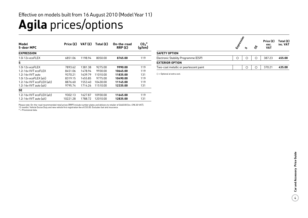### **Agila** prices/options Effective on models built from 16 August 2010 (Model Year 11)

| Model<br>5-door MPC         | Price $(E)$ | VAT (£) | Total $(E)$<br>On-the-road<br>RRP(E) |          | $CO2*$<br>(g/km) |
|-----------------------------|-------------|---------|--------------------------------------|----------|------------------|
| <b>EXPRESSION</b>           |             |         |                                      |          |                  |
| 1.0i 12y ecoFLEX            | 6851.06     | 1198.94 | 8050.00                              | 8765.00  | 119              |
| s                           |             |         |                                      |          |                  |
| 1.0i 12y ecoFLEX            | 7893.62     | 1381.38 | 9275.00                              | 9990.00  | 119              |
| 1.2i 16y VVT ecoFLEX        | 8451.06     | 1478.94 | 9930.00                              | 10645.00 | 119              |
| 1.2i 16y VVT auto           | 9370.21     | 1639.79 | 11010.00                             | 11835.00 | 131              |
| 1.0i $12v$ ecoFLEX $(a/c)$  | 8319.15     | 1455.85 | 9775.00                              | 10490.00 | 119              |
| 1.2i 16y VVT ecoFLEX (a/c)  | 8876.60     | 1553.40 | 10430.00                             | 11145.00 | 119              |
| 1.2i $16v$ VVT auto $(a/c)$ | 9795.74     | 1714.26 | 11510.00                             | 12335.00 | 131              |
| <b>SE</b>                   |             |         |                                      |          |                  |
| 1.2i 16y VVT ecoFLEX (a/c)  | 9302.13     | 1627.87 | 10930.00                             | 11645.00 | 119              |
| 1.2i $16v$ VVT auto $(a/c)$ | 10221.28    | 1788.72 | 12010.00                             | 12835.00 | 131              |

Please note: On-the-road recommended retail prices (RRP) include number plates and delivery to retailer of £660.00 (inc. £98.30 VAT), 12 months' Vehicle Excise Duty and new vehicle first registration fee of £55.00. Excludes fuel and insurance.

\* = Provisional data.

|                                        | Expressive |   |   | Price (£)<br>exc. | Total $(E)$<br>inc. VAT |
|----------------------------------------|------------|---|---|-------------------|-------------------------|
|                                        |            | ς | ぬ | <b>VAT</b>        |                         |
| <b>SAFETY OPTION</b>                   |            |   |   |                   |                         |
| Electronic Stability Programme (ESP)   | ∩          | ∩ | ∩ | 387.23            | 455.00                  |
| <b>EXTERIOR OPTION</b>                 |            |   |   |                   |                         |
| Two-coat metallic or pearlescent paint |            | ∩ | ∩ | 370.21            | 435.00                  |

 $O =$  Optional at extra cost.

 $\frac{1}{4}$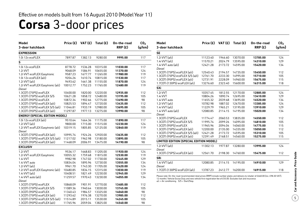## **Corsa** 3-door prices

| Model<br>3-door hatchback                 |          |         | Price $(E)$ VAT $(E)$ Total $(E)$ | On-the-road<br>RRP(E) | CO <sub>2</sub><br>(g/km) | <b>Model</b><br>3-door hatchback                                                                                                                                                                                                                       | Price $(E)$ |         | VAT $(E)$ Total $(E)$ | On-the-road<br>RRP(E) | CO <sub>2</sub><br>(g/km) |
|-------------------------------------------|----------|---------|-----------------------------------|-----------------------|---------------------------|--------------------------------------------------------------------------------------------------------------------------------------------------------------------------------------------------------------------------------------------------------|-------------|---------|-----------------------|-----------------------|---------------------------|
| <b>EXPRESSION</b>                         |          |         |                                   |                       |                           | <b>SE</b>                                                                                                                                                                                                                                              |             |         |                       |                       |                           |
| 1.0i 12v ecoFLEX                          | 7897.87  | 1382.13 | 9280.00                           | 9995.00               | 117                       | 1.2i VVT (a/c)                                                                                                                                                                                                                                         | 11123.40    | 1946.60 | 13070.00              | 13785.00              | 124                       |
| S                                         |          |         |                                   |                       |                           | 1.4i VVT (a/c)                                                                                                                                                                                                                                         | 11570.21    | 2024.79 | 13595.00              | 14310.00              | 129                       |
| 1.0i 12v ecoFLEX                          | 8778.72  | 1536.28 | 10315.00                          | 11030.00              | 117                       | 1.4i VVT auto $(a/c)$                                                                                                                                                                                                                                  | 12421.28    |         | 2173.72 14595.00      | 15420.00              | 134                       |
| 1.2i VVT                                  | 9068.09  | 1586.91 | 10655.00                          | 11370.00              | 124                       | Diesel                                                                                                                                                                                                                                                 |             |         |                       |                       |                           |
| 1.2i VVT ecoFLEX Easytronic               | 9587.23  |         | 1677.77 11265.00                  | 11980.00              | 119                       | 1.3CDTi (75PS) ecoFLEX (a/c)                                                                                                                                                                                                                           | 12540.43    |         | 2194.57 14735.00      | 15450.00              | 112                       |
| 1.0i 12v ecoFLEX (a/c)                    | 9204.26  | 1610.74 | 10815.00                          | 11530.00              | 117                       | 1.3CDTi (75PS) ecoFLEX S/S (a/c)                                                                                                                                                                                                                       | 12761.70    | 2233.30 | 14995.00              | 15710.00              | 105                       |
| 1.2i VVT (a/c)                            | 9493.62  | 1661.38 | 11155.00                          | 11870.00              | 124                       | 1.3CDTi (95PS) ecoFLEX (a/c)                                                                                                                                                                                                                           | 12731.91    | 2228.09 | 14960.00              | 15675.00              | 115                       |
| 1.2i VVT ecoFLEX Easytronic (a/c)         | 10012.77 |         | 1752.23 11765.00                  | 12480.00              | 119                       | 1.7CDTi (130PS) ecoFLEX (a/c)                                                                                                                                                                                                                          | 13276.60    | 2323.40 | 15600.00              | 16315.00              | 118                       |
| Diesel                                    |          |         |                                   |                       |                           | SXi                                                                                                                                                                                                                                                    |             |         |                       |                       |                           |
| 1.3CDTi (75PS) ecoFLEX                    | 10400.00 | 1820.00 | 12220.00                          | 12935.00              | 112                       | 1.2i VVT                                                                                                                                                                                                                                               | 10357.45    |         | 1812.55 12170.00      | 12885.00              | 124                       |
| 1.3CDTi (75PS) ecoFLEX S/S                | 10621.28 |         | 1858.72 12480.00                  | 13195.00              | 105                       | 1.4i VVT                                                                                                                                                                                                                                               | 10804.26    |         | 1890.74 12695.00      | 13410.00              | 129                       |
| 1.3CDTi (95PS) ecoFLEX                    | 10872.34 |         | 1902.66 12775.00                  | 13490.00              | 98                        | 1.4i VVT auto                                                                                                                                                                                                                                          | 11655.32    |         | 2039.68 13695.00      | 14520.00              | 134                       |
| 1.3CDTi (75PS) ecoFLEX (a/c)              | 10825.53 | 1894.47 | 12720.00                          | 13435.00              | 112                       | 1.2i VVT (a/c)                                                                                                                                                                                                                                         | 10782.98    |         | 1887.02 12670.00      | 13385.00              | 124                       |
| 1.3CDTi (75PS) ecoFLEX S/S (a/c) 11046.81 |          |         | 1933.19 12980.00                  | 13695.00              | 105                       | 1.4i VVT (a/c)                                                                                                                                                                                                                                         | 11229.79    |         | 1965.21 13195.00      | 13910.00              | 129                       |
| 1.3CDTi (95PS) ecoFLEX (a/c)              | 11297.87 |         | 1977.13 13275.00                  | 13990.00              | 98                        | 1.4i VVT auto $(a/c)$                                                                                                                                                                                                                                  | 12080.85    |         | 2114.15 14195.00      | 15020.00              | 134                       |
| <b>ENERGY (SPECIAL EDITION MODEL)</b>     |          |         |                                   |                       |                           | Diesel                                                                                                                                                                                                                                                 |             |         |                       |                       |                           |
| 1.0i $12v$ ecoFLEX (a/c)                  | 9510.64  |         | 1664.36 11175.00                  | 11890.00              | 117                       | 1.3CDTi (75PS) ecoFLEX                                                                                                                                                                                                                                 | 11774.47    |         | 2060.53 13835.00      | 14550.00              | 112                       |
| $1.2$ i VVT $(a/c)$                       | 9800.00  | 1715.00 | 11515.00                          | 12230.00              | 124                       | 1.3CDTi (75PS) ecoFLEX S/S                                                                                                                                                                                                                             | 11995.74    |         | 2099.26 14095.00      | 14810.00              | 105                       |
| 1.2i VVT ecoFLEX Easytronic (a/c)         | 10319.15 | 1805.85 | 12125.00                          | 12840.00              | 119                       | 1.3CDTi (95PS) ecoFLEX                                                                                                                                                                                                                                 | 11965.96    |         | 2094.04 14060.00      | 14775.00              | 115                       |
| Diesel                                    |          |         |                                   |                       |                           | 1.3CDTi (75PS) ecoFLEX (a/c)                                                                                                                                                                                                                           | 12200.00    |         | 2135.00 14335.00      | 15050.00              | 112                       |
| 1.3CDTi (75PS) ecoFLEX (a/c)              | 10995.74 | 1924.26 | 12920.00                          | 13635.00              | 112                       | $1.3$ CDTi (75PS) ecoFLEX S/S (a/c)                                                                                                                                                                                                                    | 12421.28    |         | 2173.72 14595.00      | 15310.00              | 105                       |
| 1.3CDTi (75PS) ecoFLEX S/S (a/c)          | 11217.02 | 1962.98 | 13180.00                          | 13895.00              | 105                       | 1.3CDTi (95PS) ecoFLEX (a/c)                                                                                                                                                                                                                           | 12391.49    | 2168.51 | 14560.00              | 15275.00              | 115                       |
| 1.3CDTi (95PS) ecoFLEX (a/c)              | 11468.09 | 2006.91 | 13475.00                          | 14190.00              | 98                        | LIMITED EDITION (SPECIAL EDITION MODEL)                                                                                                                                                                                                                |             |         |                       |                       |                           |
| <b>EXCLUSIV</b>                           |          |         |                                   |                       |                           | 1.2i VVT (a/c)                                                                                                                                                                                                                                         | 11302.13    | 1977.87 | 13280.00              | 13995.00              | 124                       |
| 1.2i VVT                                  | 9536.17  | 1668.83 | 11205.00                          | 11920.00              | 124                       | Diesel                                                                                                                                                                                                                                                 |             |         |                       |                       |                           |
| 1.2i VVT ecoFLEX Easytronic               | 10055.32 |         | 1759.68 11815.00                  | 12530.00              | 119                       | 1.3CDTi (75PS) ecoFLEX (a/c)                                                                                                                                                                                                                           | 12561.70    |         | 2198.30 14760.00      | 15475.00              | 112                       |
| 1.4i VVT                                  | 9982.98  |         | 1747.02 11730.00                  | 12445.00              | 129                       | SRi                                                                                                                                                                                                                                                    |             |         |                       |                       |                           |
| 1.4i VVT auto                             | 10834.04 | 1895.96 | 12730.00                          | 13555.00              | 134                       | 1.4i VVT (a/c)                                                                                                                                                                                                                                         | 12080.85    |         | 2114.15 14195.00      | 14910.00              | 129                       |
| 1.2i VVT (a/c)                            | 9961.70  |         | 1743.30 11705.00                  | 12420.00              | 124                       | Diesel                                                                                                                                                                                                                                                 |             |         |                       |                       |                           |
| 1.2i VVT ecoFLEX Easytronic (a/c)         | 10480.85 |         | 1834.15 12315.00                  | 13030.00              | 119                       | 1.7CDTi (130PS) ecoFLEX (a/c)                                                                                                                                                                                                                          | 13787.23    |         | 2412.77 16200.00      | 16915.00              | 118                       |
| 1.4i VVT (a/c)                            | 10408.51 | 1821.49 | 12230.00                          | 12945.00              | 129                       |                                                                                                                                                                                                                                                        |             |         |                       |                       |                           |
| 1.4i VVT auto $(a/c)$                     | 11259.57 |         | 1970.43 13230.00                  | 14055.00              | 134                       | Please note: On-the-road recommended retail prices (RRP) include number plates and delivery to retailer of £660.00 (inc. £98.30 VAT),<br>12 months' Vehicle Excise Duty and new vehicle first registration fee of £55.00. Excludes fuel and insurance. |             |         |                       |                       |                           |
| Diesel                                    |          |         |                                   |                       |                           | $a/c = Air$ conditioning. $S/S = Start/Stop$ .                                                                                                                                                                                                         |             |         |                       |                       |                           |
| 1.3CDTi (75PS) ecoFLEX                    | 10868.09 | 1901.91 | 12770.00                          | 13485.00              | 112                       |                                                                                                                                                                                                                                                        |             |         |                       |                       |                           |
| 1.3CDTi (75PS) ecoFLEX S/S                | 11089.36 | 1940.64 | 13030.00                          | 13745.00              | 105                       |                                                                                                                                                                                                                                                        |             |         |                       |                       |                           |
| 1.3CDTi (95PS) ecoFLEX                    | 11340.43 |         | 1984.57 13325.00                  | 14040.00              | 98                        |                                                                                                                                                                                                                                                        |             |         |                       |                       |                           |
| 1.3CDTi (75PS) ecoFLEX (a/c)              | 11293.62 | 1976.38 | 13270.00                          | 13985.00              | 112                       |                                                                                                                                                                                                                                                        |             |         |                       |                       |                           |
| 1.3CDTi (75PS) ecoFLEX S/S (a/c)          | 11514.89 | 2015.11 | 13530.00                          | 14245.00              | 105                       |                                                                                                                                                                                                                                                        |             |         |                       |                       |                           |
| 1.3CDTi (95PS) ecoFLEX (a/c)              | 11765.96 | 2059.04 | 13825.00                          | 14540.00              | 98                        |                                                                                                                                                                                                                                                        |             |         |                       |                       |                           |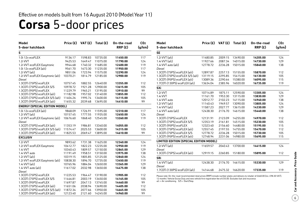## **Corsa** 5-door prices

| <b>Model</b><br>5-door hatchback      |          |         | Price $(E)$ VAT $(E)$ Total $(E)$ | On-the-road<br>RRP(E) | CO <sub>2</sub><br>(g/km) | <b>Model</b><br>5-door hatchback                                                                                                      | Price $(E)$ VAT $(E)$ |         | Total $(E)$      | On-the-road<br>RRP(E) | CO <sub>2</sub><br>(g/km) |
|---------------------------------------|----------|---------|-----------------------------------|-----------------------|---------------------------|---------------------------------------------------------------------------------------------------------------------------------------|-----------------------|---------|------------------|-----------------------|---------------------------|
| s                                     |          |         |                                   |                       |                           | <b>SE</b>                                                                                                                             |                       |         |                  |                       |                           |
| 1.0i 12v ecoFLEX                      | 9136.17  | 1598.83 | 10735.00                          | 11450.00              | 117                       | 1.2i VVT (a/c)                                                                                                                        | 11480.85              |         | 2009.15 13490.00 | 14205.00              | 124                       |
| 1.2i VVT                              | 9425.53  |         | 1649.47 11075.00                  | 11790.00              | 124                       | 1.4i VVT (a/c)                                                                                                                        | 11927.66              | 2087.34 | 14015.00         | 14730.00              | 129                       |
| 1.2i VVT ecoFLEX Easytronic           | 9944.68  |         | 1740.32 11685.00                  | 12400.00              | 119                       | 1.4i VVT auto $(a/c)$                                                                                                                 | 12778.72              | 2236.28 | 15015.00         | 15840.00              | 138                       |
| 1.0i 12 $v$ ecoFLEX (a/c)             | 9561.70  |         | 1673.30 11235.00                  | 11950.00              | 117                       | Diesel                                                                                                                                |                       |         |                  |                       |                           |
| 1.2i VVT (a/c)                        | 9851.06  |         | 1723.94 11575.00                  | 12290.00              | 124                       | 1.3CDTi (75PS) ecoFLEX (a/c)                                                                                                          | 12897.87              |         | 2257.13 15155.00 | 15870.00              | 112                       |
| 1.2i VVT ecoFLEX Easytronic (a/c)     | 10370.21 |         | 1814.79 12185.00                  | 12900.00              | 119                       | 1.3CDTi (75PS) ecoFLEX S/S (a/c)                                                                                                      | 13119.15              |         | 2295.85 15415.00 | 16130.00              | 105                       |
| <b>Diesel</b>                         |          |         |                                   |                       |                           | 1.3CDTi (95PS) ecoFLEX (a/c)                                                                                                          | 13089.36              | 2290.64 | 15380.00         | 16095.00              | 115                       |
| 1.3CDTi (75PS) ecoFLEX                | 10757.45 | 1882.55 | 12640.00                          | 13355.00              | 112                       | 1.7CDTi (130PS) ecoFLEX (a/c)                                                                                                         | 13634.04              |         | 2385.96 16020.00 | 16735.00              | 119                       |
| 1.3CDTi (75PS) ecoFLEX S/S            | 10978.72 |         | 1921.28 12900.00                  | 13615.00              | 105                       | <b>SXi</b>                                                                                                                            |                       |         |                  |                       |                           |
| 1.3CDTi (95PS) ecoFLEX                | 11229.79 | 1965.21 | 13195.00                          | 13910.00              | 99                        |                                                                                                                                       |                       |         |                  |                       |                           |
| 1.3CDTi (75PS) ecoFLEX (a/c)          | 11182.98 |         | 1957.02 13140.00                  | 13855.00              | 112                       | 1.2i VVT                                                                                                                              | 10714.89              | 1875.11 | 12590.00         | 13305.00              | 124                       |
| 1.3CDTi (75PS) ecoFLEX S/S (a/c)      | 11404.26 | 1995.74 | 13400.00                          | 14115.00              | 105                       | 1.4i VVT                                                                                                                              | 11161.70              |         | 1953.30 13115.00 | 13830.00              | 129                       |
| 1.3CDTi (95PS) ecoFLEX (a/c)          | 11655.32 |         | 2039.68 13695.00                  | 14410.00              | 99                        | 1.4i VVT auto                                                                                                                         | 12012.77              |         | 2102.23 14115.00 | 14940.00              | 138                       |
| <b>ENERGY (SPECIAL EDITION MODEL)</b> |          |         |                                   |                       |                           | 1.2i VVT (a/c)                                                                                                                        | 11140.43              |         | 1949.57 13090.00 | 13805.00              | 124                       |
|                                       |          |         |                                   |                       |                           | 1.4i VVT (a/c)                                                                                                                        | 11587.23              |         | 2027.77 13615.00 | 14330.00              | 129                       |
| 1.0i 12v ecoFLEX (a/c)                | 9868.09  | 1726.91 | 11595.00                          | 12310.00              | 117                       | 1.4i VVT auto (a/c)                                                                                                                   | 12438.30              | 2176.70 | 14615.00         | 15440.00              | 138                       |
| 1.2i VVT (a/c)                        | 10157.45 | 1777.55 | 11935.00                          | 12650.00              | 124                       | Diesel                                                                                                                                |                       |         |                  |                       |                           |
| 1.2i VVT ecoFLEX Easytronic (a/c)     | 10676.60 |         | 1868.40 12545.00                  | 13260.00              | 119                       | 1.3CDTi (75PS) ecoFLEX                                                                                                                | 12131.91              |         | 2123.09 14255.00 | 14970.00              | 112                       |
| Diesel                                |          |         |                                   |                       |                           | 1.3CDTi (75PS) ecoFLEX S/S                                                                                                            | 12353.19              |         | 2161.81 14515.00 | 15230.00              | 105                       |
| 1.3CDTi (75PS) ecoFLEX (a/c)          | 11353.19 | 1986.81 | 13340.00                          | 14055.00              | 112                       | 1.3CDTi (95PS) ecoFLEX                                                                                                                | 12323.40              |         | 2156.60 14480.00 | 15195.00              | 115                       |
| 1.3CDTi (75PS) ecoFLEX S/S (a/c)      | 11574.47 | 2025.53 | 13600.00                          | 14315.00              | 105                       | 1.3CDTi (75PS) ecoFLEX (a/c)                                                                                                          | 12557.45              |         | 2197.55 14755.00 | 15470.00              | 112                       |
| 1.3CDTi (95PS) ecoFLEX (a/c)          | 11825.53 |         | 2069.47 13895.00                  | 14610.00              | 99                        | 1.3CDTi (75PS) ecoFLEX S/S                                                                                                            | 12778.72              |         | 2236.28 15015.00 | 15730.00              | 105                       |
| <b>EXCLUSIV</b>                       |          |         |                                   |                       |                           | 1.3CDTi (95PS) ecoFLEX (a/c)                                                                                                          | 12748.94              |         | 2231.06 14980.00 | 15695.00              | 115                       |
| 1.2i VVT                              | 9893.62  |         | 1731.38 11625.00                  | 12340.00              | 124                       | LIMITED EDITION (SPECIAL EDITION MODEL)                                                                                               |                       |         |                  |                       |                           |
| 1.2i VVT ecoFLEX Easytronic           | 10412.77 |         | 1822.23 12235.00                  | 12950.00              | 119                       | 1.2i VVT (a/c)                                                                                                                        | 11659.57              |         | 2040.43 13700.00 | 14415.00              | 124                       |
| 1.4i VVT                              | 10340.43 | 1809.57 | 12150.00                          | 12865.00              | 129                       | <b>Diesel</b>                                                                                                                         |                       |         |                  |                       |                           |
| 1.4i VVT auto                         | 11191.49 |         | 1958.51 13150.00                  | 13975.00              | 138                       | 1.3CDTi (75PS) ecoFLEX (a/c)                                                                                                          | 12919.15              |         | 2260.85 15180.00 | 15895.00              | 112                       |
| 1.2i VVT (a/c)                        | 10319.15 |         | 1805.85 12125.00                  | 12840.00              | 124                       | SRi                                                                                                                                   |                       |         |                  |                       |                           |
| 1.2i VVT ecoFLEX Easytronic (a/c)     | 10838.30 | 1896.70 | 12735.00                          | 13450.00              | 119                       |                                                                                                                                       |                       |         |                  |                       |                           |
| 1.4i VVT (a/c)                        | 10765.96 |         | 1884.04 12650.00                  | 13365.00              | 129                       | 1.4i VVT (a/c)                                                                                                                        | 12438.30              |         | 2176.70 14615.00 | 15330.00              | 129                       |
| 1.4i VVT auto $(a/c)$                 | 11617.02 |         | 2032.98 13650.00                  | 14475.00              | 138                       | Diesel                                                                                                                                |                       |         |                  |                       |                           |
| Diesel                                |          |         |                                   |                       |                           | 1.7CDTi (130PS) ecoFLEX (a/c)                                                                                                         | 14144.68              |         | 2475.32 16620.00 | 17335.00              | 119                       |
| 1.3CDTi (75PS) ecoFLEX                | 11225.53 | 1964.47 | 13190.00                          | 13905.00              | 112                       | Please note: On-the-road recommended retail prices (RRP) include number plates and delivery to retailer of £660.00 (inc. £98.30 VAT), |                       |         |                  |                       |                           |
| 1.3CDTi (75PS) ecoFLEX S/S            | 11446.81 | 2003.19 | 13450.00                          | 14165.00              | 105                       | 12 months' Vehicle Excise Duty and new vehicle first registration fee of £55.00. Excludes fuel and insurance.                         |                       |         |                  |                       |                           |
| 1.3CDTi (95PS) ecoFLEX                | 11697.87 |         | 2047.13 13745.00                  | 14460.00              | 99                        | $a/c = Air$ conditioning. $S/S = Start/Stop$ .                                                                                        |                       |         |                  |                       |                           |
| 1.3CDTi (75PS) ecoFLEX (a/c)          | 11651.06 |         | 2038.94 13690.00                  | 14405.00              | 112                       |                                                                                                                                       |                       |         |                  |                       |                           |
| 1.3CDTi (75PS) ecoFLEX S/S (a/c)      | 11872.34 | 2077.66 | 13950.00                          | 14665.00              | 105                       |                                                                                                                                       |                       |         |                  |                       |                           |
| 1.3CDTi (95PS) ecoFLEX (a/c)          | 12123.40 |         | 2121.60 14245.00                  | 14960.00              | 99                        |                                                                                                                                       |                       |         |                  |                       |                           |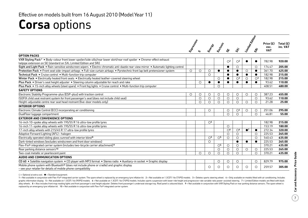## **Corsa** options

|                                                                                                                                                             | Expressively |         | Energy               | Erclassi             | ú.                      | ぶ                                | Limited Edition        | $\dot{\mathcal{S}}$     | Price $(E)$<br>exc.<br><b>VAT</b> | Total $(E)$<br>inc. VAT |
|-------------------------------------------------------------------------------------------------------------------------------------------------------------|--------------|---------|----------------------|----------------------|-------------------------|----------------------------------|------------------------|-------------------------|-----------------------------------|-------------------------|
| <b>OPTION PACKS</b>                                                                                                                                         |              |         |                      |                      |                         |                                  |                        |                         |                                   |                         |
| VXR Styling Pack <sup>1</sup> . Body-colour front lower spoiler/side sills/rear lower skirt/rear roof spoiler . Chrome-effect exhaust                       |              |         |                      |                      |                         |                                  |                        |                         |                                   |                         |
| tailpipe extension on SE (standard on SXi, Limited Edition and SRi)                                                                                         |              |         |                      |                      | O <sup>2</sup>          | O <sup>2</sup>                   |                        |                         | 782.98                            | 920.00                  |
| Sight and Light Pack • Rain-sensitive windscreen wipers • Electro-chromatic anti-dazzle rear-view mirror • Automatic lighting control                       |              |         |                      |                      |                         | $\circ$                          |                        | $\circ$                 | 174.47                            | 205.00                  |
| Protection Pack • Front seat side-impact airbags • Full-size curtain airbags • Pyrotechnic front lap belt pretensioner system                               | $\circ$      | $\circ$ | $\circ$              | $\bullet$            |                         | $\bullet$                        | $\circ$                | $\bullet$               | 361.70                            | 425.00                  |
| Technical Pack . Cruise control . Multi-function trip computer                                                                                              |              |         | $\bigcirc$           |                      |                         | $\bullet$                        | $\bullet$              | $\bullet$               | 182.98                            | 215.00                  |
| Winter Pack . Electrically heated front seats . Electrically heated leather-covered steering wheel                                                          |              |         |                      | $\circ$              |                         | $\bigcirc$ <sup>3</sup>          | $\circ$                | $\bigcirc$ <sup>3</sup> | 182.98                            | 215.00                  |
| Plus Pack . Driver's seat height adjuster . Steering column adjustable for reach and rake                                                                   |              | O       | $\bullet$            | $\bullet$            |                         | $\bullet$                        | $\bullet$              | $\bullet$               | 93.62                             | 110.00                  |
| Plus Pack • 15-inch alloy wheels (steel spare) • Front fog lights • Cruise control • Multi-function trip computer                                           |              |         |                      | $\bigcirc$           |                         |                                  |                        |                         | 408.51                            | 480.00                  |
| <b>SAFETY OPTIONS</b>                                                                                                                                       |              |         |                      |                      |                         |                                  |                        |                         |                                   |                         |
| Electronic Stability Programme-plus (ESP-plus) with traction control                                                                                        | $\circ$      | $\circ$ | O                    | $\circ$              | $\circ$                 | $\circ$                          | $\circ$                | $\circ$                 | 387.23                            | 455.00                  |
| ISOFIX child seat restraint system for front passenger's seat (does not include child seat)                                                                 |              | $\circ$ | $\circ$              | $\circ$              | $\circ$                 | $\circ$                          |                        | $\circ$                 | 93.62                             | 110.00                  |
| Height-adjustable centre rear seat head restraint (five-door models only)                                                                                   |              | $\circ$ | $\circ$              | $\bigcirc$           | $\circ$                 | $\circ$                          | $\circ$                | $\circ$                 | 21.28                             | 25.00                   |
| <b>INTERIOR OPTIONS</b>                                                                                                                                     |              |         |                      |                      |                         |                                  |                        |                         |                                   |                         |
| Electronic Climate Control (ECC) incorporating air conditioning                                                                                             |              |         | O                    |                      | O                       | $\circlearrowright$ <sup>4</sup> | $\circ$                | $\circ$                 | 251.06                            | 295.00                  |
| DualFloor luggage compartment                                                                                                                               |              |         |                      |                      | $\circ$                 | $\circ$                          |                        | $\circ$                 | 46.81                             | 55.00                   |
| <b>EXTERIOR AND CONVENIENCE OPTIONS</b>                                                                                                                     |              |         |                      |                      |                         |                                  |                        |                         |                                   |                         |
| 16-inch 10-spoke alloy wheels with 195/55 R 16 ultra-low profile tyres                                                                                      |              |         | $\circ$ <sup>5</sup> |                      |                         |                                  |                        |                         | 182.98                            | 215.00                  |
| 16-inch 11-spoke alloy wheels with 195/55 R 16 ultra-low profile tyres                                                                                      |              |         |                      |                      | $\circ$                 |                                  |                        |                         | 153.19                            | 180.00                  |
| 17-inch alloy wheels with 215/45 R 17 ultra-low profile tyres                                                                                               |              |         |                      |                      | $\bigcirc$ <sup>6</sup> | $\bigcirc$ <sup>6</sup>          | $\bullet$ <sup>7</sup> | $\bullet$               | 272.34                            | 320.00                  |
| Adaptive Forward Lighting (AFL) - halogen                                                                                                                   |              |         |                      |                      | $\circ$                 | $\circ$                          |                        | $\circ$                 | 225.53                            | 265.00                  |
| Electrically operated sliding glass sunroof with interior blind <sup>8</sup>                                                                                |              |         | O <sub>5</sub>       | $\circ$ <sup>5</sup> | $\circ$                 | $\circ$                          |                        | $\circ$                 | 540.43                            | 635.00                  |
| Dark-tinted windows (excludes windscreen and front door windows)                                                                                            |              |         | $\circ$              |                      |                         | $\bullet$                        | $\bullet$              | $\bullet$               | 225.53                            | 265.00                  |
| Flex-Fix <sup>®</sup> integrated carrier system (includes two-bicycle carrier attachment) <sup>9</sup>                                                      |              |         |                      | $\circ$ <sup>5</sup> | $\circ$                 | $\circ$                          |                        |                         | 370.21                            | 435.00                  |
| Rear parking distance sensors <sup>10</sup>                                                                                                                 |              |         |                      | $\circ$              | $\circ$                 | $\circ$                          | $\circ$                | $\circ$                 | 225.53                            | 265.00                  |
| Two-coat metallic or pearlescent paint                                                                                                                      |              | O       | $\circ$              | $\bigcirc$           | $\circ$                 | $\bigcirc$                       |                        | $\circ$                 | 370.21                            | 435.00                  |
| AUDIO AND COMMUNICATION OPTIONS                                                                                                                             |              |         |                      |                      |                         |                                  |                        |                         |                                   |                         |
| CD 60 • Satellite navigation system • CD player with MP3 format • Stereo radio • Auxiliary-in socket • Graphic display                                      |              |         |                      | O                    | O                       | $\circ$                          |                        | $\circ$                 | 829.79                            | 975.00                  |
| Mobile phone system with Bluetooth® (does not include phone or cradle) and graphic display<br>- see your retailer for details of mobile phone compatibility |              |         | $\circ$              | $\bigcirc$           | $\circ$                 | $\circ$                          | $\circ$                | $\bigcirc$              | 259.57                            | 305.00                  |
|                                                                                                                                                             |              |         |                      |                      |                         |                                  |                        |                         |                                   |                         |

 $\bigcirc$  = Optional at extra cost.  $\bigcirc$  = Standard equipment.

1 = Not available in conjunction with Flex-Fix® integrated carrier system. The spare wheel is replaced by an emergency tyre inflation kit. 2 = Not available on 1.3CDTi 16v (75PS) models. 3 = Deletes sports steering wheel. graphic information display. 5 = Not available on 1.3CDTi 16v (95PS) models. 6 = Not available on 1.3CDTi 16v (75PS) models. Includes sports suspension with lower ride height and progressive-rate variable ratio power-assis alloy wheels. 8 = Also includes front map reading lights and front passenger's seat height adjuster. Deletes front passenger's underseat storage tray. Roof panel is coloured black. 9 = Not available in conjunction with VXR replaced by an emergency tyre inflation kit. 10 = Not available in conjunction with Flex-Fix® integrated carrier system.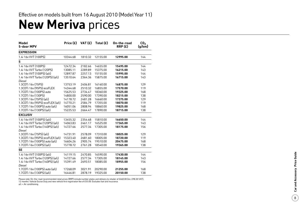### **New Meriva** prices

| Model<br>5-door MPV              | Price $(E)$ | VAT $(E)$ | Total $(E)$ | On-the-road<br>RRP(E) | CO <sub>2</sub><br>(g/km) |
|----------------------------------|-------------|-----------|-------------|-----------------------|---------------------------|
| <b>EXPRESSION</b>                |             |           |             |                       |                           |
| 1.4i 16v VVT (100PS)             | 10344.68    | 1810.32   | 12155.00    | 12995.00              | 144                       |
| S                                |             |           |             |                       |                           |
| 1.4i 16v VVT (100PS)             | 12472.34    | 2182.66   | 14655.00    | 15495.00              | 144                       |
| 1.4i 16v VVT Turbo (120PS)       | 13085.11    | 2289.89   | 15375.00    | 16215.00              | 143                       |
| 1.4i 16y VVT (100PS) (a/c)       | 12897.87    | 2257.13   | 15155.00    | 15995.00              | 144                       |
| 1.4i 16v VVT Turbo (120PS) (a/c) | 13510.64    | 2364.36   | 15875.00    | 16715.00              | 143                       |
| Diesel                           |             |           |             |                       |                           |
| 1.3CDTi 16v (75PS)               | 13753.19    | 2406.81   | 16160.00    | 16875.00              | 129                       |
| 1.3CDTi 16v (95PS) ecoFLEX       | 14344.68    | 2510.32   | 16855.00    | 17570.00              | 119                       |
| 1.7CDTi 16v (100PS) auto         | 15625.53    | 2734.47   | 18360.00    | 19325.00              | 168                       |
| 1.7CDTi 16v (130PS)              | 14800.00    | 2590.00   | 17390.00    | 18215.00              | 138                       |
| 1.3CDTi 16y (75PS) (a/c)         | 14178.72    | 2481.28   | 16660.00    | 17375.00              | 129                       |
| 1.3CDTi 16v (95PS) ecoFLEX (a/c) | 14770.21    | 2584.79   | 17355.00    | 18070.00              | 119                       |
| 1.7CDTi 16v (100PS) auto (a/c)   | 16051.06    | 2808.94   | 18860.00    | 19825.00              | 168                       |
| 1.7CDTi 16v (130PS) (a/c)        | 15225.53    | 2664.47   | 17890.00    | 18715.00              | 138                       |
| <b>EXCLUSIV</b>                  |             |           |             |                       |                           |
| 1.4i 16y VVT (100PS) (a/c)       | 13455.32    | 2354.68   | 15810.00    | 16650.00              | 144                       |
| 1.4i 16y VVT Turbo (120PS) (a/c) | 14063.83    | 2461.17   | 16525.00    | 17365.00              | 143                       |
| 1.4i 16y VVT Turbo (140PS) (a/c) | 14727.66    | 2577.34   | 17305.00    | 18175.00              | 156                       |
| Diesel                           |             |           |             |                       |                           |
| 1.3CDTi 16y (75PS) (a/c)         | 14731.91    | 2578.09   | 17310.00    | 18025.00              | 129                       |
| 1.3CDTi 16v (95PS) ecoFLEX (a/c) | 15323.40    | 2681.60   | 18005.00    | 18720.00              | 119                       |
| 1.7CDTi 16v (100PS) auto (a/c)   | 16604.26    | 2905.74   | 19510.00    | 20475.00              | 168                       |
| 1.7CDTi 16v (130PS) (a/c)        | 15778.72    | 2761.28   | 18540.00    | 19365.00              | 138                       |
| <b>SE</b>                        |             |           |             |                       |                           |
| 1.4i 16v VVT (100PS) (a/c)       | 14119.15    | 2470.85   | 16590.00    | 17430.00              | 144                       |
| 1.4i 16y VVT Turbo (120PS) (a/c) | 14727.66    | 2577.34   | 17305.00    | 18145.00              | 143                       |
| 1.4i 16v VVT Turbo (140PS) (a/c) | 15391.49    | 2693.51   | 18085.00    | 18955.00              | 156                       |
| Diesel                           |             |           |             |                       |                           |
| 1.7CDTi 16v (100PS) auto (a/c)   | 17268.09    | 3021.91   | 20290.00    | 21255.00              | 168                       |
| 1.7CDTi 16y (130PS) (a/c)        | 16446.81    | 2878.19   | 19325.00    | 20150.00              | 138                       |

Please note: On-the-road recommended retail prices (RRP) include number plates and delivery to retailer of £660.00 (inc. £98.30 VAT), 12 months' Vehicle Excise Duty and new vehicle first registration fee of £55.00. Excludes fuel and insurance.

a/c = Air conditioning.

 $\overline{8}$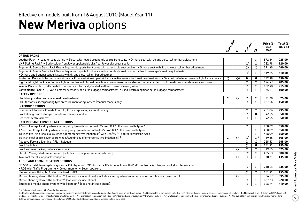## **New Meriva** options

| Leather Pack <sup>1</sup> • Leather seat facings • Electrically heated ergonomic sports front seats • Driver's seat with tilt and electrical lumbar adjustment<br>872.34<br>1025.00<br>$\circ$<br>$\bigcirc$ <sup>3</sup><br>$\circ$<br>782.98<br>920.00<br>$\bigcirc$ <sup>3</sup><br>$\bigcirc$ <sup>1</sup><br>391.49<br>460.00<br>$\bigcirc$ <sup>3</sup><br>$\bigcirc$ <sup>1</sup><br>519.15<br>610.00<br>$\bigcirc$ <sup>4</sup><br>$\circ$<br>382.98<br>450.00<br>$\bullet$<br>$\bullet$<br>$\circ$<br>$\circ$<br>174.47<br>205.00<br>$\circ$<br>182.98<br>$\circ$<br>215.00<br>$\circ$<br>$\circ$<br>85.11<br>100.00<br>25.00<br>$\circ$<br>$\circ$<br>$\circ$<br>21.28<br>$\circ$<br>$\circ$<br>$\circ$<br>127.66<br>150.00<br>295.00<br>251.06<br>$\circ$<br>$\circ$<br>$\circ$<br>42.55<br>$\bullet$<br>50.00<br>$\circ$<br>42.55<br>$\bigcirc$<br>50.00<br>468.09<br>550.00<br>$\circ$<br>$\circ$<br>468.09<br>550.00<br>$\circ$<br>468.09<br>550.00<br>$\overline{O^5}$<br>$\bigcirc$ <sup>5</sup><br>89.36<br>$\circ$<br>$\circ$<br>105.00<br>$\circ$<br>225.53<br>$\circ$<br>265.00<br>$\circ$<br>$\bullet$<br>131.91<br>155.00<br>319.15<br>375.00<br>$\circ$<br>$\circ$<br>$\circ$<br>Flex-Fix® integrated carrier system (includes two-bicycle carrier attachment)7<br>$\overline{O^3}$<br>425.53<br>500.00<br>$\circ$<br>Two-coat metallic or pearlescent paint<br>$\circ$<br>370.21<br>435.00<br>$\circ$<br>$\circ$<br>$\circ$<br>$\circ$<br>710.64<br>835.00<br>$\circ$<br>131.91<br>155.00<br>$\circ$<br>336.17<br>$\circ$<br>395.00<br>187.23<br>220.00<br>$\circ$<br>$\circ$ |                                                                                                                                                                                                                           | Expressively | Erclassi | $\frac{2}{3}$ | Price $(E)$<br>exc.<br><b>VAT</b> | Total $(E)$<br>inc. VAT |
|-------------------------------------------------------------------------------------------------------------------------------------------------------------------------------------------------------------------------------------------------------------------------------------------------------------------------------------------------------------------------------------------------------------------------------------------------------------------------------------------------------------------------------------------------------------------------------------------------------------------------------------------------------------------------------------------------------------------------------------------------------------------------------------------------------------------------------------------------------------------------------------------------------------------------------------------------------------------------------------------------------------------------------------------------------------------------------------------------------------------------------------------------------------------------------------------------------------------------------------------------------------------------------------------------------------------------------------------------------------------------------------------------------------------------------------------------------------------------------------------------------------------------------------------------------------------------------------------------------|---------------------------------------------------------------------------------------------------------------------------------------------------------------------------------------------------------------------------|--------------|----------|---------------|-----------------------------------|-------------------------|
|                                                                                                                                                                                                                                                                                                                                                                                                                                                                                                                                                                                                                                                                                                                                                                                                                                                                                                                                                                                                                                                                                                                                                                                                                                                                                                                                                                                                                                                                                                                                                                                                       | <b>OPTION PACKS</b>                                                                                                                                                                                                       |              |          |               |                                   |                         |
|                                                                                                                                                                                                                                                                                                                                                                                                                                                                                                                                                                                                                                                                                                                                                                                                                                                                                                                                                                                                                                                                                                                                                                                                                                                                                                                                                                                                                                                                                                                                                                                                       |                                                                                                                                                                                                                           |              |          |               |                                   |                         |
|                                                                                                                                                                                                                                                                                                                                                                                                                                                                                                                                                                                                                                                                                                                                                                                                                                                                                                                                                                                                                                                                                                                                                                                                                                                                                                                                                                                                                                                                                                                                                                                                       | VXR Styling Pack <sup>2</sup> . Body-colour front lower spoiler/side sills/rear lower skirt/rear spoiler                                                                                                                  |              |          |               |                                   |                         |
|                                                                                                                                                                                                                                                                                                                                                                                                                                                                                                                                                                                                                                                                                                                                                                                                                                                                                                                                                                                                                                                                                                                                                                                                                                                                                                                                                                                                                                                                                                                                                                                                       | Ergonomic Sports Seats Pack One . Ergonomic sports front seats with extendable seat cushion . Driver's seat with tilt and electrical lumbar adjustment                                                                    |              |          |               |                                   |                         |
|                                                                                                                                                                                                                                                                                                                                                                                                                                                                                                                                                                                                                                                                                                                                                                                                                                                                                                                                                                                                                                                                                                                                                                                                                                                                                                                                                                                                                                                                                                                                                                                                       | Ergonomic Sports Seats Pack Two • Ergonomic sports front seats with extendable seat cushion • Front passenger's seat height adjuster<br>. Driver's and front passenger's seats with tilt and electrical lumbar adjustment |              |          |               |                                   |                         |
|                                                                                                                                                                                                                                                                                                                                                                                                                                                                                                                                                                                                                                                                                                                                                                                                                                                                                                                                                                                                                                                                                                                                                                                                                                                                                                                                                                                                                                                                                                                                                                                                       | Protection Pack . Full-size curtain airbags . Front seat side-impact airbags . Active-safety front seat head restraints . Seatbelt unfastened warning light for rear seats                                                |              |          |               |                                   |                         |
|                                                                                                                                                                                                                                                                                                                                                                                                                                                                                                                                                                                                                                                                                                                                                                                                                                                                                                                                                                                                                                                                                                                                                                                                                                                                                                                                                                                                                                                                                                                                                                                                       | Sight and Light Pack . Automatic lighting control with tunnel detection . Rain-sensitive windscreen wipers . Electro-chromatic anti-dazzle rear-view mirror                                                               |              |          |               |                                   |                         |
|                                                                                                                                                                                                                                                                                                                                                                                                                                                                                                                                                                                                                                                                                                                                                                                                                                                                                                                                                                                                                                                                                                                                                                                                                                                                                                                                                                                                                                                                                                                                                                                                       | Winter Pack . Electrically heated front seats . Electrically heated leather-covered steering wheel                                                                                                                        |              |          |               |                                   |                         |
|                                                                                                                                                                                                                                                                                                                                                                                                                                                                                                                                                                                                                                                                                                                                                                                                                                                                                                                                                                                                                                                                                                                                                                                                                                                                                                                                                                                                                                                                                                                                                                                                       | Convenience Pack • 12-volt electrical accessory socket in luggage compartment • Load-restraining floor net in luggage compartment                                                                                         |              |          |               |                                   |                         |
|                                                                                                                                                                                                                                                                                                                                                                                                                                                                                                                                                                                                                                                                                                                                                                                                                                                                                                                                                                                                                                                                                                                                                                                                                                                                                                                                                                                                                                                                                                                                                                                                       | <b>SAFETY OPTIONS</b>                                                                                                                                                                                                     |              |          |               |                                   |                         |
|                                                                                                                                                                                                                                                                                                                                                                                                                                                                                                                                                                                                                                                                                                                                                                                                                                                                                                                                                                                                                                                                                                                                                                                                                                                                                                                                                                                                                                                                                                                                                                                                       | Height-adjustable centre rear seat head restraint                                                                                                                                                                         |              |          |               |                                   |                         |
|                                                                                                                                                                                                                                                                                                                                                                                                                                                                                                                                                                                                                                                                                                                                                                                                                                                                                                                                                                                                                                                                                                                                                                                                                                                                                                                                                                                                                                                                                                                                                                                                       | Hill Start Assist incorporating tyre pressure monitoring system (manual models only)                                                                                                                                      |              |          |               |                                   |                         |
|                                                                                                                                                                                                                                                                                                                                                                                                                                                                                                                                                                                                                                                                                                                                                                                                                                                                                                                                                                                                                                                                                                                                                                                                                                                                                                                                                                                                                                                                                                                                                                                                       | <b>INTERIOR OPTIONS</b>                                                                                                                                                                                                   |              |          |               |                                   |                         |
|                                                                                                                                                                                                                                                                                                                                                                                                                                                                                                                                                                                                                                                                                                                                                                                                                                                                                                                                                                                                                                                                                                                                                                                                                                                                                                                                                                                                                                                                                                                                                                                                       | Dual-zone Electronic Climate Control (ECC) incorporating air conditioning                                                                                                                                                 |              |          |               |                                   |                         |
|                                                                                                                                                                                                                                                                                                                                                                                                                                                                                                                                                                                                                                                                                                                                                                                                                                                                                                                                                                                                                                                                                                                                                                                                                                                                                                                                                                                                                                                                                                                                                                                                       | Front sliding centre storage module with armrest and lid                                                                                                                                                                  |              |          |               |                                   |                         |
|                                                                                                                                                                                                                                                                                                                                                                                                                                                                                                                                                                                                                                                                                                                                                                                                                                                                                                                                                                                                                                                                                                                                                                                                                                                                                                                                                                                                                                                                                                                                                                                                       | Rear seat centre armrest                                                                                                                                                                                                  |              |          |               |                                   |                         |
|                                                                                                                                                                                                                                                                                                                                                                                                                                                                                                                                                                                                                                                                                                                                                                                                                                                                                                                                                                                                                                                                                                                                                                                                                                                                                                                                                                                                                                                                                                                                                                                                       | <b>EXTERIOR AND CONVENIENCE OPTIONS</b>                                                                                                                                                                                   |              |          |               |                                   |                         |
|                                                                                                                                                                                                                                                                                                                                                                                                                                                                                                                                                                                                                                                                                                                                                                                                                                                                                                                                                                                                                                                                                                                                                                                                                                                                                                                                                                                                                                                                                                                                                                                                       | 17-inch five-spoke alloy wheels (emergency tyre inflation kit) with 225/45 R 17 ultra-low profile tyres 3                                                                                                                 |              |          |               |                                   |                         |
|                                                                                                                                                                                                                                                                                                                                                                                                                                                                                                                                                                                                                                                                                                                                                                                                                                                                                                                                                                                                                                                                                                                                                                                                                                                                                                                                                                                                                                                                                                                                                                                                       | 17-inch multi-spoke alloy wheels (emergency tyre inflation kit) with 225/45 R 17 ultra-low profile tyres                                                                                                                  |              |          |               |                                   |                         |
|                                                                                                                                                                                                                                                                                                                                                                                                                                                                                                                                                                                                                                                                                                                                                                                                                                                                                                                                                                                                                                                                                                                                                                                                                                                                                                                                                                                                                                                                                                                                                                                                       | 18-inch five-twin-spoke alloy wheels (emergency tyre inflation kit) with 225/40 R 18 ultra-low profile tyres                                                                                                              |              |          |               |                                   |                         |
|                                                                                                                                                                                                                                                                                                                                                                                                                                                                                                                                                                                                                                                                                                                                                                                                                                                                                                                                                                                                                                                                                                                                                                                                                                                                                                                                                                                                                                                                                                                                                                                                       | 16-inch steel space-saver spare wheel/tyre (in lieu of emergency tyre inflation kit) 3                                                                                                                                    |              |          |               |                                   |                         |
|                                                                                                                                                                                                                                                                                                                                                                                                                                                                                                                                                                                                                                                                                                                                                                                                                                                                                                                                                                                                                                                                                                                                                                                                                                                                                                                                                                                                                                                                                                                                                                                                       | Adaptive Forward Lighting (AFL) - halogen                                                                                                                                                                                 |              |          |               |                                   |                         |
|                                                                                                                                                                                                                                                                                                                                                                                                                                                                                                                                                                                                                                                                                                                                                                                                                                                                                                                                                                                                                                                                                                                                                                                                                                                                                                                                                                                                                                                                                                                                                                                                       | Front fog lights                                                                                                                                                                                                          |              |          |               |                                   |                         |
|                                                                                                                                                                                                                                                                                                                                                                                                                                                                                                                                                                                                                                                                                                                                                                                                                                                                                                                                                                                                                                                                                                                                                                                                                                                                                                                                                                                                                                                                                                                                                                                                       | Front and rear parking distance sensors <sup>6</sup>                                                                                                                                                                      |              |          |               |                                   |                         |
|                                                                                                                                                                                                                                                                                                                                                                                                                                                                                                                                                                                                                                                                                                                                                                                                                                                                                                                                                                                                                                                                                                                                                                                                                                                                                                                                                                                                                                                                                                                                                                                                       |                                                                                                                                                                                                                           |              |          |               |                                   |                         |
|                                                                                                                                                                                                                                                                                                                                                                                                                                                                                                                                                                                                                                                                                                                                                                                                                                                                                                                                                                                                                                                                                                                                                                                                                                                                                                                                                                                                                                                                                                                                                                                                       |                                                                                                                                                                                                                           |              |          |               |                                   |                         |
|                                                                                                                                                                                                                                                                                                                                                                                                                                                                                                                                                                                                                                                                                                                                                                                                                                                                                                                                                                                                                                                                                                                                                                                                                                                                                                                                                                                                                                                                                                                                                                                                       | AUDIO AND COMMUNICATION OPTIONS                                                                                                                                                                                           |              |          |               |                                   |                         |
|                                                                                                                                                                                                                                                                                                                                                                                                                                                                                                                                                                                                                                                                                                                                                                                                                                                                                                                                                                                                                                                                                                                                                                                                                                                                                                                                                                                                                                                                                                                                                                                                       | CD 500 • Satellite navigation system • CD player with MP3 format • USB connection with iPod™ control • Auxiliary-in socket • Stereo radio<br>• RDS with Traffic Programme • Colour monitor • Seven speakers               |              |          |               |                                   |                         |
|                                                                                                                                                                                                                                                                                                                                                                                                                                                                                                                                                                                                                                                                                                                                                                                                                                                                                                                                                                                                                                                                                                                                                                                                                                                                                                                                                                                                                                                                                                                                                                                                       | Stereo radio with Digital Audio Broadcast (DAB)                                                                                                                                                                           |              |          |               |                                   |                         |
|                                                                                                                                                                                                                                                                                                                                                                                                                                                                                                                                                                                                                                                                                                                                                                                                                                                                                                                                                                                                                                                                                                                                                                                                                                                                                                                                                                                                                                                                                                                                                                                                       | Mobile phone system with Bluetooth® (does not include phone) - includes steering wheel mounted audio controls and cruise control                                                                                          |              |          |               |                                   |                         |
|                                                                                                                                                                                                                                                                                                                                                                                                                                                                                                                                                                                                                                                                                                                                                                                                                                                                                                                                                                                                                                                                                                                                                                                                                                                                                                                                                                                                                                                                                                                                                                                                       | Mobile phone system with Bluetooth® (does not include phone)                                                                                                                                                              |              |          |               |                                   |                         |
|                                                                                                                                                                                                                                                                                                                                                                                                                                                                                                                                                                                                                                                                                                                                                                                                                                                                                                                                                                                                                                                                                                                                                                                                                                                                                                                                                                                                                                                                                                                                                                                                       | Embedded mobile phone system with Bluetooth® (does not include phone)                                                                                                                                                     |              | $\circ$  | $\circ$       | 348.94                            | 410.00                  |

 $O =$  Optional at extra cost.  $\bullet =$  Standard equipment.

1 = Deletes front passenger's underseat storage tray, driver's underseat storage box and aviation-style folding trays on front seat backs. 2 = Not available in conjunction with Flex-Fix® integrated carrier system or spacemodels. 4 = Front seat side-impact airbags are standard. 5 = Not available in conjunction with Flex-Fix® integrated carrier system or VXR Styling Pack. 6 = Not available in conjunction with Flex-Fix® integrated carrier sys distance sensors, space-saver spare wheel/tyre or VXR Styling Pack. Requires additional number plate at extra cost.

 $\overline{9}$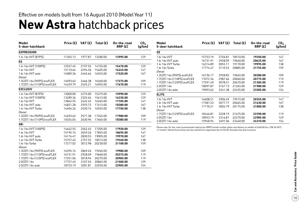### **New Astra** hatchback prices Effective on models built from 16 August 2010 (Model Year 11)

| Model<br>5-door hatchback   | Price (£) | VAT (£) | Total $(E)$ | On-the-road<br>RRP(E) | CO <sub>2</sub><br>(g/km) |
|-----------------------------|-----------|---------|-------------|-----------------------|---------------------------|
| <b>EXPRESSION</b>           |           |         |             |                       |                           |
| 1.4i 16y VVT (87PS)         | 11302.13  | 1977.87 | 13280.00    | 13995.00              | 129                       |
| ES                          |           |         |             |                       |                           |
| 1.4i 16v VVT (100PS)        | 12557.45  | 2197.55 | 14755.00    | 15470.00              | 129                       |
| 1.6i 16v VVT                | 13110.64  | 2294.36 | 15405.00    | 16245.00              | 147                       |
| 1.6i 16y VVT auto           | 14089.36  | 2465.64 | 16555.00    | 17520.00              | 167                       |
| Diesel                      |           |         |             |                       |                           |
| 1.3CDTi 16v (95PS) ecoFLEX  | 14093.62  | 2466.38 | 16560.00    | 17275.00              | 109                       |
| 1.7CDTi 16y (110PS) ecoFLEX | 14429.79  | 2525.21 | 16955.00    | 17670.00              | 119                       |
| <b>EXCLUSIV</b>             |           |         |             |                       |                           |
| 1.4i 16v VVT (87PS)         | 13000.00  | 2275.00 | 15275.00    | 15990.00              | 129                       |
| 1.4i 16y VVT (100PS)        | 13289.36  | 2325.64 | 15615.00    | 16330.00              | 129                       |
| 1.6i 16v VVT                | 13842.55  | 2422.45 | 16265.00    | 17105.00              | 147                       |
| 1.6i 16v VVT auto           | 14821.28  | 2593.72 | 17415.00    | 18380.00              | 167                       |
| 1.4i 16y VVT Turbo          | 14404.26  | 2520.74 | 16925.00    | 17750.00              | 138                       |
| Diesel                      |           |         |             |                       |                           |
| 1.3CDTi 16v (95PS) ecoFLEX  | 14693.62  | 2571.38 | 17265.00    | 17980.00              | 109                       |
| 1.7CDTi 16v (110PS) ecoFLEX | 15034.04  | 2630.96 | 17665.00    | 18380.00              | 119                       |
| <b>SRi</b>                  |           |         |             |                       |                           |
| 1.4i 16v VVT (100PS)        | 14642.55  | 2562.45 | 17205.00    | 17920.00              | 129                       |
| 1.6i 16v VVT                | 15195.74  | 2659.26 | 17855.00    | 18695.00              | 147                       |
| 1.6i 16v VVT auto           | 16174.47  | 2830.53 | 19005.00    | 19970.00              | 167                       |
| 1.4i 16y VVT Turbo          | 15757.45  | 2757.55 | 18515.00    | 19340.00              | 138                       |
| 1.6i 16y Turbo              | 17217.02  | 3012.98 | 20230.00    | 21100.00              | 159                       |
| Diesel                      |           |         |             |                       |                           |
| 1.3CDTi 16v (95PS) ecoFLEX  | 16395.74  | 2869.26 | 19265.00    | 19980.00              | 109                       |
| 1.7CDTi 16y (110PS) ecoFLEX | 16731.91  | 2928.09 | 19660.00    | 20375.00              | 119                       |
| 1.7CDTi 16v (125PS) ecoFLEX | 17251.06  | 3018.94 | 20270.00    | 20985.00              | 119                       |
| 2.0CDTi 16v                 | 17757.45  | 3107.55 | 20865.00    | 21580.00              | 129                       |
| 2.0CDTi 16v auto            | 18753.19  | 3281.81 | 22035.00    | 22905.00              | 154                       |

| Model<br>5-door hatchback   | Price (£) | VAT (£) | Total $(E)$ | On-the-road<br>RRP(E) | CO <sub>2</sub><br>(g/km) |
|-----------------------------|-----------|---------|-------------|-----------------------|---------------------------|
| <b>SE</b>                   |           |         |             |                       |                           |
| 1.6i 16y VVT                | 15753.19  | 2756.81 | 18510.00    | 19350.00              | 147                       |
| 1.6i 16y VVT auto           | 16731.91  | 2928.09 | 19660.00    | 20625.00              | 167                       |
| 1.4i 16y VVT Turbo          | 16314.89  | 2855.11 | 19170.00    | 19995.00              | 138                       |
| 1.6i 16y Turbo              | 17774.47  | 3110.53 | 20885.00    | 21755.00              | 159                       |
| Diesel                      |           |         |             |                       |                           |
| 1.3CDTi 16v (95PS) ecoFLEX  | 16736.17  | 2928.83 | 19665.00    | 20380.00              | 109                       |
| 1.7CDTi 16y (110PS) ecoFLEX | 17072.34  | 2987.66 | 20060.00    | 20775.00              | 119                       |
| 1.7CDTi 16y (125PS) ecoFLEX | 17591.49  | 3078.51 | 20670.00    | 21385.00              | 119                       |
| 2.0CDTi 16v                 | 18097.87  | 3167.13 | 21265.00    | 21980.00              | 129                       |
| 2.0CDTi 16y auto            | 19093.62  | 3341.38 | 22435.00    | 23305.00              | 154                       |
| <b>ELITE</b>                |           |         |             |                       |                           |
| 1.6i 16v VVT                | 16608.51  | 2906.49 | 19515.00    | 20355.00              | 147                       |
| 1.6i 16y VVT auto           | 17587.23  | 3077.77 | 20665.00    | 21630.00              | 167                       |
| 1.4i 16y VVT Turbo          | 17170.21  | 3004.79 | 20175.00    | 21000.00              | 138                       |
| Diesel                      |           |         |             |                       |                           |
| 1.7CDTi 16y (125PS) ecoFLEX | 18446.81  | 3228.19 | 21675.00    | 22390.00              | 119                       |
| 2.0CDTi 16v                 | 18953.19  | 3316.81 | 22270.00    | 22985.00              | 129                       |
| 2.0CDTi 16v auto            | 19948.94  | 3491.06 | 23440.00    | 24310.00              | 154                       |

Please note: On-the-road recommended retail prices (RRP) include number plates and delivery to retailer of £660.00 (inc. £98.30 VAT), 12 months' Vehicle Excise Duty and new vehicle first registration fee of £55.00. Excludes fuel and insurance.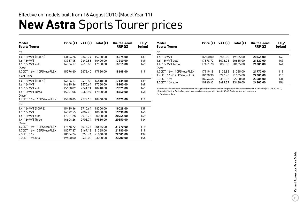## **New Astra** Sports Tourer prices

| Model<br><b>Sports Tourer</b> | Price (£) | VAT (£) | Total $(E)$ | On-the-road<br>RRP(E) | $CO2$ *<br>(g/km) |
|-------------------------------|-----------|---------|-------------|-----------------------|-------------------|
| <b>ES</b>                     |           |         |             |                       |                   |
| 1.4i 16y VVT (100PS)          | 13404.26  | 2345.74 | 15750.00    | 16575.00              | 139               |
| 1.6i 16v VVT                  | 13957.45  | 2442.55 | 16400.00    | 17240.00              | 149               |
| 1.6i 16y VVT auto             | 14936.17  | 2613.83 | 17550.00    | 18515.00              | 169               |
| Diesel                        |           |         |             |                       |                   |
| 1.7CDTi 16v (110PS) ecoFLEX   | 15276.60  | 2673.40 | 17950.00    | 18665.00              | 119               |
| <b>EXCLUSIV</b>               |           |         |             |                       |                   |
| 1.4i 16v VVT (100PS)          | 14136.17  | 2473.83 | 16610.00    | 17435.00              | 139               |
| 1.6i 16v VVT                  | 14689.36  | 2570.64 | 17260.00    | 18100.00              | 149               |
| 1.6i 16y VVT auto             | 15668.09  | 2741.91 | 18410.00    | 19375.00              | 169               |
| 1.4i 16y VVT Turbo            | 15251.06  | 2668.94 | 17920.00    | 18760.00              | 144               |
| Diesel                        |           |         |             |                       |                   |
| 1.7CDTi 16v (110PS) ecoFLEX   | 15880.85  | 2779.15 | 18660.00    | 19375.00              | 119               |
| <b>SRi</b>                    |           |         |             |                       |                   |
| 1.4i 16y VVT (100PS)          | 15489.36  | 2710.64 | 18200.00    | 19025.00              | 139               |
| 1.6i 16v VVT                  | 16042.55  | 2807.45 | 18850.00    | 19690.00              | 149               |
| 1.6i 16y VVT auto             | 17021.28  | 2978.72 | 20000.00    | 20965.00              | 169               |
| 1.4i 16y VVT Turbo            | 16604.26  | 2905.74 | 19510.00    | 20350.00              | 144               |
| Diesel                        |           |         |             |                       |                   |
| 1.7CDTi 16v (110PS) ecoFLEX   | 17578.72  | 3076.28 | 20655.00    | 21370.00              | 119               |
| 1.7CDTi 16v (125PS) ecoFLEX   | 18097.87  | 3167.13 | 21265.00    | 21980.00              | 119               |
| 2.0CDTi 16v                   | 18604.26  | 3255.74 | 21860.00    | 22685.00              | 134               |
| 2.0CDTi 16y auto              | 19600.00  | 3430.00 | 23030.00    | 23900.00              | 156               |

| Model<br><b>Sports Tourer</b> | Price (£) | VAT(E)  | Total $(E)$ | On-the-road<br>RRP(E) | $CO2$ *<br>(g/km) |
|-------------------------------|-----------|---------|-------------|-----------------------|-------------------|
| <b>SE</b>                     |           |         |             |                       |                   |
| 1.6i 16v VVT                  | 16600.00  | 2905.00 | 19505.00    | 20345.00              | 149               |
| 1.6i 16y VVT auto             | 17578.72  | 3076.28 | 20655.00    | 21620.00              | 169               |
| 1.4i 16y VVT Turbo            | 17161.70  | 3003.30 | 20165.00    | 21005.00              | 144               |
| Diesel                        |           |         |             |                       |                   |
| 1.7CDTi 16y (110PS) ecoFLEX   | 17919.15  | 3135.85 | 2105500     | 21770.00              | 119               |
| 1.7CDTi 16v (125PS) ecoFLEX   | 18438.30  | 3226.70 | 21665.00    | 22380.00              | 119               |
| 2.0CDTi 16v                   | 18944.68  | 3315.32 | 22260.00    | 23085.00              | 134               |
| 2.0CDTi 16y auto              | 19940.43  | 3489.57 | 23430.00    | 24300.00              | 156               |

Please note: On-the-road recommended retail prices (RRP) include number plates and delivery to retailer of £660.00 (inc. £98.30 VAT), 12 months' Vehicle Excise Duty and new vehicle first registration fee of £55.00. Excludes fuel and insurance.

\* = Provisional data.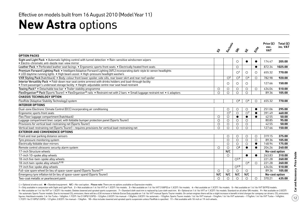## **New Astra options**

|                                                                                                                                                                                                                    |         | Etclassi       |                         |                                  |              | Price (£)<br>exc. | Total $(E)$<br>inc. VAT |
|--------------------------------------------------------------------------------------------------------------------------------------------------------------------------------------------------------------------|---------|----------------|-------------------------|----------------------------------|--------------|-------------------|-------------------------|
|                                                                                                                                                                                                                    | చ్ల     |                | $\dot{\mathcal{S}}$     | డ్డ                              | <b>Eilie</b> | <b>VAT</b>        |                         |
| <b>OPTION PACKS</b>                                                                                                                                                                                                |         |                |                         |                                  |              |                   |                         |
| Sight and Light Pack . Automatic lighting control with tunnel detection . Rain-sensitive windscreen wipers<br>• Electro-chromatic anti-dazzle rear-view mirror                                                     |         |                | $\circ$                 | $\bullet$                        | $\bullet$    | 174.47            | 205.00                  |
| Leather Pack . Perforated leather seat facings . Ergonomic sports front seats . Electrically heated front seats                                                                                                    |         |                | $\circ$                 |                                  | $\bullet$    | 872.34            | 1025.00                 |
| Premium Forward Lighting Pack • Intelligent Adaptive Forward Lighting (AFL) incorporating dark-style bi-xenon headlights<br>• LED daytime running lights • High beam assist • High-pressure headlight washers      |         |                | $\bigcirc$ <sup>1</sup> | $\circ$                          | ∩            | 655.32            | 770.00                  |
| VXR Styling Pack (hatchback) . Body-colour front lower spoiler, side sills, rear lower skirt and rear roof spoiler                                                                                                 |         | O <sup>2</sup> | O <sup>3</sup>          | O <sup>4</sup>                   | $\circ$      | 782.98            | 920.00                  |
| Interior Versatility Pack . Fold-down rear seat centre armrest with drinks holders and load-through facility<br>· Front passenger's underseat storage facility · Height-adjustable centre rear seat head restraint |         | ∩              | $\circ$                 | $\circ$                          |              | 127.66            | 150.00                  |
| Towing Pack <sup>5</sup> . Detachable tow bar . Trailer stability programme                                                                                                                                        | $\circ$ | $\circ$        | О                       | $\circ$                          | $\circ$      | 434.04            | 510.00                  |
| FlexOrganiser® Pack (Sports Tourer) • FlexOrganiser® rails • Restraint net with 2 bars • Small luggage restraint net • 4 adaptors                                                                                  | $\circ$ | $\circ$        | $\circ$                 | $\circ$                          |              | 89.36             | 105.00                  |
| <b>CHASSIS TECHNOLOGY OPTION</b>                                                                                                                                                                                   |         |                |                         |                                  |              |                   |                         |
| FlexRide (Adaptive Stability Technology) system                                                                                                                                                                    |         |                | $\circ$ <sup>6</sup>    | $\circlearrowright$ <sup>4</sup> | $\bigcirc$   | 655.32            | 770.00                  |
| <b>INTERIOR OPTIONS</b>                                                                                                                                                                                            |         |                |                         |                                  |              |                   |                         |
| Dual-zone Electronic Climate Control (ECC) incorporating air conditioning                                                                                                                                          |         | $\circ$        | $\circ$                 | $\circ$                          | $\bullet$    | 251.06            | 295.00                  |
| Ergonomic sports front seats                                                                                                                                                                                       |         | O <sup>7</sup> | $\circ$                 | $\overline{O^7}$                 | $\bullet$    | 391.49            | 460.00                  |
| Flex Floor luggage compartment (hatchback)                                                                                                                                                                         | $\circ$ | $\circ$        | $\bullet$               | $\bullet$                        |              | 42.55             | 50.00                   |
| Luggage compartment liner, carpet, with foldable bumper protection panel (Sports Tourer)                                                                                                                           | $\circ$ | $\bigcirc$     | $\circ$                 | $\bigcirc$                       |              | 80.85             | 95.00                   |
| Provisions for vertical load-restraining net (Sports Tourer)                                                                                                                                                       | $\circ$ | $\circ$        | $\circ$                 | $\bigcirc$                       |              | 42.55             | 50.00                   |
| Vertical load-restraining net (Sports Tourer) – requires provisions for vertical load-restraining net                                                                                                              | $\circ$ | $\circ$        | $\bigcirc$              | $\bigcirc$                       |              | 127.66            | 150.00                  |
| <b>EXTERIOR AND CONVENIENCE OPTIONS</b>                                                                                                                                                                            |         |                |                         |                                  |              |                   |                         |
| Front and rear parking distance sensors                                                                                                                                                                            |         | $\circ$        | $\circ$                 | $\circ$                          | $\circ$      | 319.15            | 375.00                  |
| Tyre pressure monitoring system                                                                                                                                                                                    |         | $\circ$        | $\circ$                 | $\circ$                          | $\circ$      | 89.36             | 105.00                  |
| Electrically foldable door mirrors                                                                                                                                                                                 |         | $\circ$        | $\circ$                 | $\circ$                          | $\bullet$    | 148.94            | 175.00                  |
| Remote control ultrasonic security alarm system                                                                                                                                                                    | $\circ$ | $\bigcirc$     | $\bigcirc$ 8            | $\bullet$                        | $\bullet$    | 204.26            | 240.00                  |
| 17-inch Structure wheels                                                                                                                                                                                           |         | N/C            |                         |                                  |              | No-cost option    |                         |
| 17-inch 10-spoke alloy wheels                                                                                                                                                                                      |         | $\bigcirc$     |                         | $\bullet$                        | $\bullet$    | 263.83            | 310.00                  |
| 18-inch five-twin-spoke alloy wheels                                                                                                                                                                               |         |                | O <sup>2,9</sup>        |                                  |              | 221.28            | 260.00                  |
| 18-inch twin-spoke alloy wheels 9,10                                                                                                                                                                               |         |                |                         | O <sup>4</sup>                   | $\bigcirc$   | 221.28            | 260.00                  |
| 19-inch five-spoke alloy wheels                                                                                                                                                                                    |         |                | O <sup>2,9</sup>        |                                  |              | 434.04            | 510.00                  |
| Full-size spare wheel (in lieu of space-saver spare) (Sports Tourer) 11                                                                                                                                            | $\circ$ | $\circ$        | $\circ$                 | $\circ$                          |              | 89.36             | 105.00                  |
| Emergency tyre inflation kit (in lieu of space-saver spare) (Sports Tourer)                                                                                                                                        | N/C     | N/C            | N/C                     | N/C                              |              | No-cost option    |                         |
| Two-coat metallic or pearlescent paint                                                                                                                                                                             | ◯       | $\circ$        | $\circ$                 | $\circ$                          | $\circ$      | 370.21            | 435.00                  |

 $O =$  Optional at extra cost.  $\bullet$  = Standard equipment. N/C = No-cost option. Please note: There are no options available on Expression models.

1 = Only available in conjunction with Sight and Light Pack. 2 = Not available on 1.4i 16v VVT or 1.3CDTi 16v models. 3 = Not available on 1.4i 16v VVT (100PS) or 1.3CDTi 16v models. 4 = Not available on 1.3CDTi 16v models 6 = Not available on 1.4i 16v VVT or 1.3CDTi 16v models. Deletes lowered and uprated sports suspension. 7 = Standard cloth seat trim is replaced by Lace cloth seat trim. 8 = Optional on 1.4i 16v VVT or 1.3CDTi 16v models. 16y automatic Sports Tourer models. Due to increased CO<sub>2</sub> emissions, there will be a £30 increase in Vehicle Excise Duty payable on 1.6i 16y VVT manual Sports Tourer models. On certain engines there will be a slight incre figures: Hatchback models: 1.6i 16v Turbo - 160g/km; 1.7CDTi 16v (110PS/125PS) - 122g/km; 2.0CDTi 16v manual - 130g/km; 2.0CDTi 16v anual - 130g/km; 2.0CDTi 16v anual - 130g/km; 2.0CDTi 16v attomatic - 155g/km. Sports Tour 1.7CDTi 16v (110PS/125PS) – 121g/km; 2.0CDTi 16v manual – 136g/km. 10 = Also includes lowered and uprated sports suspension unless FlexRide is specified. 11 = Not available with 18-inch or 19-inch wheels.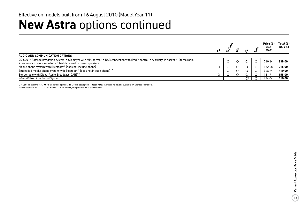## **New Astra** options continued

|                                                                                                                                                                                                              |  |  |   |                     | Price $(E)$        | Total $(E)$ |
|--------------------------------------------------------------------------------------------------------------------------------------------------------------------------------------------------------------|--|--|---|---------------------|--------------------|-------------|
|                                                                                                                                                                                                              |  |  | Æ |                     | exc.<br><b>VAT</b> | inc. VAT    |
| AUDIO AND COMMUNICATION OPTIONS                                                                                                                                                                              |  |  |   |                     |                    |             |
| CD 500 • Satellite navigation system • CD player with MP3 format • USB connection with iPod™ control • Auxiliary-in socket • Stereo radio<br>• Seven-inch colour monitor • Shark fin aerial • Seven speakers |  |  |   |                     | 710.64             | 835.00      |
| Mobile phone system with Bluetooth <sup>®</sup> (does not include phone)                                                                                                                                     |  |  |   |                     | 182.98             | 215.00      |
| Embedded mobile phone system with Bluetooth <sup>®</sup> (does not include phone) <sup>12</sup>                                                                                                              |  |  |   |                     | 348.94             | 410.00      |
| Stereo radio with Digital Audio Broadcast (DAB) 12                                                                                                                                                           |  |  |   |                     | 131.91             | 155.00      |
| Infinity <sup>®</sup> Premium Sound System                                                                                                                                                                   |  |  |   | $\circlearrowright$ | 434.04             | 510.00      |

 $\bigcirc$  = Optional at extra cost.  $\bullet$  = Standard equipment. N/C = No-cost option. Please note: There are no options available on Expression models.

4 = Not available on 1.3CDTi 16v models. 12 = Shark fin/integrated aerial is also included.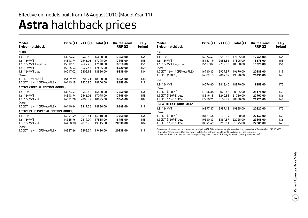## **Astra** hatchback prices

| Model<br>5-door hatchback                  | Price (£) | VAT (£) | Total $(E)$ |          |     | On-the-road<br>RRP(E)                                                                                                                                                                                                                                  | CO <sub>2</sub><br>(g/km) | Model<br>5-door hatchback | Price (£) | VAT (£)  | Total $(E)$ | On-the-road<br>RRP(E) | CO <sub>2</sub><br>(g/km) |
|--------------------------------------------|-----------|---------|-------------|----------|-----|--------------------------------------------------------------------------------------------------------------------------------------------------------------------------------------------------------------------------------------------------------|---------------------------|---------------------------|-----------|----------|-------------|-----------------------|---------------------------|
| <b>CLUB</b>                                |           |         |             |          |     | SXi                                                                                                                                                                                                                                                    |                           |                           |           |          |             |                       |                           |
| 1.4i 16v                                   | 13974.47  | 2445.53 | 16420.00    | 17260.00 | 146 | 1.4i 16v                                                                                                                                                                                                                                               | 14574.47                  | 2550.53                   | 17125.00  | 17965.00 | 146         |                       |                           |
| 1.6i 16v VVT                               | 14548.94  | 2546.06 | 17095.00    | 17965.00 | 155 | 1.6i 16v VVT                                                                                                                                                                                                                                           | 15153.19                  | 2651.81                   | 17805.00  | 18675.00 | 155         |                       |                           |
| 1.6i 16v VVT Easytronic                    | 15012.77  | 2627.23 | 17640.00    | 18510.00 | 151 | 1.6i 16v VVT Easytronic                                                                                                                                                                                                                                | 15617.02                  | 2732.98                   | 18350.00  | 19220.00 | 151         |                       |                           |
| 1.8i 16v VVT                               | 15025.53  | 2629.47 | 17655.00    | 18620.00 | 169 | Diesel                                                                                                                                                                                                                                                 |                           |                           |           |          |             |                       |                           |
| 1.8i 16y VVT auto                          | 16017.02  | 2802.98 | 18820.00    | 19835.00 | 184 | 1.7CDTi 16v (110PS) ecoFLEX                                                                                                                                                                                                                            | 16740.43                  | 2929.57                   | 19670.00  | 20385.00 | 119         |                       |                           |
| Diesel                                     |           |         |             |          |     | 1.9CDTi (120PS)                                                                                                                                                                                                                                        | 16502.13                  | 2887.87                   | 19390.00  | 20230.00 | 149         |                       |                           |
| 1.3CDTi 16v (90PS)                         | 15429.79  | 2700.21 | 18130.00    | 18845.00 | 130 | <b>SRi</b>                                                                                                                                                                                                                                             |                           |                           |           |          |             |                       |                           |
| 1.7CDTi 16v (110PS) ecoFLEX                | 16119.15  | 2820.85 | 18940.00    | 19655.00 | 119 | 1.8i 16v VVT                                                                                                                                                                                                                                           | 16076.60                  | 2813.40                   | 18890.00  | 19855.00 | 172         |                       |                           |
| <b>ACTIVE (SPECIAL EDITION MODEL)</b>      |           |         |             |          |     | Diesel                                                                                                                                                                                                                                                 |                           |                           |           |          |             |                       |                           |
| 1.4i 16v                                   | 13974.47  | 2445.53 | 16420.00    | 17260.00 | 146 | 1.9CDTi (120PS)                                                                                                                                                                                                                                        | 17306.38                  | 3028.62                   | 20335.00  | 21175.00 | 149         |                       |                           |
| 1.6i 16v VVT                               | 14548.94  | 2546.06 | 17095.00    | 17965.00 | 155 | 1.9CDTi (120PS) auto                                                                                                                                                                                                                                   | 18519.15                  | 3240.85                   | 21760.00  | 22900.00 | 186         |                       |                           |
| 1.8i 16v VVT auto                          | 16021.28  | 2803.72 | 18825.00    | 19840.00 | 184 | 1.9CDTi 16v (150PS)                                                                                                                                                                                                                                    | 17770.21                  | 3109.79                   | 20880.00  | 21720.00 | 149         |                       |                           |
| Diesel                                     |           |         |             |          |     | <b>SRI WITH EXTERIOR PACK*</b>                                                                                                                                                                                                                         |                           |                           |           |          |             |                       |                           |
| 1.7CDTi 16v (110PS) ecoFLEX                | 16110.64  | 2819.36 | 18930.00    | 19645.00 | 119 | 1.8i 16v VVT                                                                                                                                                                                                                                           | 16897.87                  | 2957.13                   | 19855.00  | 20820.00 | 172         |                       |                           |
| <b>ACTIVE PLUS (SPECIAL EDITION MODEL)</b> |           |         |             |          |     | Diesel                                                                                                                                                                                                                                                 |                           |                           |           |          |             |                       |                           |
| 1.4i 16v                                   | 14391.49  | 2518.51 | 16910.00    | 17750.00 | 146 | 1.9CDTi (120PS)                                                                                                                                                                                                                                        | 18127.66                  | 3172.34                   | 21300.00  | 22140.00 | 149         |                       |                           |
| 1.6i 16v VVT                               | 14965.96  | 2619.04 | 17585.00    | 18455.00 | 155 | 1.9CDTi (120PS) auto                                                                                                                                                                                                                                   | 19340.43                  | 3384.57                   | 22725.00  | 23865.00 | 186         |                       |                           |
| 1.8i 16v VVT auto                          | 16438.30  | 2876.70 | 19315.00    | 20330.00 | 184 | 1.9CDTi 16v (150PS)                                                                                                                                                                                                                                    | 18591.49                  | 3253.51                   | 21845.00  | 22685.00 | 149         |                       |                           |
| Diesel                                     |           |         |             |          |     |                                                                                                                                                                                                                                                        |                           |                           |           |          |             |                       |                           |
| 1.7CDTi 16v (110PS) ecoFLEX                | 16527.66  | 2892.34 | 19420.00    | 20135.00 | 119 | Please note: On-the-road recommended retail prices (RRP) include number plates and delivery to retailer of £660.00 (inc. £98.30 VAT),<br>12 months' Vehicle Excise Duty and new vehicle first registration fee of £55.00. Excludes fuel and insurance. |                           |                           |           |          |             |                       |                           |

\* = Exterior Pack comprises 18-inch five-spoke alloy wheels and VXR Styling Pack (see options page for details).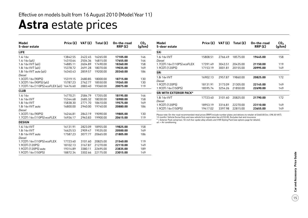## **Astra** estate prices

| Model<br>5-door estate                     | Price $(E)$ | VAT(E)  | Total $(E)$ | On-the-road<br>RRP(E) | CO <sub>2</sub><br>(g/km) |
|--------------------------------------------|-------------|---------|-------------|-----------------------|---------------------------|
| <b>LIFE</b>                                |             |         |             |                       |                           |
| 1.4i 16v                                   | 13842.55    | 2422.45 | 16265.00    | 17105.00              | 146                       |
| 1.4i $16v$ (a/c)                           | 14310.64    | 2504.36 | 16815.00    | 17655.00              | 146                       |
| 1.6i 16v VVT (a/c)                         | 14885.11    | 2604.89 | 17490.00    | 18360.00              | 158                       |
| 1.8i 16v VVT (a/c)                         | 15378.72    | 2691.28 | 18070.00    | 19035.00              | 169                       |
| 1.8i 16v VVT auto (a/c)                    | 16340.43    | 2859.57 | 19200.00    | 20340.00              | 186                       |
| Diesel                                     |             |         |             |                       |                           |
| 1.3CDTi 16y (90PS)                         | 15319.15    | 2680.85 | 18000.00    | 18715.00              | 130                       |
| 1.3CDTi 16v (90PS) (a/c)                   | 15787.23    | 2762.77 | 18550.00    | 19265.00              | 130                       |
| 1.7CDTi 16v (110PS) ecoFLEX (a/c) 16476.60 |             | 2883.40 | 19360.00    | 20075.00              | 119                       |
| <b>CLUB</b>                                |             |         |             |                       |                           |
| 1.4i 16v                                   | 14770.21    | 2584.79 | 17355.00    | 18195.00              | 146                       |
| 1.6i 16y VVT                               | 15344.68    | 2685.32 | 18030.00    | 18900.00              | 158                       |
| 1.8i 16v VVT                               | 15838.30    | 2771.70 | 18610.00    | 19575.00              | 169                       |
| 1.8i 16y VVT auto                          | 16800.00    | 2940.00 | 19740.00    | 20880.00              | 186                       |
| Diesel                                     |             |         |             |                       |                           |
| 1.3CDTi 16v (90PS)                         | 16246.81    | 2843.19 | 19090.00    | 19805.00              | 130                       |
| 1.7CDTi 16y (110PS) ecoFLEX                | 16936.17    | 2963.83 | 19900.00    | 20615.00              | 119                       |
| <b>DESIGN</b>                              |             |         |             |                       |                           |
| 1.6i 16y VVT                               | 16131.91    | 2823.09 | 18955.00    | 19825.00              | 158                       |
| 1.8i 16v VVT                               | 16625.53    | 2909.47 | 19535.00    | 20500.00              | 169                       |
| 1.8i 16y VVT auto                          | 17587.23    | 3077.77 | 20665.00    | 21805.00              | 186                       |
| Diesel                                     |             |         |             |                       |                           |
| 1.7CDTi 16v (110PS) ecoFLEX                | 17723.40    | 3101.60 | 20825.00    | 21540.00              | 119                       |
| 1.9CDTi (120PS)                            | 18102.13    | 3167.87 | 21270.00    | 22110.00              | 149                       |
| 1.9CDTi (120PS) auto                       | 19314.89    | 3380.11 | 22695.00    | 23835.00              | 189                       |
| 1.9CDTi 16v (150PS)                        | 18872.34    | 3302.66 | 22175.00    | 23015.00              | 149                       |

| Model<br>5-door estate      | Price $(E)$ | VAT (£) | Total $(E)$ | On-the-road<br>RRP(E) | CO <sub>2</sub><br>(g/km) |
|-----------------------------|-------------|---------|-------------|-----------------------|---------------------------|
| SXi                         |             |         |             |                       |                           |
| 1.6i 16v VVT<br>Diesel      | 15808.51    | 2766.49 | 18575.00    | 19445.00              | 158                       |
| 1.7CDTi 16v (110PS) ecoFLEX | 17391.49    | 3043.51 | 20435.00    | 21150.00              | 119                       |
| 1.9CDTi (120PS)             | 17153.19    | 3001.81 | 20155.00    | 20995.00              | 149                       |
| SRi                         |             |         |             |                       |                           |
| 1.8i 16v VVT<br>Diesel      | 16902.13    | 2957.87 | 19860.00    | 20825.00              | 172                       |
| 1.9CDTi (120PS)             | 18131.91    | 3173.09 | 21305.00    | 22145.00              | 149                       |
| 1.9CDTi 16v (150PS)         | 18595.74    | 3254.26 | 21850.00    | 22690.00              | 149                       |
| SRI WITH EXTERIOR PACK*     |             |         |             |                       |                           |
| 1.8i 16v VVT<br>Diesel      | 17723.40    | 3101.60 | 20825.00    | 21790.00              | 172                       |
| 1.9CDTi (120PS)             | 18953.19    | 3316.81 | 22270.00    | 23110.00              | 149                       |
| 1.9CDTi 16v (150PS)         | 19417.02    | 3397.98 | 22815.00    | 23655.00              | 149                       |

Please note: On-the-road recommended retail prices (RRP) include number plates and delivery to retailer of £660.00 (inc. £98.30 VAT), 12 months' Vehicle Excise Duty and new vehicle first registration fee of £55.00. Excludes fuel and insurance.

\* = Exterior Pack comprises 18-inch five-spoke alloy wheels and VXR Styling Pack (see options page for details). a/c = Air conditioning.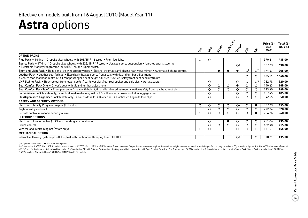## **Astra** options

|                                                                                                                                                                                                                                       |                     |            |              |              |                         |                |                         | Price (£)          | Total $(E)$ |
|---------------------------------------------------------------------------------------------------------------------------------------------------------------------------------------------------------------------------------------|---------------------|------------|--------------|--------------|-------------------------|----------------|-------------------------|--------------------|-------------|
|                                                                                                                                                                                                                                       | $\ddot{\mathbf{x}}$ | Cras       | <b>Print</b> | Active Plays | Design                  | ぶ              | र्ङ                     | exc.<br><b>VAT</b> | inc. VAT    |
| <b>OPTION PACKS</b>                                                                                                                                                                                                                   |                     |            |              |              |                         |                |                         |                    |             |
| Plus Pack . 16-inch 10-spoke alloy wheels with 205/55 R 16 tyres . Front fog lights                                                                                                                                                   | 0                   | O          |              |              |                         |                |                         | 370.21             | 435.00      |
| Sports Pack . 17-inch 10-spoke alloy wheels with 225/45 R 17 tyres . Uprated sports suspension . Uprated sports steering<br>• Electronic Stability Programme-plus (ESP-plus) • Sport switch                                           |                     |            |              |              | $\bigcirc$ <sup>1</sup> |                |                         | 587.23             | 690.00      |
| Sight and Light Pack . Rain-sensitive windscreen wipers . Electro-chromatic anti-dazzle rear-view mirror . Automatic lighting control                                                                                                 |                     |            | $\bullet$    |              | $\bullet$               | O <sup>2</sup> | $\mathcal{O}^2$         | 174.47             | 205.00      |
| Leather Pack . Leather seat facings . Electrically heated sports front seats with tilt and lumbar adjustment<br>• Centre rear seat head restraint • Front passenger's seat height adjuster • Active-safety front seat head restraints |                     |            |              |              |                         | $\circ$        | $\circ$                 | 885.11             | 1040.00     |
| VXR Styling Pack • Body-colour front lower spoiler/rear lower skirt/rear roof spoiler and side sills • Aerial adaptor                                                                                                                 |                     | $\circ$    |              |              | $\circ$                 | $\circ$        | $\bigcirc$ <sup>3</sup> | 782.98             | 920.00      |
| Seat Comfort Pack One . Driver's seat with tilt and lumbar adjustment                                                                                                                                                                 |                     | $\circ$    | $\circ$      | $\circ$      | $\bullet$               | $\circ$        | $\circ$                 | 140.43             | 165.00      |
| Seat Comfort Pack Two 4 • Front passenger's seat with height, tilt and lumbar adjustment • Active-safety front seat head restraints                                                                                                   |                     | O          | $\circ$      | O            | $\circ$                 | $\circ$        | $\circ$                 | 123.40             | 145.00      |
| Convenience Pack (estate only) • Vertical load-restraining net • 12-volt auxiliary power socket in luggage area                                                                                                                       |                     | $\circ$    |              |              | $\circ$                 | $\circ$        | $\circ$                 | 157.45             | 185.00      |
| FlexOrganiser® Organiser Pack (estate only) • Four side rails • Divider net • Elasticated bag with four clips                                                                                                                         |                     | $\circ$    |              |              | $\circ$                 | О              | $\circ$                 | 42.55              | 50.00       |
| <b>SAFETY AND SECURITY OPTIONS</b>                                                                                                                                                                                                    |                     |            |              |              |                         |                |                         |                    |             |
| Electronic Stability Programme-plus (ESP-plus)                                                                                                                                                                                        | $\circ$             | O          | $\circ$      | $\circ$      | $\circlearrowright$     | $\circ$        | $\bullet$               | 387.23             | 455.00      |
| Keyless entry and start                                                                                                                                                                                                               |                     | $\circ$    | $\circ$      | O            | $\circ$                 | $\circ$        | $\circ$                 | 272.34             | 320.00      |
| Remote control ultrasonic security alarm                                                                                                                                                                                              | $\circ$             | ∩          | ∩            | ◯            | ∩                       | ∩              | $\bullet$               | 204.26             | 240.00      |
| <b>INTERIOR OPTIONS</b>                                                                                                                                                                                                               |                     |            |              |              |                         |                |                         |                    |             |
| Electronic Climate Control (ECC) incorporating air conditioning                                                                                                                                                                       |                     | O          |              |              | $\circ$                 | $\circ$        | $\circ$                 | 251.06             | 295.00      |
| Cruise control                                                                                                                                                                                                                        |                     | $\circ$    | $\circ$      | $\circ$      | $\circ$                 | $\circ$        | O                       | 182.98             | 215.00      |
| Vertical load-restraining net (estate only)                                                                                                                                                                                           | $\circ$             | $\bigcirc$ |              |              | $\circ$                 | ∩              | $\circ$                 | 131.91             | 155.00      |
| <b>MECHANICAL OPTION</b>                                                                                                                                                                                                              |                     |            |              |              |                         |                |                         |                    |             |
| Interactive Driving System-plus (IDS-plus) with Continuous Damping Control (CDC)                                                                                                                                                      |                     |            |              |              | $\circ$ <sup>6</sup>    |                | $\circ$                 | 370.21             | 435.00      |

 $\bigcirc$  = Optional at extra cost.  $\bigcirc$  = Standard equipment.

1 = Standard on 1.9CDTi 16v (150PS) models. Not available on 1.7CDTi 16v (110PS) ecoFLEX models. Due to increased CO<sub>2</sub> emissions, on certain engines there will be a slight increase in benefit in kind charges for company c -172g/km. 2 = Available on 5-door hatchback only. 3 = Standard on SRi with Exterior Pack models. 4 = Only available in conjunction with Seat Comfort Pack One. 5 = Standard on 1.9CDTi models. 6 = Only available in conjuncti (150PS) models). Not available on 1.7CDTi 16v (110PS) ecoFLEX models.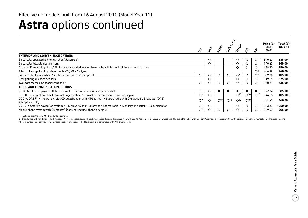## **Astra** options continued

|                                                                                                                                                    |                |      |               |               |                |                 |                          | Price $(E)$        | Total $(E)$ |
|----------------------------------------------------------------------------------------------------------------------------------------------------|----------------|------|---------------|---------------|----------------|-----------------|--------------------------|--------------------|-------------|
|                                                                                                                                                    |                | ૡ૾ૻૺ | Rctive        | <b>RCCCCR</b> | Design         | ぶ               |                          | exc.<br><b>VAT</b> | inc. VAT    |
| <b>EXTERIOR AND CONVENIENCE OPTIONS</b>                                                                                                            |                |      |               |               |                |                 |                          |                    |             |
| Electrically operated full-length slide/tilt sunroof                                                                                               |                | O    |               |               | $\circ$        |                 |                          | 540.43             | 635.00      |
| Electrically foldable door mirrors                                                                                                                 |                | O    |               |               | $\circ$        |                 | $\circ$                  | 140.43             | 165.00      |
| Adaptive Forward Lighting (AFL) incorporating dark-style bi-xenon headlights with high-pressure washers                                            |                |      |               |               | $\circ$        |                 | O                        | 638.30             | 750.00      |
| 18-inch five-spoke alloy wheels with 225/40 R 18 tyres                                                                                             |                |      |               |               |                |                 | $\bigcirc$ <sup>3</sup>  | 306.38             | 360.00      |
| Full-size steel spare wheel/tyre (in lieu of space-saver spare)                                                                                    | $\circ$        | Ċ    | $\circ$       |               | O <sup>7</sup> |                 | $\bigcirc$ 8             | 89.36              | 105.00      |
| Rear parking distance sensors                                                                                                                      |                |      |               |               | $\circ$        |                 |                          | 319.15             | 375.00      |
| Two-coat metallic or pearlescent paint                                                                                                             | O              |      |               |               |                |                 |                          | 370.21             | 435.00      |
| AUDIO AND COMMUNICATION OPTIONS                                                                                                                    |                |      |               |               |                |                 |                          |                    |             |
| CD 30 MP3 • CD player with MP3 format • Stereo radio • Auxiliary-in socket                                                                         | O              |      |               |               |                |                 |                          | 72.34              | 85.00       |
| CDC 40 • Integral six-disc CD autochanger with MP3 format • Stereo radio • Graphic display                                                         | O <sup>9</sup> | O    |               |               | $\bigcirc$ 10  | O <sup>10</sup> | $\bigcirc$ <sup>10</sup> | 344.68             | 405.00      |
| CDC 40 DAB <sup>11</sup> • Integral six-disc CD autochanger with MP3 format • Stereo radio with Digital Audio Broadcast (DAB)<br>• Graphic display | O <sup>9</sup> |      | $\bigcirc$ 10 | $\bigcirc$ 10 | $\bigcirc$ 10  | $\bigcirc$ 10   |                          | 391.49             | 460.00      |
| CD 70 • Satellite navigation system • CD player with MP3 format • Stereo radio • Auxiliary-in socket • Colour monitor                              | O <sup>9</sup> |      |               |               | $\circ$        |                 | $\circ$                  | 1063.83            | 1250.00     |
| Mobile phone system with Bluetooth <sup>®</sup> (does not include phone or cradle)                                                                 | O <sup>9</sup> |      |               |               | $\circ$        |                 |                          | 259.57             | 305.00      |

 $\bigcirc$  = Optional at extra cost.  $\bigcirc$  = Standard equipment.

3 = Standard on SRi with Exterior Pack models. 7 = 16-inch steel spare wheel/tyre supplied if ordered in conjunction with Sports Pack. 8 = 16-inch spare wheel/tyre. Not available on SRi with Exterior Pack models or in conj wheel mounted audio controls. 10= Deletes auxiliary-in socket. 11 = Not available in conjunction with VXR Styling Pack.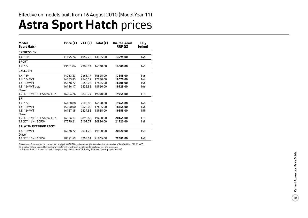| Model<br><b>Sport Hatch</b>    | Price (£) | VAT(E)  | Total $(E)$ | On-the-road<br>RRP(E) | CO <sub>2</sub><br>(g/km) |
|--------------------------------|-----------|---------|-------------|-----------------------|---------------------------|
| <b>EXPRESSION</b>              |           |         |             |                       |                           |
| 1.4i 16v                       | 11195.74  | 1959.26 | 13155.00    | 13995.00              | 146                       |
| <b>SPORT</b>                   |           |         |             |                       |                           |
| 1.4i 16v                       | 13651.06  | 2388.94 | 16040.00    | 16880.00              | 146                       |
| <b>EXCLUSIV</b>                |           |         |             |                       |                           |
| 1.4i 16v                       | 14063.83  | 2461.17 | 16525.00    | 17365.00              | 146                       |
| 1.6i 16y VVT                   | 14663.83  | 2566.17 | 17230.00    | 18070.00              | 146                       |
| 1.8i 16v VVT                   | 15178.72  | 2656.28 | 17835.00    | 18705.00              | 156                       |
| 1.8i 16v VVT auto              | 16136.17  | 2823.83 | 18960.00    | 19925.00              | 166                       |
| Diesel                         |           |         |             |                       |                           |
| 1.7CDTi 16v (110PS) ecoFLEX    | 16204.26  | 2835.74 | 19040.00    | 19755.00              | 119                       |
| <b>SRi</b>                     |           |         |             |                       |                           |
| 1.4i 16v                       | 14400.00  | 2520.00 | 16920.00    | 17760.00              | 146                       |
| 1.6i 16v VVT                   | 15000.00  | 2625.00 | 17625.00    | 18465.00              | 146                       |
| 1.8i 16v VVT                   | 16157.45  | 2827.55 | 18985.00    | 19855.00              | 159                       |
| Diesel                         |           |         |             |                       |                           |
| 1.7CDTi 16v (110PS) ecoFLEX    | 16536.17  | 2893.83 | 19430.00    | 20145.00              | 119                       |
| 1.9CDTi 16v (150PS)            | 17770.21  | 3109.79 | 20880.00    | 21720.00              | 149                       |
| <b>SRI WITH EXTERIOR PACK*</b> |           |         |             |                       |                           |
| 1.8i 16v VVT                   | 16978.72  | 2971.28 | 19950.00    | 20820.00              | 159                       |
| <b>Diesel</b>                  |           |         |             |                       |                           |
| 1.9CDTi 16v (150PS)            | 18591.49  | 3253.51 | 21845.00    | 22685.00              | 149                       |

18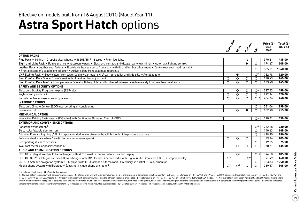## **Astra Sport Hatch options**

|                                                                                                                                                                                                                                       | Expressively   | Sport          | Erclassi                 | $\dot{\mathcal{S}}$      | Price $(E)$<br>exc.<br><b>VAT</b> | Total $(E)$<br>inc. VAT |
|---------------------------------------------------------------------------------------------------------------------------------------------------------------------------------------------------------------------------------------|----------------|----------------|--------------------------|--------------------------|-----------------------------------|-------------------------|
| <b>OPTION PACKS</b>                                                                                                                                                                                                                   |                |                |                          |                          |                                   |                         |
| Plus Pack • 16-inch 10-spoke alloy wheels with 205/55 R 16 tyres • Front fog lights                                                                                                                                                   |                |                | O                        |                          | 370.21                            | 435.00                  |
| Sight and Light Pack . Rain-sensitive windscreen wipers . Electro-chromatic anti-dazzle rear-view mirror . Automatic lighting control                                                                                                 |                |                | $\bullet$                | $\bigcirc$ <sup>1</sup>  | 174.47                            | 205.00                  |
| Leather Pack . Leather seat facings . Electrically heated sports front seats with tilt and lumbar adjustment . Centre rear seat head restraint<br>• Front passenger's seat height adjuster • Active-safety front seat head restraints |                |                |                          | $\circ$                  | 885.11                            | 1040.00                 |
| VXR Styling Pack . Body-colour front lower spoiler/rear lower skirt/rear roof spoiler and side sills . Aerial adaptor                                                                                                                 |                | $\bullet$      |                          | $\bigcirc$ <sup>2</sup>  | 782.98                            | 920.00                  |
| Seat Comfort Pack One . Driver's seat with tilt and lumbar adjustment                                                                                                                                                                 | $\circ$        | $\circ$        | $\circ$                  | $\circ$                  | 140.43                            | 165.00                  |
| Seat Comfort Pack Two <sup>3</sup> . Front passenger's seat with height, tilt and lumbar adjustment . Active-safety front seat head restraints                                                                                        | $\circ$        | 0              | $\circ$                  | $\circ$                  | 123.40                            | 145.00                  |
| <b>SAFETY AND SECURITY OPTIONS</b>                                                                                                                                                                                                    |                |                |                          |                          |                                   |                         |
| Electronic Stability Programme-plus (ESP-plus)                                                                                                                                                                                        |                | O              | O                        | O <sup>4</sup>           | 387.23                            | 455.00                  |
| Keyless entry and start                                                                                                                                                                                                               | $\circ$        | $\circ$        | $\circ$                  | $\circ$                  | 272.34                            | 320.00                  |
| Remote control ultrasonic security alarm                                                                                                                                                                                              | $\circ$        | $\circ$        | $\circ$                  | O <sub>4,5</sub>         | 204.26                            | 240.00                  |
| <b>INTERIOR OPTIONS</b>                                                                                                                                                                                                               |                |                |                          |                          |                                   |                         |
| Electronic Climate Control (ECC) incorporating air conditioning                                                                                                                                                                       |                |                |                          | O                        | 251.06                            | 295.00                  |
| Cruise control                                                                                                                                                                                                                        |                | $\circ$        |                          | $\circ$                  | 182.98                            | 215.00                  |
| <b>MECHANICAL OPTION</b>                                                                                                                                                                                                              |                |                |                          |                          |                                   |                         |
| Interactive Driving System-plus (IDS-plus) with Continuous Damping Control (CDC)                                                                                                                                                      |                |                |                          | $\circ$ <sup>6</sup>     | 370.21                            | 435.00                  |
| <b>EXTERIOR AND CONVENIENCE OPTIONS</b>                                                                                                                                                                                               |                |                |                          |                          |                                   |                         |
| Panoramic windscreen <sup>7</sup>                                                                                                                                                                                                     |                |                |                          | $\bigcirc$ <sup>8</sup>  | 782.98                            | 920.00                  |
| Electrically foldable door mirrors                                                                                                                                                                                                    |                |                |                          | $\circ$                  | 140.43                            | 165.00                  |
| Adaptive Forward Lighting (AFL) incorporating dark-style bi-xenon headlights with high-pressure washers                                                                                                                               |                |                |                          | $\bigcirc$               | 638.30                            | 750.00                  |
| Full-size steel spare wheel/tyre (in lieu of space-saver spare)                                                                                                                                                                       | $\circ$        | O              | $\circ$                  |                          | 89.36                             | 105.00                  |
| Rear parking distance sensors                                                                                                                                                                                                         |                |                |                          | $\circ$                  | 319.15                            | 375.00                  |
| Two-coat metallic or pearlescent paint                                                                                                                                                                                                |                | $\circ$        | $\circ$                  | O                        | 370.21                            | 435.00                  |
| <b>AUDIO AND COMMUNICATION OPTIONS</b>                                                                                                                                                                                                |                |                |                          |                          |                                   |                         |
| CDC 40 • Integral six-disc CD autochanger with MP3 format • Stereo radio • Graphic display                                                                                                                                            |                | O <sup>9</sup> |                          | $\bigcirc$ <sup>10</sup> | 344.68                            | 405.00                  |
| CDC 40 DAB <sup>11</sup> . Integral six-disc CD autochanger with MP3 format . Stereo radio with Digital Audio Broadcast (DAB) . Graphic display                                                                                       | O <sup>9</sup> |                | $\bigcirc$ <sup>10</sup> |                          | 391.49                            | 460.00                  |
| CD 70 · Satellite navigation system · CD player with MP3 format · Stereo radio · Auxiliary-in socket · Colour monitor                                                                                                                 |                |                |                          | $\circ$                  | 1063.83                           | 1250.00                 |
| Mobile phone system with Bluetooth® (does not include phone or cradle) <sup>1</sup>                                                                                                                                                   | O <sup>9</sup> | O <sup>9</sup> | $\circ$                  | $\bigcirc$               | 259.57                            | 305.00                  |

 $\bigcirc$  = Optional at extra cost.  $\bigcirc$  = Standard equipment.

1 = Not available in conjunction with panoramic windscreen. 2 = Standard on SRi with Exterior Pack models. 3 = Only available in conjunction with Seat Comfort Pack One. 4 = Standard on 1.8i 16v VVT and 1.9CDTi 16v (150PS) 1.7CDTi 16v (110PS) ecoFLEX models. 5 = If fitted in conjunction with panoramic windscreen the ultrasonic sensors are deleted. 6 = Not available on 1.4i 16v, 1.6i 16v VVT or 1.7CDTi 16v (110PS) ecoFLEX models. 7 = Not avai system with Bluetooth®. Roof panel is coloured black. Deletes illuminated driver's and front passenger's vanity mirrors, front map reading lights, body-colour roof mouldings and driver's sunglasses holder. Not available in sensors from remote control security alarm system. 9 = Includes steering wheel mounted audio controls. 10= Deletes auxiliary-in socket. 11 = Not available in conjunction with VXR Styling Pack.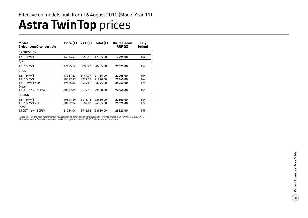# **Astra TwinTop prices**

| Model<br>2-door coupé convertible | Price (£) | VAT $(f)$ | Total $(E)$ | On-the-road<br>RRP(E) | CO <sub>2</sub><br>(g/km) |
|-----------------------------------|-----------|-----------|-------------|-----------------------|---------------------------|
| <b>EXPRESSION</b>                 |           |           |             |                       |                           |
| 1.6i 16v VVT                      | 14574.47  | 2550.53   | 17125.00    | 17995.00              | 154                       |
| <b>AIR</b>                        |           |           |             |                       |                           |
| 1.6i 16y VVT                      | 17195.74  | 3009.26   | 20205.00    | 21075.00              | 154                       |
| <b>SPORT</b>                      |           |           |             |                       |                           |
| 1.6i 16v VVT                      | 17987.23  | 3147.77   | 21135.00    | 22005.00              | 154                       |
| 1.8i 16v VVT                      | 18697.87  | 3272.13   | 21970.00    | 22840.00              | 164                       |
| 1.8i 16y VVT auto                 | 19655.32  | 3439.68   | 23095.00    | 24060.00              | 174                       |
| Diesel                            |           |           |             |                       |                           |
| 1.9CDTi 16y (150PS)               | 20417.02  | 3572.98   | 23990.00    | 24860.00              | 159                       |
| <b>DESIGN</b>                     |           |           |             |                       |                           |
| 1.8i 16v VVT                      | 19514.89  | 3415.11   | 22930.00    | 23800.00              | 164                       |
| 1.8i 16y VVT auto                 | 20472.34  | 3582.66   | 24055.00    | 25020.00              | 174                       |
| Diesel                            |           |           |             |                       |                           |
| 1.9CDTi 16y (150PS)               | 21234.04  | 3715.96   | 24950.00    | 25820.00              | 159                       |

Please note: On-the-road recommended retail prices (RRP) include number plates and delivery to retailer of £660.00 (inc. £98.30 VAT),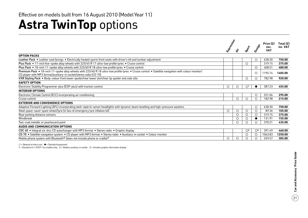## **Astra TwinTop** options

|                                                                                                                                                                                                                          |              |         |                         |                 | Price $(E)$        | Total $(E)$ |
|--------------------------------------------------------------------------------------------------------------------------------------------------------------------------------------------------------------------------|--------------|---------|-------------------------|-----------------|--------------------|-------------|
|                                                                                                                                                                                                                          | Expressively | ❖       |                         | Desript         | exc.<br><b>VAT</b> | inc. VAT    |
| <b>OPTION PACKS</b>                                                                                                                                                                                                      |              |         |                         |                 |                    |             |
| Leather Pack . Leather seat facings . Electrically heated sports front seats with driver's tilt and lumbar adjustment                                                                                                    |              |         |                         | $\circ$         | 638.30             | 750.00      |
| Plus Pack • 17-inch five-spoke alloy wheels with 225/45 R 17 ultra-low profile tyres • Cruise control                                                                                                                    |              |         | $\circ$                 |                 | 319.15             | 375.00      |
| Plus Pack • 18-inch 11-spoke alloy wheels with 225/40 R 18 ultra-low profile tyres • Cruise control                                                                                                                      |              |         |                         | $\circ$         | 408.51             | 480.00      |
| Premium Pack • 18-inch 11-spoke alloy wheels with 225/40 R 18 ultra-low profile tyres • Cruise control • Satellite navigation with colour monitor/<br>CD player with MP3 format/auxiliary-in socket/stereo radio (CD 70) |              |         |                         | $\bigcirc$      | 1195.74            | 1405.00     |
| VXR Styling Pack . Body-colour front lower spoiler/rear lower skirt/rear lip spoiler and side sills                                                                                                                      |              |         | $\bigcirc$              | $\bigcirc$      | 782.98             | 920.00      |
| <b>SAFETY OPTION</b>                                                                                                                                                                                                     |              |         |                         |                 |                    |             |
| Electronic Stability Programme-plus (ESP-plus) with traction control                                                                                                                                                     | O            | O       | $\bigcirc$ <sup>1</sup> |                 | 387.23             | 455.00      |
| <b>INTERIOR OPTIONS</b>                                                                                                                                                                                                  |              |         |                         |                 |                    |             |
| Electronic Climate Control (ECC) incorporating air conditioning                                                                                                                                                          |              |         |                         | $\circ$         | 251.06             | 295.00      |
| Cruise control                                                                                                                                                                                                           |              | $\circ$ | ∩                       |                 | 182.98             | 215.00      |
| <b>EXTERIOR AND CONVENIENCE OPTIONS</b>                                                                                                                                                                                  |              |         |                         |                 |                    |             |
| Adaptive Forward Lighting (AFL) incorporating dark-style bi-xenon headlights with dynamic beam levelling and high-pressure washers                                                                                       |              |         |                         | $\circ$         | 638.30             | 750.00      |
| Steel space-saver spare wheel/tyre (in lieu of emergency tyre inflation kit)                                                                                                                                             | $\circ$      | $\circ$ | $\circ$                 | $\circ$         | 89.36              | 105.00      |
| Rear parking distance sensors                                                                                                                                                                                            |              | $\circ$ | $\circ$                 |                 | 319.15             | 375.00      |
| Windbreak                                                                                                                                                                                                                |              | $\circ$ | O                       |                 | 131.91             | 155.00      |
| Two-coat metallic or pearlescent paint                                                                                                                                                                                   |              | $\circ$ | $\bigcirc$              | ◯               | 370.21             | 435.00      |
| AUDIO AND COMMUNICATION OPTIONS                                                                                                                                                                                          |              |         |                         |                 |                    |             |
| CDC 40 • Integral six-disc CD autochanger with MP3 format • Stereo radio • Graphic display                                                                                                                               |              |         | $\mathcal{O}^2$         | $\mathcal{O}^2$ | 391.49             | 460.00      |
| CD 70 • Satellite navigation system • CD player with MP3 format • Stereo radio • Auxiliary-in socket • Colour monitor                                                                                                    |              |         | $\circ$                 | $\circ$         | 1063.83            | 1250.00     |
| Mobile phone system with Bluetooth <sup>®</sup> (does not include phone or cradle) <sup>3</sup>                                                                                                                          | $\circ$      | $\circ$ | $\circ$                 |                 | 259.57             | 305.00      |

 $\bigcirc$  = Optional at extra cost.  $\bigcirc$  = Standard equipment.

1 = Standard on 1.9CDTi 16v models only. 2 = Deletes auxiliary-in socket. 3 = Includes graphic information display.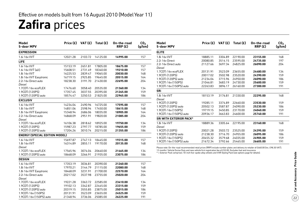## **Zafira** prices

| Model<br>5-door MPV                   |          |         | Price $(E)$ VAT $(E)$ Total $(E)$ | On-the-road<br>RRP(E) | CO <sub>2</sub><br>(g/km) | <b>Model</b><br>5-door MPV                                                                                                            | Price $(E)$ |         | VAT $(E)$ Total $(E)$ | On-the-road<br>RRP(E) | CO <sub>2</sub><br>(g/km) |
|---------------------------------------|----------|---------|-----------------------------------|-----------------------|---------------------------|---------------------------------------------------------------------------------------------------------------------------------------|-------------|---------|-----------------------|-----------------------|---------------------------|
| <b>EXPRESSION</b>                     |          |         |                                   |                       |                           | <b>ELITE</b>                                                                                                                          |             |         |                       |                       |                           |
| 1.6i 16v VVT                          | 12021.28 |         | 2103.72 14125.00                  | 14995.00              | 157                       | 1.8i 16v VVT                                                                                                                          | 18885.11    | 3304.89 | 22190.00              | 23155.00              | 168                       |
| <b>LIFE</b>                           |          |         |                                   |                       |                           | 2.2i 16v Direct                                                                                                                       | 20080.85    | 3514.15 | 23595.00              | 24735.00              | 197                       |
| 1.6i 16v VVT                          | 15153.19 | 2651.81 | 17805.00                          | 18675.00              | 157                       | 2.2i 16v Direct auto<br>Diesel                                                                                                        | 21127.66    |         | 3697.34 24825.00      | 26090.00              | 204                       |
| 1.6i 16v VVT (a/c)                    | 15608.51 | 2731.49 | 18340.00                          | 19210.00              | 157                       | 1.7CDTi 16v ecoFLEX                                                                                                                   | 20131.91    | 3523.09 | 23655.00              | 24480.00              | 134                       |
| 1.8i 16v VVT                          | 16225.53 | 2839.47 | 19065.00                          | 20030.00              | 168                       | 1.9CDTi (120PS)                                                                                                                       | 20017.02    | 3502.98 | 23520.00              | 24390.00              | 159                       |
| 1.8i 16v VVT Easytronic               | 16719.15 | 2925.85 | 19645.00                          | 20515.00              | 164                       | 1.9CDTi (120PS) auto                                                                                                                  | 21234.04    | 3715.96 | 24950.00              | 26090.00              | 186                       |
| 2.2i 16v Direct auto                  | 18238.30 | 3191.70 | 21430.00                          | 22695.00              | 204                       | 1.9CDTi 16v (150PS)                                                                                                                   | 21046.81    | 3683.19 | 24730.00              | 25600.00              | 159                       |
| Diesel                                |          |         |                                   |                       |                           | 1.9CDTi 16v (150PS) auto                                                                                                              |             |         | 26160.00              |                       | 191                       |
| 1.7CDTi 16v ecoFLEX                   | 17476.60 | 3058.40 | 20535.00                          | 21360.00              | 134                       |                                                                                                                                       | 22263.83    | 3896.17 |                       | 27300.00              |                           |
| 1.9CDTi (120PS)                       | 17357.45 | 3037.55 | 20395.00                          | 21265.00              | 159                       | <b>SRi</b>                                                                                                                            |             |         |                       |                       |                           |
| 1.9CDTi (120PS) auto                  | 18574.47 | 3250.53 | 21825.00                          | 22965.00              | 186                       | 1.8i 16v VVT                                                                                                                          | 18153.19    | 3176.81 | 21330.00              | 22295.00              | 168                       |
| <b>EXCLUSIV</b>                       |          |         |                                   |                       |                           | Diesel                                                                                                                                |             |         |                       |                       |                           |
| 1.6i 16v VVT                          | 14234.04 | 2490.96 | 16725.00                          | 17595.00              | 157                       | 1.9CDTi (120PS)                                                                                                                       | 19285.11    | 3374.89 | 22660.00              | 23530.00              | 159                       |
| 1.8i 16v VVT                          | 14851.06 | 2598.94 | 17450.00                          | 18415.00              | 168                       | 1.9CDTi (120PS) auto                                                                                                                  | 20502.13    | 3587.87 | 24090.00              | 25230.00              | 186                       |
| 1.8i 16v VVT Easytronic               | 15348.94 | 2686.06 | 18035.00                          | 18905.00              | 164                       | 1.9CDTi 16v (150PS)                                                                                                                   | 19719.15    | 3450.85 | 23170.00              | 24040.00              | 159                       |
| 2.2i 16v Direct auto                  | 16868.09 | 2951.91 | 19820.00                          | 21085.00              | 204                       | 1.9CDTi 16v (150PS) auto                                                                                                              | 20936.17    | 3663.83 | 24600.00              | 25740.00              | 191                       |
| Diesel                                |          |         |                                   |                       |                           | <b>SRI WITH EXTERIOR PACK*</b>                                                                                                        |             |         |                       |                       |                           |
| 1.7CDTi 16v ecoFLEX                   | 16106.38 |         | 2818.62 18925.00                  | 19750.00              | 134                       | 1.8i 16v VVT                                                                                                                          | 18889.36    | 3305.64 | 22195.00              | 23160.00              | 168                       |
| 1.9CDTi (120PS)                       | 15987.23 | 2797.77 | 18785.00                          | 19655.00              | 159                       | Diesel                                                                                                                                |             |         |                       |                       |                           |
| 1.9CDTi (120PS) auto                  | 17204.26 | 3010.74 | 20215.00                          | 21355.00              | 186                       | 1.9CDTi (120PS)                                                                                                                       | 20021.28    | 3503.72 | 23525.00              | 24395.00              | 159                       |
| <b>ENERGY (SPECIAL EDITION MODEL)</b> |          |         |                                   |                       |                           | 1.9CDTi (120PS) auto                                                                                                                  | 21238.30    | 3716.70 | 24955.00              | 26095.00              | 186                       |
| 1.6i 16v VVT                          | 15697.87 | 2747.13 | 18445.00                          | 19315.00              | 157                       | 1.9CDTi 16v (150PS)                                                                                                                   | 20455.32    | 3579.68 | 24035.00              | 24905.00              | 159                       |
| 1.8i 16v VVT                          | 16314.89 | 2855.11 | 19170.00                          | 20135.00              | 168                       | 1.9CDTi 16v (150PS) auto                                                                                                              | 21672.34    |         | 3792.66 25465.00      | 26605.00              | 191                       |
| Diesel                                |          |         |                                   |                       |                           | Please note: On-the-road recommended retail prices (RRP) include number plates and delivery to retailer of £660.00 (inc. £98.30 VAT), |             |         |                       |                       |                           |
| 1.7CDTi 16v ecoFLEX                   | 17565.96 | 3074.04 | 20640.00                          | 21465.00              | 134                       | 12 months' Vehicle Excise Duty and new vehicle first registration fee of £55.00. Excludes fuel and insurance.                         |             |         |                       |                       |                           |
| 1.9CDTi (120PS) auto                  | 18668.09 | 3266.91 | 21935.00                          | 23075.00              | 186                       | * = Exterior Pack comprises 18-inch five-spoke alloy wheels and VXR Styling Pack (see options page for details).                      |             |         |                       |                       |                           |
| <b>DESIGN</b>                         |          |         |                                   |                       |                           |                                                                                                                                       |             |         |                       |                       |                           |
| 1.6i 16v VVT                          | 17353.19 | 3036.81 | 20390.00                          | 21260.00              | 157                       |                                                                                                                                       |             |         |                       |                       |                           |
| 1.8i 16v VVT                          | 17970.21 | 3144.79 | 21115.00                          | 22080.00              | 168                       |                                                                                                                                       |             |         |                       |                       |                           |
| 1.8i 16v VVT Easytronic               | 18468.09 | 3231.91 | 21700.00                          | 22570.00              | 164                       |                                                                                                                                       |             |         |                       |                       |                           |
| 2.2i 16v Direct auto                  | 20217.02 | 3537.98 | 23755.00                          | 25020.00              | 204                       |                                                                                                                                       |             |         |                       |                       |                           |
| Diesel                                |          |         |                                   |                       |                           |                                                                                                                                       |             |         |                       |                       |                           |
| 1.7CDTi 16v ecoFLEX                   | 19221.28 | 3363.72 | 22585.00                          | 23410.00              | 134                       |                                                                                                                                       |             |         |                       |                       |                           |
| 1.9CDTi (120PS)                       | 19102.13 | 3342.87 | 22445.00                          | 23315.00              | 159                       |                                                                                                                                       |             |         |                       |                       |                           |
| 1.9CDTi (120PS) auto                  | 20319.15 | 3555.85 | 23875.00                          | 25015.00              | 186                       |                                                                                                                                       |             |         |                       |                       |                           |
| 1.9CDTi 16v (150PS)                   | 20131.91 | 3523.09 | 23655.00                          | 24525.00              | 159                       |                                                                                                                                       |             |         |                       |                       |                           |
| 1.9CDTi 16v (150PS) auto              | 21348.94 | 3736.06 | 25085.00                          | 26225.00              | 191                       |                                                                                                                                       |             |         |                       |                       |                           |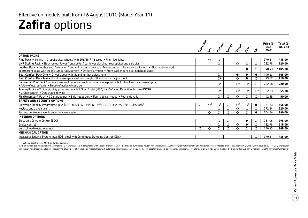## **Zafira** options

|                                                                                                                                                                                                                                                | Expressive | $\ddot{\mathcal{S}}$ | <b>Stronger</b>         | Energy  | Design                  | Elise                   | خې<br>ح                          | Price $(E)$<br>exc.<br><b>VAT</b> | Total (£)<br>inc. VAT |
|------------------------------------------------------------------------------------------------------------------------------------------------------------------------------------------------------------------------------------------------|------------|----------------------|-------------------------|---------|-------------------------|-------------------------|----------------------------------|-----------------------------------|-----------------------|
| <b>OPTION PACKS</b>                                                                                                                                                                                                                            |            |                      |                         |         |                         |                         |                                  |                                   |                       |
| Plus Pack • 16-inch 10-spoke alloy wheels with 205/55 R 16 tyres • Front fog lights                                                                                                                                                            |            | $\circ$              | $\circ$                 |         |                         |                         |                                  | 370.21                            | 435.00                |
| VXR Styling Pack ● Body-colour lower front spoiler/rear lower skirt/rear roof spoiler and side sills                                                                                                                                           |            |                      | $\circ$                 |         | $\circ$                 | $\circ$                 | $\circlearrowright$ <sup>1</sup> | 782.98                            | 920.00                |
| Leather Pack • Leather seat facings on front and second-row seats, Morrocana on third-row seat facings • Electrically heated<br>sports front seats with tilt and lumbar adjustment . Driver's armrest . Front passenger's seat height adjuster |            |                      |                         |         |                         |                         | $\circ$                          | 940.43                            | 1105.00               |
| Seat Comfort Pack One . Driver's seat with tilt and lumbar adjustment                                                                                                                                                                          |            |                      | О                       |         |                         |                         | $\bullet$                        | 140.43                            | 165.00                |
| Seat Comfort Pack Two • Front passenger's seat with height, tilt and lumbar adjustment                                                                                                                                                         |            |                      | O <sup>2</sup>          |         | $\bigcirc$              |                         |                                  | 93.62                             | 110.00                |
| Panoramic Roof Pack <sup>3</sup> . Four glass roof panels . Roof-mounted storage console for front and rear passengers<br>• Alloy-effect roof rails • Heat-reflective windscreen                                                               |            |                      | $\bigcirc$ <sup>4</sup> |         | $\bigcirc$ <sup>4</sup> | $\bigcirc$ 4            | $\bigcirc$                       | 782.98                            | 920.00                |
| Towing Pack <sup>4</sup> . Trailer stability programme . Hill Start Assist (HSA) <sup>5</sup> . Deflation Detection System (DDS) <sup>5</sup><br>• Cruise control • Detachable tow bar                                                         |            |                      | $\circ$ <sup>6</sup>    |         | $\circ$ <sup>6</sup>    | $\bigcirc$ 6            | $\circ$                          | 302.13                            | 355.00                |
| FlexOrganiser® Pack • 3D storage net • Side net pocket • Four side rail hooks • Four side rails                                                                                                                                                |            |                      | О                       | O       | $\circ$                 | ∩                       | ◯                                | 42.55                             | 50.00                 |
| <b>SAFETY AND SECURITY OPTIONS</b>                                                                                                                                                                                                             |            |                      |                         |         |                         |                         |                                  |                                   |                       |
| Electronic Stability Programme-plus (ESP-plus) (1.6i 16v/1.8i 16v/1.7CDTi 16v/1.9CDTi (120PS) only)                                                                                                                                            | $\circ$    | $\mathcal{O}^7$      | $\mathcal{O}^7$         | $\circ$ | $\bigcirc$ <sup>8</sup> | $\bigcirc$ <sup>8</sup> |                                  | 387.23                            | 455.00                |
| Keyless entry and start                                                                                                                                                                                                                        |            |                      | О                       | $\circ$ | $\circ$                 | $\circ$                 | $\circ$                          | 272.34                            | 320.00                |
| Remote control ultrasonic security alarm system                                                                                                                                                                                                |            | ◯                    | ∩                       | ◯       | ◯                       | ∩                       | ●                                | 204.26                            | 240.00                |
| <b>INTERIOR OPTIONS</b>                                                                                                                                                                                                                        |            |                      |                         |         |                         |                         |                                  |                                   |                       |
| Electronic Climate Control (ECC)                                                                                                                                                                                                               |            |                      | O                       | $\circ$ |                         |                         | $\circ$                          | 251.06                            | 295.00                |
| Cruise control                                                                                                                                                                                                                                 |            |                      | О                       | $\circ$ | $\circ$                 |                         | O                                | 182.98                            | 215.00                |
| Vertical load-restraining net                                                                                                                                                                                                                  | $\circ$    | ∩                    | ∩                       | ◯       | ∩                       |                         |                                  | 140.43                            | 165.00                |
| <b>MECHANICAL OPTION</b>                                                                                                                                                                                                                       |            |                      |                         |         |                         |                         |                                  |                                   |                       |
| Interactive Driving System-plus (IDS-plus) with Continuous Damping Control (CDC)                                                                                                                                                               |            |                      |                         |         |                         |                         | $\circ$                          | 370.21                            | 435.00                |

 $\bigcirc$  = Optional at extra cost.  $\bigcirc$  = Standard equipment.

1 = Standard on SRi with Exterior Pack models. 2 = Only available in conjunction with Seat Comfort Pack One. 3 = Deletes sunglasses holder. Not available on 1.9CDTi 16y (150PS) automatic SRi with Exterior Pack models. or i conjunction with Electronic Stability Programme-plus. 5 = Not available on models fitted with automatic transmission. 6 = Requires 13-pin adaptor (available as a Vauxhall accessory). 7 = Standard on 2.2i 16v Direct model.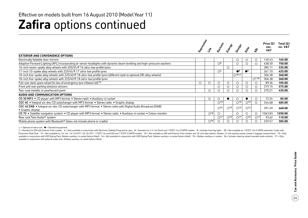## **Zafira** options continued

|                                                                                                                                              |         |                          | <b>Hugoslav</b>          |                          | esison                   |                          | $\hat{s}$       | Price (£)<br>exc.<br><b>VAT</b> | Total $(E)$<br>inc. VAT |
|----------------------------------------------------------------------------------------------------------------------------------------------|---------|--------------------------|--------------------------|--------------------------|--------------------------|--------------------------|-----------------|---------------------------------|-------------------------|
| <b>EXTERIOR AND CONVENIENCE OPTIONS</b>                                                                                                      |         |                          |                          |                          |                          |                          |                 |                                 |                         |
| Electrically foldable door mirrors                                                                                                           |         |                          |                          |                          | $\circ$                  | $\cup$                   | $\circ$         | 140.43                          | 165.00                  |
| Adaptive Forward Lighting (AFL) incorporating bi-xenon headlights with dynamic beam levelling and high-pressure washers                      |         |                          | O <sup>9</sup>           |                          | $\circ$                  |                          |                 | 638.30                          | 750.00                  |
| 16-inch seven-spoke alloy wheels with 205/55 R 16 ultra-low profile tyres                                                                    |         |                          |                          | $\circ$                  |                          |                          |                 | 285.11                          | 335.00                  |
| 17-inch 10-spoke alloy wheels with 225/45 R 17 ultra-low profile tyres                                                                       |         |                          | $\bigcirc$ <sup>4</sup>  |                          | $\bullet^8$              | $^{\bullet^8}$           |                 | 361.70                          | 425.00                  |
| 18-inch five-spoke alloy wheels with 225/40 R 18 ultra-low profile tyres (different style to optional SRi alloy wheels)                      |         |                          |                          |                          | $\bigcap$ 10,11          |                          |                 | 306.38                          | 360.00                  |
| 18-inch five-spoke alloy wheels with 225/40 R 18 ultra-low profile tyres                                                                     |         |                          |                          |                          |                          |                          | $\bigcap$ 1,10  | 306.38                          | 360.00                  |
| Full-size steel spare wheel (in lieu of emergency tyre inflation kit) 12                                                                     | $\circ$ | $\circ$                  | $\circ$                  | $\circ$                  | $\circ$                  |                          |                 | 89.36                           | 105.00                  |
| Front and rear parking distance sensors                                                                                                      |         |                          | O                        | Ο                        | $\circ$                  |                          |                 | 319.15                          | 375.00                  |
| Two-coat metallic or pearlescent paint                                                                                                       |         | O                        | O                        |                          |                          |                          |                 | 370.21                          | 435.00                  |
| AUDIO AND COMMUNICATION OPTIONS                                                                                                              |         |                          |                          |                          |                          |                          |                 |                                 |                         |
| CD 30 MP3 • CD player with MP3 format • Stereo radio • Auxiliary-in socket                                                                   |         | $\circ$                  | O                        |                          | $\circ$                  |                          | ◯               | 72.34                           | 85.00                   |
| CDC 40 • Integral six-disc CD autochanger with MP3 format • Stereo radio • Graphic display                                                   |         |                          | $\bigcirc$ <sup>13</sup> |                          | $\bigcirc$ <sup>13</sup> | $\bigcirc$ <sup>13</sup> | ◯               | 344.68                          | 405.00                  |
| CDC 40 DAB • Integral six-disc CD autochanger with MP3 format • Stereo radio with Digital Audio Broadcast (DAB)<br>$\bullet$ Graphic display |         |                          | O <sup>14</sup>          | $\bigcirc$ <sup>15</sup> | $\bigcirc$ <sup>14</sup> | $\bigcirc$ <sup>14</sup> |                 | 391.49                          | 460.00                  |
| CD 70 • Satellite navigation system • CD player with MP3 format • Stereo radio • Auxiliary-in socket • Colour monitor                        |         | O <sup>16</sup>          | $\circ$                  |                          | $\circ$                  | O                        | $\circ$         | 1063.83                         | 1250.00                 |
| Rear seat Twin Audio <sup>®</sup> system                                                                                                     |         |                          | $\bigcirc$ 17            | O <sup>15</sup>          | O <sup>17</sup>          | O <sup>15</sup>          | O <sup>17</sup> | 93.62                           | 110.00                  |
| Mobile phone system with Bluetooth <sup>®</sup> (does not include phone or cradle)                                                           |         | $\bigcirc$ <sup>16</sup> | О                        |                          |                          |                          |                 | 259.57                          | 305.00                  |

 $\bigcirc$  = Optional at extra cost.  $\bigcirc$  = Standard equipment.

1 = Standard on SRi with Exterior Pack models. 4 = Only available in conjunction with Electronic Stability Programme-plus. 8 = Standard on 2.2i 16v Direct and 1.9CDTi 16v (150PS) models. 9 = Includes front fog lights. 10 = Panoramic Roof Pack. 11 = Not available on 1.6i 16v, 1.6i 16v VVT, 1.8i 16v VVT, 1.8i 16v VVT, 1.8i 16v VVT, 1.7CDTi 16v ecoFLEX and 1.9CDTi (120PS) models. 12 = Not available on SRi with Exterior Pack models and 18-inch a available in conjunction with VXR Styling Pack. Deletes auxiliary-in socket (where fitted). 14 = Not available in conjunction with VXR Styling Pack. Deletes auxiliary-in socket. 16 = Includes steering wheel mounted audio c available in conjunction with optional audio units. Deletes auxiliary-in socket (where fitted).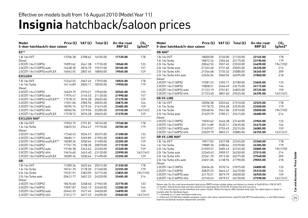### **Insignia** hatchback/saloon prices Effective on models built from 16 August 2010 (Model Year 11)

| Model<br>5-door hatchback/4-door saloon |          |         | Price $(E)$ VAT $(E)$ Total $(E)$ | On-the-road<br>RRP(E) | CO <sub>2</sub><br>$(g/km)^*$ | <b>Model</b><br>5-door hatchback/4-door saloon                                                                                                                                                |          |         | Price $(E)$ VAT $(E)$ Total $(E)$ | On-the-road<br>RRP(E) | CO <sub>2</sub><br>$(g/km)^*$ |
|-----------------------------------------|----------|---------|-----------------------------------|-----------------------|-------------------------------|-----------------------------------------------------------------------------------------------------------------------------------------------------------------------------------------------|----------|---------|-----------------------------------|-----------------------|-------------------------------|
| ES**                                    |          |         |                                   |                       |                               | <b>SRi NAV<sup>+</sup></b>                                                                                                                                                                    |          |         |                                   |                       |                               |
| 1.8i 16v VVT                            | 13706.38 |         | 2398.62 16105.00                  | 17120.00              | 178                           | 1.8i 16v VVT                                                                                                                                                                                  | 18000.00 | 3150.00 | 21150.00                          | 22165.00              | 178                           |
| Diesel                                  |          |         |                                   |                       |                               | 1.6i 16v Turbo                                                                                                                                                                                | 18872.34 | 3302.66 | 22175.00                          | 23190.00              | 179                           |
| 2.0CDTi 16v (130PS)                     | 15093.62 |         | 2641.38 17735.00                  | 18560.00              | 133                           | 2.0i 16y Turbo                                                                                                                                                                                | 20042.55 | 3507.45 | 23550.00                          | 24690.00              | 194 (192)                     |
| 2.0CDTi 16v (130PS) auto                | 16438.30 |         | 2876.70 19315.00                  | 20185.00              | 157                           | 2.0i 16v Turbo auto                                                                                                                                                                           | 21323.40 | 3731.60 | 25055.00                          | 26320.00              | 214                           |
| 2.0CDTi 16v (160PS) ecoFLEX             | 16042.55 |         | 2807.45 18850.00                  | 19565.00              | 129                           | 2.0i 16v Turbo 4X4                                                                                                                                                                            | 21344.68 | 3735.32 | 25080.00                          | 26345.00              | 209                           |
| <b>EXCLUSIV</b>                         |          |         |                                   |                       |                               | 2.0i 16y Turbo 4X4 auto                                                                                                                                                                       | 22634.04 | 3960.96 | 26595.00                          | 27860.00              | 218                           |
| 1.8i 16v VVT                            | 15242.55 |         | 2667.45 17910.00                  | 18925.00              | 178                           | Diesel                                                                                                                                                                                        |          |         |                                   |                       |                               |
| 1.6i 16v Turbo                          | 16114.89 |         | 2820.11 18935.00                  | 19950.00              | 179                           | 2.0CDTi 16v (130PS)                                                                                                                                                                           | 19387.23 | 3392.77 | 22780.00                          | 23605.00              | 133                           |
| Diesel                                  |          |         |                                   |                       |                               | 2.0CDTi 16y (160PS)                                                                                                                                                                           | 19808.51 | 3466.49 | 23275.00                          | 24115.00              | 144                           |
| 2.0CDTi 16v (130PS)                     | 16629.79 |         | 2910.21 19540.00                  | 20365.00              | 133                           | 2.0CDTi 16v (160PS) auto                                                                                                                                                                      | 21153.19 | 3701.81 | 24855.00                          | 25725.00              | 159                           |
| 2.0CDTi 16v (130PS) auto                | 17974.47 |         | 3145.53 21120.00                  | 21990.00              | 157                           | 2.0CDTi 16v (160PS) 4X4                                                                                                                                                                       | 21723.40 |         | 3801.60 25525.00                  | 26395.00              | 163 (161)                     |
| 2.0CDTi 16v (130PS) ecoFLEX**           | 17578.72 | 3076.28 | 20655.00                          | 21370.00              | 129                           | <b>SRiVX-LINE</b>                                                                                                                                                                             |          |         |                                   |                       |                               |
| 2.0CDTi 16v (160PS)                     | 17051.06 | 2983.94 | 20035.00                          | 20875.00              | 144                           | 1.8i 16v VVT                                                                                                                                                                                  | 18306.38 | 3203.62 | 21510.00                          | 22525.00              | 178                           |
| 2.0CDTi 16v (160PS) auto                | 18395.74 |         | 3219.26 21615.00                  | 22485.00              | 159                           | 1.6i 16v Turbo                                                                                                                                                                                | 19178.72 | 3356.28 | 22535.00                          | 23550.00              | 179                           |
| 2.0CDTi 16v (160PS) 4X4                 | 18965.96 |         | 3319.04 22285.00                  | 23155.00              | 163(161)                      | 2.0i 16v Turbo                                                                                                                                                                                | 20348.94 | 3561.06 | 23910.00                          | 25050.00              | 194 (192)                     |
| 2.0CDTi 16v (160PS) ecoFLEX             | 17578.72 |         | 3076.28 20655.00                  | 21370.00              | 129                           | 2.0i 16v Turbo auto                                                                                                                                                                           | 21629.79 | 3785.21 | 25415.00                          | 26680.00              | 214                           |
| <b>EXCLUSIV NAV<sup>+</sup></b>         |          |         |                                   |                       |                               | Diesel                                                                                                                                                                                        |          |         |                                   |                       |                               |
| 1.8i 16v VVT                            | 15953.19 |         | 2791.81 18745.00                  | 19760.00              | 178                           | 2.0CDTi 16v (130PS)                                                                                                                                                                           | 19693.62 | 3446.38 | 23140.00                          | 23965.00              | 133                           |
| 1.6i 16v Turbo                          | 16825.53 |         | 2944.47 19770.00                  | 20785.00              | 179                           | 2.0CDTi 16v (160PS)                                                                                                                                                                           | 20114.89 | 3520.11 | 23635.00                          | 24475.00              | 144                           |
| Diesel                                  |          |         |                                   |                       |                               | 2.0CDTi 16v (160PS) auto                                                                                                                                                                      | 21459.57 | 3755.43 | 25215.00                          | 26085.00              | 159                           |
| 2.0CDTi 16v (130PS)                     | 17340.43 | 3034.57 | 20375.00                          | 21200.00              | 133                           | 2.0CDTi 16v (160PS) 4X4                                                                                                                                                                       | 22029.79 | 3855.21 | 25885.00                          | 26755.00              | 163(161)                      |
| 2.0CDTi 16v (130PS) auto                | 18685.11 |         | 3269.89 21955.00                  | 22825.00              | 157                           | <b>SRi VX-LINE NAV<sup>+</sup></b>                                                                                                                                                            |          |         |                                   |                       |                               |
| 2.0CDTi 16v (130PS) ecoFLEX**           | 18289.36 |         | 3200.64 21490.00                  | 22205.00              | 129                           | 1.8i 16v VVT                                                                                                                                                                                  | 19017.02 | 3327.98 | 22345.00                          | 23360.00              | 178                           |
| 2.0CDTi 16v (160PS)                     | 17761.70 | 3108.30 | 20870.00                          | 21710.00              | 144                           | 1.6i 16y Turbo                                                                                                                                                                                | 19889.36 | 3480.64 | 23370.00                          | 24385.00              | 179                           |
| 2.0CDTi 16v (160PS) auto                | 19106.38 | 3343.62 | 22450.00                          | 23320.00              | 159                           | 2.0i 16v Turbo                                                                                                                                                                                | 21059.57 | 3685.43 | 24745.00                          | 25885.00              | 194 (192)                     |
| 2.0CDTi 16v (160PS) 4X4                 | 19676.60 |         | 3443.40 23120.00                  | 23990.00              | 163(161)                      | 2.0i 16y Turbo auto                                                                                                                                                                           | 22340.43 | 3909.57 | 26250.00                          | 27515.00              | 214                           |
| 2.0CDTi 16v (160PS) ecoFLEX             | 18289.36 |         | 3200.64 21490.00                  | 22205.00              | 129                           | 2.0i 16v Turbo 4X4                                                                                                                                                                            | 22361.70 | 3913.30 | 26275.00                          | 27540.00              | 209                           |
| <b>SRi</b>                              |          |         |                                   |                       |                               | 2.0i 16v Turbo 4X4 auto                                                                                                                                                                       | 23651.06 | 4138.94 | 27790.00                          | 29055.00              | 218                           |
| 1.8i 16v VVT                            | 17289.36 | 3025.64 | 20315.00                          | 21330.00              | 178                           | Diesel                                                                                                                                                                                        |          |         |                                   |                       |                               |
| 1.6i 16v Turbo                          | 18161.70 |         | 3178.30 21340.00                  | 22355.00              | 179                           | 2.0CDTi 16v (130PS)                                                                                                                                                                           | 20404.26 | 3570.74 | 23975.00                          | 24800.00              | 133                           |
| 2.0i 16v Turbo                          | 19331.91 |         | 3383.09 22715.00                  | 23855.00              | 194 (192)                     | 2.0CDTi 16v (160PS)                                                                                                                                                                           | 20825.53 | 3644.47 | 24470.00                          | 25310.00              | 144                           |
| 2.0i 16v Turbo auto                     | 20612.77 |         | 3607.23 24220.00                  | 25485.00              | 214                           | 2.0CDTi 16v (160PS) auto                                                                                                                                                                      | 22170.21 | 3879.79 | 26050.00                          | 26920.00              | 159                           |
| Diesel                                  |          |         |                                   |                       |                               | 2.0CDTi 16v (160PS) 4X4                                                                                                                                                                       | 22740.43 | 3979.57 | 26720.00                          | 27590.00              | 163(161)                      |
| 2.0CDTi 16v (130PS)                     | 18676.60 |         | 3268.40 21945.00                  | 22770.00              | 133                           | Please note: On-the-road recommended retail prices (RRP) include number plates and delivery to retailer of £660.00 (inc. £98.30 VAT),                                                         |          |         |                                   |                       |                               |
| 2.0CDTi 16v (160PS)                     | 19097.87 | 3342.13 | 22440.00                          | 23280.00              | 144                           | 12 months' Vehicle Excise Duty and new vehicle first registration fee of £55.00. Excludes fuel and insurance.                                                                                 |          |         |                                   |                       |                               |
| 2.0CDTi 16v (160PS) auto                | 20442.55 | 3577.45 | 24020.00                          | 24890.00              | 159                           | * = CO, emission figures are for hatchback and saloon models. Where the figures differ between body style, the saloon figure is shown in<br>brackets after the hatchback figure.              |          |         |                                   |                       |                               |
| 2.0CDTi 16v (160PS) 4X4                 | 21012.77 |         | 3677.23 24690.00                  | 25560.00              | 163(161)                      | ** = Available as a 5-door hatchback model only.<br>+ - Fitted with CD 500 Navi catellite pavination system with colour monitor/stereo radio/CD with MP3 format/auviliary-in and USB sockets/ |          |         |                                   |                       |                               |

† = Fitted with CD 500 Navi satellite navigation system with colour monitor/stereo radio/CD with MP3 format/auxiliary-in and USB sockets/ shark fin aerial/multi-function infotainment controller.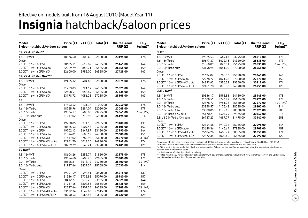### **Insignia** hatchback/saloon prices Effective on models built from 16 August 2010 (Model Year 11)

| Model<br>5-door hatchback/4-door saloon | Price (£) | VAT (£) | Total (£) | On-the-road<br>RRP(E) | CO <sub>2</sub><br>$(g/km)^*$ |
|-----------------------------------------|-----------|---------|-----------|-----------------------|-------------------------------|
| SRi VX-LINE Red**                       |           |         |           |                       |                               |
| 1.8i 16v VVT                            | 18876.60  | 3303.40 | 22180.00  | 23195.00              | 178                           |
| Diesel                                  |           |         |           |                       |                               |
| 2.0CDTi 16v (160PS)                     | 20685.11  | 3619.89 | 24305.00  | 25145.00              | 144                           |
| 2.0CDTi 16v (160PS) auto                | 22029.79  | 3855.21 | 25885.00  | 26755.00              | 159                           |
| 2.0CDTi 16v (160PS) 4X4                 | 22600.00  | 3955.00 | 26555.00  | 27425.00              | 163                           |
| SRi VX-LINE Red NAV**†                  |           |         |           |                       |                               |
| 1.8i 16v VVT                            | 19455.32  | 3404.68 | 22860.00  | 23875.00              | 178                           |
| <b>Diesel</b>                           |           |         |           |                       |                               |
| 2.0CDTi 16v (160PS)                     | 21263.83  | 3721.17 | 24985.00  | 25825.00              | 144                           |
| 2.0CDTi 16v (160PS) auto                | 22608.51  | 3956.49 | 26565.00  | 27435.00              | 159                           |
| 2.0CDTi 16v (160PS) 4X4                 | 23178.72  | 4056.28 | 27235.00  | 28105.00              | 163                           |
| <b>SE</b>                               |           |         |           |                       |                               |
| 1.8i 16v VVT                            | 17893.62  | 3131.38 | 21025.00  | 22040.00              | 178                           |
| 1.6i 16v Turbo                          | 18765.96  | 3284.04 | 22050.00  | 23065.00              | 179                           |
| 2.0i 16v Turbo                          | 19936.17  | 3488.83 | 23425.00  | 24565.00              | 194 (192)                     |
| 2.0i 16v Turbo auto                     | 21217.02  | 3712.98 | 24930.00  | 26195.00              | 214                           |
| Diesel                                  |           |         |           |                       |                               |
| 2.0CDTi 16v (130PS)                     | 19280.85  | 3374.15 | 22655.00  | 23480.00              | 133                           |
| 2.0CDTi 16v (130PS) auto                | 20625.53  | 3609.47 | 24235.00  | 25105.00              | 157                           |
| 2.0CDTi 16v (160PS)                     | 19702.13  | 3447.87 | 23150.00  | 23990.00              | 144                           |
| 2.0CDTi 16y (160PS) auto                | 21046.81  | 3683.19 | 24730.00  | 25600.00              | 159                           |
| 2.0CDTi 16v (160PS) 4X4                 | 21617.02  | 3782.98 | 25400.00  | 26270.00              | 163 (161)                     |
| 2.0CDTi 16v (160PS) 4X4 auto            | 22961.70  | 4018.30 | 26980.00  | 27945.00              | 174                           |
| 2.0CDTi 16v (160PS) ecoFLEX             | 20229.79  | 3540.21 | 23770.00  | 24485.00              | 129                           |
| <b>SE NAV<sup>t</sup></b>               |           |         |           |                       |                               |
| 1.8i 16v VVT                            | 18604.26  | 3255.74 | 21860.00  | 22875.00              | 178                           |
| 1.6i 16v Turbo                          | 19476.60  | 3408.40 | 22885.00  | 23900.00              | 179                           |
| 2.0i 16y Turbo                          | 20646.81  | 3613.19 | 24260.00  | 25400.00              | 194 (192)                     |
| 2.0i 16v Turbo auto                     | 21927.66  | 3837.34 | 25765.00  | 27030.00              | 214                           |
| Diesel                                  |           |         |           |                       |                               |
| 2.0CDTi 16v (130PS)                     | 19991.49  | 3498.51 | 23490.00  | 24315.00              | 133                           |
| 2.0CDTi 16v (130PS) auto                | 21336.17  | 3733.83 | 25070.00  | 25940.00              | 157                           |
| 2.0CDTi 16v (160PS)                     | 20412.77  | 3572.23 | 23985.00  | 24825.00              | 144                           |
| 2.0CDTi 16v (160PS) auto                | 21757.45  | 3807.55 | 25565.00  | 26435.00              | 159                           |
| 2.0CDTi 16v (160PS) 4X4                 | 22327.66  | 3907.34 | 26235.00  | 27105.00              | 163 (161)                     |
| 2.0CDTi 16v (160PS) 4X4 auto            | 23672.34  | 4142.66 | 27815.00  | 28780.00              | 174                           |
| 2.0CDTi 16v (160PS) ecoFLEX             | 20940.43  | 3664.57 | 24605.00  | 25320.00              | 129                           |

| Model<br>5-door hatchback/4-door saloon | Price (£) | VAT(E)  | Total $(E)$ | On-the-road<br>RRP(E) | CO <sub>2</sub><br>(g/km)* |
|-----------------------------------------|-----------|---------|-------------|-----------------------|----------------------------|
| <b>ELITE</b>                            |           |         |             |                       |                            |
| 1.8i 16v VVT                            | 19825.53  | 3469.47 | 23295.00    | 24310.00              | 178                        |
| 1.6i 16v Turbo                          | 20697.87  | 3622.13 | 24320.00    | 25335.00              | 179                        |
| 2.0i 16y Turbo                          | 21868.09  | 3826.91 | 25695.00    | 26835.00              | 194 (192)                  |
| 2.0i 16y Turbo auto<br>Diesel           | 23148.94  | 4051.06 | 27200.00    | 28465.00              | 214                        |
| 2.0CDTi 16v (160PS)                     | 21634.04  | 3785.96 | 25420.00    | 26260.00              | 144                        |
| 2.0CDTi 16y (160PS) auto                | 22978.72  | 4021.28 | 27000.00    | 27870.00              | 159                        |
| 2.0CDTi 16v (160PS) 4X4 auto            | 24893.62  | 4356.38 | 29250.00    | 30215.00              | 174                        |
| 2.0CDTi 16v (160PS) ecoFLEX             | 22161.70  | 3878.30 | 26040.00    | 26755.00              | 129                        |
| <b>ELITE NAV<sup>+</sup></b>            |           |         |             |                       |                            |
| 1.8i 16v VVT                            | 20536.17  | 3593.83 | 24130.00    | 25145.00              | 178                        |
| 1.6i 16v Turbo                          | 21408.51  | 3746.49 | 25155.00    | 26170.00              | 179                        |
| 2.0i 16y Turbo                          | 22578.72  | 3951.28 | 26530.00    | 27670.00              | 194 (192)                  |
| 2 0i 16y Turbo auto                     | 23859.57  | 4175.43 | 28035.00    | 29300.00              | 214                        |
| 2.0i 16y Turbo 4X4                      | 23880.85  | 4179.15 | 28060.00    | 29325.00              | 209                        |
| 2.0i 16y Turbo 4X4 auto                 | 25170.21  | 4404.79 | 29575.00    | 30840.00              | 218                        |
| 2.8i V6 24y Turbo 4X4 auto              | 26787.23  | 4687.77 | 31475.00    | 33140.00              | 258                        |
| Diesel                                  |           |         |             |                       |                            |
| 2.0CDTi 16v (160PS)                     | 22344.68  | 3910.32 | 26255.00    | 27095.00              | 144                        |
| 2.0CDTi 16v (160PS) auto                | 23689.36  | 4145.64 | 27835.00    | 28705.00              | 159                        |
| 2.0CDTi 16v (160PS) 4X4 auto            | 25604.26  | 4480.74 | 30085.00    | 31050.00              | 174                        |
| 2.0CDTi 16v (160PS) ecoFLEX             | 22872.34  | 4002.66 | 26875.00    | 27590.00              | 129                        |

Please note: On-the-road recommended retail prices (RRP) include number plates and delivery to retailer of £660.00 (inc. £98.30 VAT), 12 months' Vehicle Excise Duty and new vehicle first registration fee of £55.00. Excludes fuel and insurance.

\* = CO<sub>2</sub> emission figures are for hatchback and saloon models. Where the figures differ between body style, the saloon figure is shown in brackets after the hatchback figure.

\*\* = Available as a 5-door hatchback model only.

† = Fitted with CD 500 Navi satellite navigation system with colour monitor/stereo radio/CD with MP3 format/auxiliary-in and USB sockets/ shark fin aerial/multi-function infotainment controller.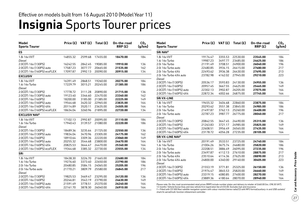## **Insignia** Sports Tourer prices

| Model<br><b>Sports Tourer</b>   | Price (£) |         | VAT $(E)$ Total $(E)$ | On-the-road<br>RRP(E) | CO <sub>2</sub><br>(g/km) | Model<br><b>Sports Tourer</b>                                                                                                                                                                                                                          |          | Price $(E)$ VAT $(E)$ | Total (£) | On-the-road<br>RRP(E) | CO <sub>2</sub><br>(g/km) |
|---------------------------------|-----------|---------|-----------------------|-----------------------|---------------------------|--------------------------------------------------------------------------------------------------------------------------------------------------------------------------------------------------------------------------------------------------------|----------|-----------------------|-----------|-----------------------|---------------------------|
| ES                              |           |         |                       |                       |                           | SRi NAV <sup>t</sup>                                                                                                                                                                                                                                   |          |                       |           |                       |                           |
| 1.8i 16v VVT                    | 14855.32  | 2599.68 | 17455.00              | 18470.00              | 184                       | 1.8i 16v VVT                                                                                                                                                                                                                                           | 19174.47 | 3355.53               | 22530.00  | 23545.00              | 184                       |
| Diesel                          |           |         |                       |                       |                           | 1.6i 16v Turbo                                                                                                                                                                                                                                         | 19987.23 | 3497.77               | 23485.00  | 24625.00              | 186                       |
| 2.0CDTi 16v (130PS)             | 16242.55  | 2842.45 | 19085.00              | 19910.00              | 136                       | 2.0i 16v Turbo                                                                                                                                                                                                                                         | 21191.49 | 3708.51               | 24900.00  | 26040.00              | 196                       |
| 2.0CDTi 16v (130PS) auto        | 17587.23  | 3077.77 | 20665.00              | 21535.00              | 162                       | 2.0i 16v Turbo auto                                                                                                                                                                                                                                    | 22480.85 | 3934.15               | 26415.00  | 27680.00              | 217                       |
| 2.0CDTi 16v (160PS) ecoFLEX     | 17097.87  | 2992.13 | 20090.00              | 20915.00              | 134                       | 2.0i 16v Turbo 4X4                                                                                                                                                                                                                                     | 22493.62 | 3936.38               | 26430.00  | 27695.00              | 213                       |
| <b>EXCLUSIV</b>                 |           |         |                       |                       |                           | 2.0i 16v Turbo 4X4 auto                                                                                                                                                                                                                                | 23782.98 | 4162.02               | 27945.00  | 29210.00              | 223                       |
| 1.8i 16v VVT                    | 16391.49  | 2868.51 | 19260.00              | 20275.00              | 184                       | Diesel                                                                                                                                                                                                                                                 |          |                       |           |                       |                           |
| 1.6i 16v Turbo                  | 17229.79  | 3015.21 | 20245.00              | 21385.00              | 186                       | 2.0CDTi 16v (130PS)                                                                                                                                                                                                                                    | 20536.17 | 3593.83               | 24130.00  | 24955.00              | 136                       |
| Diesel                          |           |         |                       |                       |                           | 2.0CDTi 16y (160PS)                                                                                                                                                                                                                                    | 20957.45 | 3667.55               | 24625.00  | 25465.00              | 149                       |
| 2.0CDTi 16y (130PS)             | 17778.72  | 3111.28 | 20890.00              | 21715.00              | 136                       | 2.0CDTi 16v (160PS) auto                                                                                                                                                                                                                               | 22302.13 | 3902.87               | 26205.00  | 27075.00              | 164                       |
| 2.0CDTi 16v (130PS) auto        | 19123.40  | 3346.60 | 22470.00              | 23340.00              | 162                       | 2.0CDTi 16v (160PS) 4X4                                                                                                                                                                                                                                | 22872.34 | 4002.66               | 26875.00  | 27745.00              | 164                       |
| 2.0CDTi 16y (160PS)             | 18200.00  | 3185.00 | 21385.00              | 22225.00              | 149                       | <b>SRiVX-LINE</b>                                                                                                                                                                                                                                      |          |                       |           |                       |                           |
| 2.0CDTi 16v (160PS) auto        | 19544.68  |         | 3420.32 22965.00      | 23835.00              | 164                       | 1.8i 16v VVT                                                                                                                                                                                                                                           | 19455.32 | 3404.68               | 22860.00  | 23875.00              | 184                       |
| 2.0CDTi 16v (160PS) 4X4         | 20114.89  | 3520.11 | 23635.00              | 24505.00              | 164                       | 1.6i 16v Turbo                                                                                                                                                                                                                                         | 20293.62 | 3551.38               | 23845.00  | 24985.00              | 186                       |
| 2.0CDTi 16v (160PS) ecoFLEX     | 18634.04  |         | 3260.96 21895.00      | 22720.00              | 134                       | 2.0i 16v Turbo                                                                                                                                                                                                                                         | 21497.87 | 3762.13               | 25260.00  | 26400.00              | 196                       |
| <b>EXCLUSIV NAV<sup>+</sup></b> |           |         |                       |                       |                           | 2.0i 16v Turbo auto                                                                                                                                                                                                                                    | 22787.23 | 3987.77               | 26775.00  | 28040.00              | 217                       |
| 1.8i 16v VVT                    | 17102.13  | 2992.87 | 20095.00              | 21110.00              | 184                       | Diesel                                                                                                                                                                                                                                                 |          |                       |           |                       |                           |
| 1.6i 16v Turbo                  | 17940.43  | 3139.57 | 21080.00              | 22220.00              | 186                       | 2.0CDTi 16v (130PS)                                                                                                                                                                                                                                    | 20842.55 | 3647.45               | 24490.00  | 25315.00              | 136                       |
| Diesel                          |           |         |                       |                       |                           | 2.0CDTi 16y (160PS)                                                                                                                                                                                                                                    | 21263.83 | 3721.17               | 24985.00  | 25825.00              | 149                       |
| 2.0CDTi 16v (130PS)             | 18489.36  | 3235.64 | 21725.00              | 22550.00              | 136                       | 2.0CDTi 16v (160PS) auto                                                                                                                                                                                                                               | 22608.51 | 3956.49               | 26565.00  | 27435.00              | 164                       |
| 2.0CDTi 16v (130PS) auto        | 19834.04  | 3470.96 | 23305.00              | 24175.00              | 162                       | 2.0CDTi 16v (160PS) 4X4                                                                                                                                                                                                                                | 23178.72 | 4056.28               | 27235.00  | 28105.00              | 164                       |
| 2.0CDTi 16v (160PS)             | 18910.64  | 3309.36 | 22220.00              | 23060.00              | 149                       | <b>SRi VX-LINE NAV<sup>+</sup></b>                                                                                                                                                                                                                     |          |                       |           |                       |                           |
| 2.0CDTi 16v (160PS) auto        | 20255.32  | 3544.68 | 23800.00              | 24670.00              | 164                       | 1.8i 16v VVT                                                                                                                                                                                                                                           | 20191.49 | 3533.51               | 23725.00  | 24740.00              | 184                       |
| 2.0CDTi 16v (160PS) 4X4         | 20825.53  | 3644.47 | 24470.00              | 25340.00              | 164                       | 1.6i 16v Turbo                                                                                                                                                                                                                                         | 21004.26 | 3675.74               | 24680.00  | 25820.00              | 186                       |
| 2.0CDTi 16v (160PS) ecoFLEX     | 19344.68  |         | 3385.32 22730.00      | 23555.00              | 134                       | 2.0i 16v Turbo                                                                                                                                                                                                                                         | 22208.51 | 3886.49               | 26095.00  | 27235.00              | 196                       |
| <b>SRi</b>                      |           |         |                       |                       |                           | 2.0i 16v Turbo auto                                                                                                                                                                                                                                    | 23497.87 | 4112.13               | 27610.00  | 28875.00              | 217                       |
| 1.8i 16v VVT                    | 18438.30  | 3226.70 | 21665.00              | 22680.00              | 184                       | 2.0i 16v Turbo 4X4                                                                                                                                                                                                                                     | 23510.64 | 4114.36               | 27625.00  | 28890.00              | 213                       |
| 1.6i 16v Turbo                  | 19276.60  | 3373.40 | 22650.00              | 23790.00              | 186                       | 2.0i 16v Turbo 4X4 auto                                                                                                                                                                                                                                | 24800.00 | 4340.00               | 29140.00  | 30405.00              | 223                       |
| 2.0i 16v Turbo                  | 20480.85  | 3584.15 | 24065.00              | 25205.00              | 196                       | Diesel                                                                                                                                                                                                                                                 |          |                       |           |                       |                           |
| 2.0i 16v Turbo auto             | 21770.21  | 3809.79 | 25580.00              | 26845.00              | 217                       | 2.0CDTi 16y (130PS)                                                                                                                                                                                                                                    | 21553.19 | 3771.81               | 25325.00  | 26150.00              | 136                       |
| Diesel                          |           |         |                       |                       |                           | 2.0CDTi 16v (160PS)                                                                                                                                                                                                                                    | 21974.47 | 3845.53               | 25820.00  | 26660.00              | 149                       |
| 2.0CDTi 16v (130PS)             | 19825.53  | 3469.47 | 23295.00              | 24120.00              | 136                       | 2.0CDTi 16v (160PS) auto                                                                                                                                                                                                                               | 23319.15 | 4080.85               | 27400.00  | 28270.00              | 164                       |
| 2.0CDTi 16y (160PS)             | 20246.81  | 3543.19 | 23790.00              | 24630.00              | 149                       | 2.0CDTi 16v (160PS) 4X4                                                                                                                                                                                                                                | 23889.36 | 4180.64               | 28070.00  | 28940.00              | 164                       |
| 2.0CDTi 16v (160PS) auto        | 21591.49  | 3778.51 | 25370.00              | 26240.00              | 164                       |                                                                                                                                                                                                                                                        |          |                       |           |                       |                           |
| 2.0CDTi 16v (160PS) 4X4         | 22161.70  | 3878.30 | 26040.00              | 26910.00              | 164                       | Please note: On-the-road recommended retail prices (RRP) include number plates and delivery to retailer of £660.00 (inc. £98.30 VAT).<br>12 months' Vehicle Excise Duty and new vehicle first registration fee of £55.00. Excludes fuel and insurance. |          |                       |           |                       |                           |
|                                 |           |         |                       |                       |                           | t = Fitted with CD 500 Navi satellite navigation system with colour monitor/stereo radio/CD with MP3 format/auxiliary-in and USB sockets/                                                                                                              |          |                       |           |                       |                           |

† = Fitted with CD 500 Navi satellite navigation system with colour monitor/stereo radio/CD with MP3 format/auxiliary-in and USB sockets/ shark fin aerial/multi-function infotainment controller.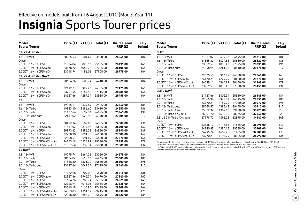## **Insignia** Sports Tourer prices

| Model<br><b>Sports Tourer</b>                       |                      |                    | Price $(E)$ VAT $(E)$ Total $(E)$ | On-the-road<br>RRP(E) | CO <sub>2</sub><br>(g/km) | Model<br><b>Sports Tourer</b>                                                                                                                                                                                                                          |                      |                    | Price $(E)$ VAT $(E)$ Total $(E)$ | On-the-road<br>RRP(E) | CO <sub>2</sub><br>(g/km) |
|-----------------------------------------------------|----------------------|--------------------|-----------------------------------|-----------------------|---------------------------|--------------------------------------------------------------------------------------------------------------------------------------------------------------------------------------------------------------------------------------------------------|----------------------|--------------------|-----------------------------------|-----------------------|---------------------------|
| <b>SRi VX-LINE Red</b>                              |                      |                    |                                   |                       |                           | <b>ELITE</b>                                                                                                                                                                                                                                           |                      |                    |                                   |                       |                           |
| 1.8i 16v VVT<br><b>Diesel</b>                       | 20025.53             | 3504.47            | 23530.00                          | 24545.00              | 184                       | 1.8i 16v VVT<br>1.6i 16v Turbo                                                                                                                                                                                                                         | 21017.02<br>21855.32 | 3677.98<br>3824.68 | 24695.00<br>25680.00              | 25710.00<br>26820.00  | 184<br>186                |
| 2.0CDTi 16v (160PS)                                 | 21834.04             | 3820.96            | 25655.00                          | 26495.00              | 149                       | 2.0i 16y Turbo                                                                                                                                                                                                                                         | 23059.57             | 4035.43            | 27095.00                          | 28235.00              | 196                       |
| 2.0CDTi 16v (160PS) auto                            | 23178.72             | 4056.28            | 27235.00                          | 28105.00              | 164                       | 2.0i 16v Turbo auto                                                                                                                                                                                                                                    | 24348.94             | 4261.06            | 28610.00                          | 29875.00              | 217                       |
| 2.0CDTi 16v (160PS) 4X4                             | 23748.94             |                    | 4156.06 27905.00                  | 28775.00              | 164                       | Diesel                                                                                                                                                                                                                                                 |                      |                    |                                   |                       |                           |
| SRi VX-LINE Red NAV <sup>+</sup>                    |                      |                    |                                   |                       |                           | 2.0CDTi 16v (160PS)                                                                                                                                                                                                                                    | 22825.53             | 3994.47            | 26820.00                          | 27660.00              | 149                       |
| 1.8i 16v VVT                                        | 20604.26             | 3605.74            | 24210.00                          | 25225.00              | 184                       | 2.0CDTi 16y (160PS) auto                                                                                                                                                                                                                               | 24170.21             | 4229.79            | 28400.00                          | 29270.00              | 164                       |
| Diesel                                              |                      |                    |                                   |                       |                           | 2.0CDTi 16v (160PS) 4X4 auto                                                                                                                                                                                                                           | 26085.11             | 4564.89            | 30650.00                          | 31665.00              | 179                       |
| 2.0CDTi 16v (160PS)                                 | 22412.77             | 3922.23            | 26335.00                          | 27175.00              | 149                       | 2.0CDTi 16v (160PS) ecoFLEX                                                                                                                                                                                                                            | 23259.57             |                    | 4070.43 27330.00                  | 28155.00              | 134                       |
| 2.0CDTi 16v (160PS) auto                            | 23757.45             | 4157.55            | 27915.00                          | 28785.00              | 164                       | <b>ELITE NAV<sup>+</sup></b>                                                                                                                                                                                                                           |                      |                    |                                   |                       |                           |
| 2.0CDTi 16v (160PS) 4X4                             | 24327.66             | 4257.34            | 28585.00                          | 29455.00              | 164                       | 1.8i 16v VVT                                                                                                                                                                                                                                           | 21727.66             | 3802.34            | 25530.00                          | 26545.00              | 184                       |
| <b>SE</b>                                           |                      |                    |                                   |                       |                           | 1.6i 16v Turbo                                                                                                                                                                                                                                         | 22565.96             | 3949.04            | 26515.00                          | 27655.00              | 186                       |
|                                                     |                      |                    |                                   |                       |                           | 2.0i 16v Turbo                                                                                                                                                                                                                                         | 23770.21             | 4159.79            | 27930.00                          | 29070.00              | 196                       |
| 1.8i 16v VVT                                        | 19085.11             | 3339.89            | 22425.00                          | 23440.00              | 184                       | 2.0i 16v Turbo auto                                                                                                                                                                                                                                    | 25059.57             | 4385.43            | 29445.00                          | 30710.00              | 217                       |
| 1.6i 16v Turbo                                      | 19923.40             | 3486.60            | 23410.00                          | 24550.00              | 186                       | 2.0i 16y Turbo 4X4                                                                                                                                                                                                                                     | 25072.34             | 4387.66            | 29460.00                          | 30725.00              | 213                       |
| 2.0i 16y Turbo                                      | 21127.66             | 3697.34            | 24825.00                          | 25965.00              | 196                       | 2.0i 16v Turbo 4X4 auto                                                                                                                                                                                                                                | 26361.70             | 4613.30            | 30975.00                          | 32240.00              | 223                       |
| 2.0i 16y Turbo auto                                 | 22417.02             | 3922.98            | 26340.00                          | 27605.00              | 217                       | 2.8i V6 24y Turbo 4X4 auto                                                                                                                                                                                                                             | 27978.72             | 4896.28            | 32875.00                          | 34540.00              | 265                       |
| Diesel                                              |                      |                    |                                   |                       |                           | Diesel                                                                                                                                                                                                                                                 |                      |                    |                                   |                       |                           |
| 2.0CDTi 16v (130PS)                                 | 20472.34             | 3582.66            | 24055.00                          | 24880.00              | 136                       | 2.0CDTi 16v (160PS)                                                                                                                                                                                                                                    | 23536.17             | 4118.83            | 27655.00                          | 28495.00              | 149                       |
| 2.0CDTi 16v (130PS) auto                            | 21817.02             | 3817.98            | 25635.00                          | 26505.00              | 162                       | 2.0CDTi 16v (160PS) auto                                                                                                                                                                                                                               | 24880.85             | 4354.15            | 29235.00                          | 30105.00              | 164                       |
| 2.0CDTi 16y (160PS)                                 | 20893.62             | 3656.38            | 24550.00                          | 25390.00              | 149                       | 2.0CDTi 16v (160PS) 4X4 auto                                                                                                                                                                                                                           | 26795.74             | 4689.26            | 31485.00                          | 32500.00              | 179                       |
| 2.0CDTi 16v (160PS) auto                            | 22238.30             | 3891.70            | 26130.00                          | 27000.00              | 164                       | 2.0CDTi 16v (160PS) ecoFLEX                                                                                                                                                                                                                            | 23970.21             | 4194.79            | 28165.00                          | 28990.00              | 134                       |
| 2.0CDTi 16v (160PS) 4X4                             | 22808.51             | 3991.49            | 26800.00                          | 27670.00              | 164                       |                                                                                                                                                                                                                                                        |                      |                    |                                   |                       |                           |
| 2.0CDTi 16v (160PS) 4X4 auto                        | 24153.19             | 4226.81            | 28380.00                          | 29395.00              | 179                       | Please note: On-the-road recommended retail prices (RRP) include number plates and delivery to retailer of £660.00 (inc. £98.30 VAT).<br>12 months' Vehicle Excise Duty and new vehicle first registration fee of £55.00. Excludes fuel and insurance. |                      |                    |                                   |                       |                           |
| 2.0CDTi 16v (160PS) ecoFLEX                         | 21327.66             | 3732.34            | 25060.00                          | 25885.00              | 134                       | t = Fitted with CD 500 Navi satellite navigation system with colour monitor/stereo radio/CD with MP3 format/auxiliary-in and USB sockets/                                                                                                              |                      |                    |                                   |                       |                           |
| <b>SE NAV<sup>t</sup></b>                           |                      |                    |                                   |                       |                           | shark fin aerial/multi-function infotainment controller.                                                                                                                                                                                               |                      |                    |                                   |                       |                           |
| 1.8i 16v VVT                                        | 19795.74             | 3464.26            | 23260.00                          | 24275.00              | 184                       |                                                                                                                                                                                                                                                        |                      |                    |                                   |                       |                           |
| 1.6i 16v Turbo                                      | 20634.04             | 3610.96            | 24245.00                          | 25385.00              | 186                       |                                                                                                                                                                                                                                                        |                      |                    |                                   |                       |                           |
| 2.0i 16v Turbo                                      | 21838.30             | 3821.70            | 25660.00                          | 26800.00              | 196                       |                                                                                                                                                                                                                                                        |                      |                    |                                   |                       |                           |
| 2.0i 16y Turbo auto                                 | 23127.66             | 4047.34            | 27175.00                          | 28440.00              | 217                       |                                                                                                                                                                                                                                                        |                      |                    |                                   |                       |                           |
| Diesel                                              |                      |                    |                                   |                       |                           |                                                                                                                                                                                                                                                        |                      |                    |                                   |                       |                           |
| 2.0CDTi 16v (130PS)<br>2.0CDTi 16y (130PS) auto     | 21182.98<br>22527.66 | 3707.02<br>3942.34 | 24890.00<br>26470.00              | 25715.00              | 136                       |                                                                                                                                                                                                                                                        |                      |                    |                                   |                       |                           |
|                                                     |                      |                    |                                   | 27340.00              | 162                       |                                                                                                                                                                                                                                                        |                      |                    |                                   |                       |                           |
| 2.0CDTi 16v (160PS)                                 | 21604.26             | 3780.74            | 25385.00                          | 26225.00              | 149                       |                                                                                                                                                                                                                                                        |                      |                    |                                   |                       |                           |
| 2.0CDTi 16v (160PS) auto<br>2.0CDTi 16v (160PS) 4X4 | 22948.94             | 4016.06            | 26965.00                          | 27835.00              | 164                       |                                                                                                                                                                                                                                                        |                      |                    |                                   |                       |                           |
| 2.0CDTi 16v (160PS) 4X4 auto                        | 23519.15<br>24863.83 | 4115.85<br>4351.17 | 27635.00<br>29215.00              | 28505.00<br>30230.00  | 164<br>179                |                                                                                                                                                                                                                                                        |                      |                    |                                   |                       |                           |
| 2.0CDTi 16v (160PS) ecoFLEX                         | 22038.30             | 3856.70            | 25895.00                          | 26720.00              | 134                       |                                                                                                                                                                                                                                                        |                      |                    |                                   |                       |                           |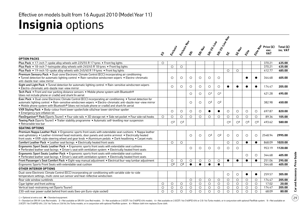## **Insignia** options

|                                                                                                                                                                                                                                                                                                                                 |            |                         | <b>Erdesit</b>          |            |            | SR-Wababa River         | SRi LL Line New         |                |                         |            |            |                     |                         |
|---------------------------------------------------------------------------------------------------------------------------------------------------------------------------------------------------------------------------------------------------------------------------------------------------------------------------------|------------|-------------------------|-------------------------|------------|------------|-------------------------|-------------------------|----------------|-------------------------|------------|------------|---------------------|-------------------------|
|                                                                                                                                                                                                                                                                                                                                 |            |                         |                         |            |            |                         |                         |                |                         |            |            | Price $(E)$<br>exc. | Total $(E)$<br>inc. VAT |
|                                                                                                                                                                                                                                                                                                                                 | L,         |                         |                         | <b>SRE</b> |            |                         |                         |                | <b>SETA</b>             | Eife       | Elite Nat  | <b>VAT</b>          |                         |
| <b>OPTION PACKS</b>                                                                                                                                                                                                                                                                                                             |            |                         |                         |            |            |                         |                         |                |                         |            |            |                     |                         |
| Plus Pack . 17-inch 7-spoke alloy wheels with 225/55 R 17 tyres . Front fog lights                                                                                                                                                                                                                                              | $\bigcirc$ |                         |                         |            |            |                         |                         |                |                         |            |            | 370.21              | 435.00                  |
| Plus Pack • 18-inch 7-twinspoke alloy wheels with 245/45 R 18 tyres • Front fog lights                                                                                                                                                                                                                                          |            | $\bigcirc$              | $\circ$                 |            |            |                         |                         |                |                         |            |            | 370.21              | 435.00                  |
| Plus Pack • 19-inch 10-spoke alloy wheels with 245/40 R 19 tyres • Front fog lights                                                                                                                                                                                                                                             |            |                         |                         |            |            |                         |                         | $\bigcirc$     | $\circ$                 |            |            | 412.77              | 485.00                  |
| Premium Sensory Pack . Dual-zone Electronic Climate Control (ECC) incorporating air conditioning                                                                                                                                                                                                                                |            |                         |                         |            |            |                         |                         |                |                         |            |            |                     |                         |
| • Tunnel detection for automatic lighting control • Rain-sensitive windscreen wipers • Electro-chromatic<br>anti-dazzle rear-view mirror                                                                                                                                                                                        |            | $\circ$                 | $\circ$                 | $\circ$    | $\circ$    | $\circ$                 | $\circ$                 |                |                         |            |            | 344.68              | 405.00                  |
| Sight and Light Pack . Tunnel detection for automatic lighting control . Rain-sensitive windscreen wipers<br>· Electro-chromatic anti-dazzle rear-view mirror                                                                                                                                                                   |            | $\circ$                 | $\circ$                 | $\bigcirc$ | O          | $\circ$                 | $\circ$                 |                |                         |            | ●          | 174.47              | 205.00                  |
| Tech Pack • Front and rear parking distance sensors • Mobile phone system with Bluetooth®<br>(does not include phone or cradle) and shark fin aerial                                                                                                                                                                            |            |                         |                         | $\bigcirc$ | $\bigcirc$ | $\bigcirc$ <sup>1</sup> | $\bigcirc$ <sup>1</sup> |                |                         |            |            | 421.28              | 495.00                  |
| Exec Pack . Dual-zone Electronic Climate Control (ECC) incorporating air conditioning . Tunnel detection for<br>automatic lighting control • Rain-sensitive windscreen wipers • Electro-chromatic anti-dazzle rear-view mirror<br>• Mobile phone system with Bluetooth® (does not include phone or cradle) and shark fin aerial |            |                         |                         | $\bigcirc$ | $\circ$    | O <sup>2</sup>          | O <sup>2</sup>          |                |                         |            |            | 382.98              | 450.00                  |
| VXR Styling Pack . Body-colour front lower spoiler/side sills/rear lower skirt/rear spoiler<br>• Emergency tyre inflation kit                                                                                                                                                                                                   |            | $\circ$                 | $\circ$                 | $\circ$    | O          |                         |                         | $\circ$        | $\circ$                 | $\circ$    | $\circ$    | 697.87              | 820.00                  |
| FlexOrganiser® Pack (Sports Tourer) • Four side rails • 3D storage net • Side net pocket • Four side rail hooks                                                                                                                                                                                                                 | $\circ$    | $\circ$                 | $\circ$                 | $\circ$    | $\circ$    | $\circ$                 | $\circ$                 | $\circ$        | $\circ$                 | $\circ$    | $\circ$    | 89.36               | 105.00                  |
| Towing Pack (Sports Tourer) • Trailer stability programme • Automatic self-levelling rear suspension<br>• Retractable tow bar                                                                                                                                                                                                   |            | $\bigcirc$ <sup>3</sup> | $\bigcirc$ <sup>3</sup> |            |            |                         |                         | O <sup>4</sup> | $\bigcirc$ <sup>4</sup> | $\bigcirc$ | $\bigcirc$ | 493.62              | 580.00                  |
| <b>SEATING OPTIONS</b>                                                                                                                                                                                                                                                                                                          |            |                         |                         |            |            |                         |                         |                |                         |            |            |                     |                         |
| Premium Nappa Leather Pack • Ergonomic sports front seats with extendable seat cushions • Nappa leather<br>seat upholstery • Leather-trimmed head restraints, door panels and centre armrest • Electrically heated<br>front seats • VXR-style steering wheel and gear knob • Aluminium pedals • Dark headlining • Carpet mats   |            |                         |                         | $\circ$    | $\circ$    | $\bigcirc$ <sup>2</sup> | O <sup>2</sup>          | $\circ$        | $\circ$                 | $\circ$    | $\circ$    | 2548.94             | 2995.00                 |
| Comfort Leather Pack . Leather seat facings . Electrically heated front seats                                                                                                                                                                                                                                                   |            | $\circ$                 | $\circ$                 |            |            |                         |                         | $\circ$        | $\circ$                 | $\bullet$  | $\bullet$  | 868.09              | 1020.00                 |
| Ergonomic Sport Seats Leather Pack . Ergonomic sports front seats with extendable seat cushions<br>• Perforated leather seat facings • Driver's seat with ventilation system • Electrically heated front seats                                                                                                                  |            |                         |                         | $\circ$    | $\circ$    | $\circ$                 | $\circ$                 | $\circ$        | $\circ$                 |            |            | 953.19              | 1120.00                 |
| Ergonomic Sport Seats Leather Pack . Ergonomic sports front seats with extendable seat cushions<br>• Perforated leather seat facings • Driver's seat with ventilation system • Electrically heated front seats                                                                                                                  |            |                         |                         |            |            |                         |                         |                |                         | $\circ$    | $\bigcirc$ | 344.68              | 405.00                  |
| Front Passenger's Seat Comfort Pack . Eight-way manual adjustment . Electrical four-way lumbar adjustment                                                                                                                                                                                                                       |            | $\circ$                 | $\circ$                 | $\circ$    | O          | $\circ$                 | $\circ$                 |                | $\bullet$               | $\bullet$  | $\bullet$  | 251.06              | 295.00                  |
| Ergonomic Sports Front Seats with extendable seat cushion                                                                                                                                                                                                                                                                       |            | $\overline{O^6}$        | $\overline{O^6}$        | $\bullet$  | $\bullet$  | $\bullet$               | $\bullet$               |                |                         |            |            | 344.68              | 405.00                  |
| <b>OTHER INTERIOR OPTIONS</b>                                                                                                                                                                                                                                                                                                   |            |                         |                         |            |            |                         |                         |                |                         |            |            |                     |                         |
| Dual-zone Electronic Climate Control (ECC) incorporating air conditioning with variable side-to-side                                                                                                                                                                                                                            |            |                         |                         |            |            |                         |                         | $\circ$        | $\circ$                 | $\bullet$  | $\bullet$  | 259.57              | 305.00                  |
| temperature settings, multi-zone sun sensor and heat-reflective windscreen                                                                                                                                                                                                                                                      |            |                         |                         |            |            |                         |                         |                |                         |            |            |                     |                         |
| Rear side window sunblinds                                                                                                                                                                                                                                                                                                      |            |                         |                         | $\circ$    | $\circ$    | $\circ$                 | $\circ$                 | $\circ$        | $\circ$                 | $\circ$    | $\circ$    | 174.47              | 205.00                  |
| Cigar lighter and front ashtray                                                                                                                                                                                                                                                                                                 | $\circ$    | $\circ$                 | $\circ$                 | $\circ$    | $\circ$    | $\bigcirc$              | $\circ$                 | $\circ$        | $\circ$                 | $\circ$    | $\circ$    | 17.02               | 20.00                   |
| Vertical load-restraining net (Sports Tourer)                                                                                                                                                                                                                                                                                   | $\circ$    | $\circ$                 | $\circ$                 | $\circ$    | O          | $\circ$                 | $\circ$                 | $\circ$        | $\circ$                 | $\circ$    | $\circ$    | 174.47              | 205.00                  |
| 230-volt rear power outlet behind front seats (two-pin Euro-style socket)                                                                                                                                                                                                                                                       | $\circ$    | $\circ$                 | $\circ$                 | $\circ$    | $\circ$    | $\circ$                 | $\circ$                 | $\circ$        | $\circ$                 | $\circ$    | $\circ$    | 68.09               | 80.00                   |

 $\bigcirc$  = Optional at extra cost.  $\bullet$  = Standard equipment.

1 = Standard on SRiVX-Line Red models. 2 = Not available on SRiVX-Line Red models. 3 = Not available on 2.0CDTi 16v (160PS) 4X4 models. 4 = Not available on 2.0CDTi 16v (160PS) 4X4 m 2.0CDTi 16v (160PS) 4X4 m 2.0CDTi 16v ( 2.0CDTi 16v (160PS) 4X4, 2.0i 16v Turbo or 2.8i V6 24v Turbo models, or in conjunction with optional FlexRide system. 6 = Ribbon cloth trim replaces Dune cloth.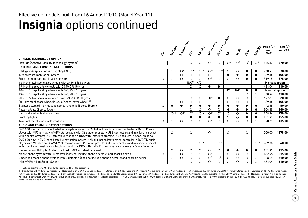### **Insignia** options continued Effective on models built from 16 August 2010 (Model Year 11)

|                                                                                                                                                                                                                                                                                                                                            | ধ্য        | Erclassic       | Erclassic Maple          | È                 | SRI NSV                  | SRi LH-Life                | SRi VI-Line Nav         |              | <b>SETABLE</b> | Eitre          | Elite Nav                | Price (£)<br>exc.<br><b>VAT</b> | Total $(E)$<br>inc. VAT |
|--------------------------------------------------------------------------------------------------------------------------------------------------------------------------------------------------------------------------------------------------------------------------------------------------------------------------------------------|------------|-----------------|--------------------------|-------------------|--------------------------|----------------------------|-------------------------|--------------|----------------|----------------|--------------------------|---------------------------------|-------------------------|
| <b>CHASSIS TECHNOLOGY OPTION</b>                                                                                                                                                                                                                                                                                                           |            |                 |                          |                   |                          |                            |                         |              |                |                |                          |                                 |                         |
| FlexRide (Adaptive Stability Technology) system <sup>7</sup>                                                                                                                                                                                                                                                                               |            |                 |                          | О                 | O                        | $\circ$                    | $\circ$                 | $\bigcirc$ 8 | $\bigcirc$ 8   | O <sup>9</sup> | O <sup>9</sup>           | 655.32                          | 770.00                  |
| <b>EXTERIOR AND CONVENIENCE OPTIONS</b>                                                                                                                                                                                                                                                                                                    |            |                 |                          |                   |                          |                            |                         |              |                |                |                          |                                 |                         |
| Intelligent Adaptive Forward Lighting (AFL)                                                                                                                                                                                                                                                                                                |            | O <sup>10</sup> | $\bigcirc$ 10            | O <sup>10</sup>   | $\bigcirc$ <sup>10</sup> | $\bigcirc$ <sup>10</sup>   | $\bigcirc$ 10           | $\circ$      | $\circ$        |                | $\bullet$                | 740.43                          | 870.00                  |
| Tyre pressure monitoring system                                                                                                                                                                                                                                                                                                            |            | $\circ$         | $\circ$                  | $\circ$           | $\circ$                  | $\circ$                    | $\circ$                 | $\bullet$    | $\bullet$      |                |                          | 89.36                           | 105.00                  |
| Front and rear parking distance sensors                                                                                                                                                                                                                                                                                                    | $\circ$    | $\circ$         | $\circ$                  | $\circ$           | $\circ$                  | O <sup>1</sup>             | $\bigcirc$ <sup>1</sup> | $\circ$      | $\circ$        |                |                          | 319.15                          | 375.00                  |
| 18-inch 5-twinspoke alloy wheels with 245/45 R 18 tyres                                                                                                                                                                                                                                                                                    |            |                 |                          | N/C <sup>11</sup> | N/C <sup>11</sup>        |                            |                         |              |                |                |                          | No-cost option                  |                         |
| 19-inch 5-spoke alloy wheels with 245/40 R 19 tyres                                                                                                                                                                                                                                                                                        |            |                 |                          | $\bigcirc$        | $\circ$                  | $\bullet$                  | $\bullet$               |              |                |                |                          | 434.04                          | 510.00                  |
| 18-inch 13-spoke alloy wheels with 245/45 R 18 tyres                                                                                                                                                                                                                                                                                       |            |                 |                          |                   |                          |                            |                         | N/C          | N/C            | $\bullet$      | $\bullet$                | No-cost option                  |                         |
| 19-inch 10-spoke alloy wheels with 245/40 R 19 tyres                                                                                                                                                                                                                                                                                       |            |                 |                          |                   |                          |                            |                         |              |                | $\circ$        | $\circ$                  | 348.94                          | 410.00                  |
| 20-inch 5-twinspoke alloy wheels with 245/35 R 20 tyres                                                                                                                                                                                                                                                                                    |            |                 |                          | $\circ$           | $\circ$                  | $^{\bullet}$ <sup>12</sup> | $^{\bullet}$ 12         | $\circ$      | $\circ$        | $\circ$        | $\circ$                  | 697.87                          | 820.00                  |
| Full-size steel spare wheel (in lieu of space-saver wheel) 13                                                                                                                                                                                                                                                                              |            | $\circ$         | $\circ$                  | $\circ$           | $\circ$                  |                            |                         | $\bigcirc$   | $\circ$        | $\circ$        | $\bigcirc$               | 89.36                           | 105.00                  |
| Stainless steel trim on luggage compartment lip (Sports Tourer)                                                                                                                                                                                                                                                                            | $\bigcirc$ | $\bullet$       |                          | ●                 |                          | $\bullet$                  | $\bullet$               | $\bullet$    | $\bullet$      |                |                          | 42.55                           | 50.00                   |
| Power tailgate (Sports Tourer)                                                                                                                                                                                                                                                                                                             |            |                 |                          | $\bigcirc$        | $\circ$                  | $\circ$                    | $\circ$                 | $\bullet$    | $\bullet$      |                |                          | 306.38                          | 360.00                  |
| Electrically foldable door mirrors                                                                                                                                                                                                                                                                                                         |            | $\bigcirc$ 14   | $\bigcirc$ <sup>14</sup> | O <sup>14</sup>   | O <sup>14</sup>          | $\bigcirc$ <sup>14</sup>   | O <sup>14</sup>         | $\circ$      | $\circ$        |                | $\bullet$                | 148.94                          | 175.00                  |
| Front fog lights                                                                                                                                                                                                                                                                                                                           |            |                 |                          | ●                 | $\bullet$                | $\bullet$                  | $\bullet$               | $\circ$      | $\circ$        | ●              | $\bullet$                | 131.91                          | 155.00                  |
| Two-coat metallic or pearlescent paint                                                                                                                                                                                                                                                                                                     | $\circ$    | $\circ$         | $\circ$                  | $\bigcirc$        | $\circ$                  | $\bigcirc$ <sup>2</sup>    | O <sup>2</sup>          | $\circ$      | $\circ$        | $\bigcirc$     | $\bigcirc$               | 370.21                          | 435.00                  |
| AUDIO AND COMMUNICATION OPTIONS                                                                                                                                                                                                                                                                                                            |            |                 |                          |                   |                          |                            |                         |              |                |                |                          |                                 |                         |
| DVD 800 Navi • DVD-based satellite navigation system • Multi-function infotainment controller • DVD/CD audio<br>player with MP3 format • AM/FM stereo radio with 36 station presets • USB connection and auxiliary-in socket<br>within centre armrest • 7-inch colour monitor • RDS with Traffic Programme • 7 speakers • Shark fin aerial |            | $\bigcirc$      |                          | $\bigcirc$        |                          | $\bigcirc$                 |                         | $\bigcirc$   |                | $\bigcirc$     |                          | 1000.00                         | 1175.00                 |
| DVD 800 Navi . DVD-based satellite navigation system . Multi-function infotainment controller . DVD/CD audio<br>player with MP3 format • AM/FM stereo radio with 36 station presets • USB connection and auxiliary-in socket<br>within centre armrest • 7-inch colour monitor • RDS with Traffic Programme • 7 speakers • Shark fin aerial |            |                 |                          |                   | $\bigcap$ 15             |                            | $\bigcirc$ 15           |              |                |                | $\bigcirc$ <sup>16</sup> | 289.36                          | 340.00                  |
| Stereo radio with Digital Audio Broadcast (DAB) and shark fin aerial                                                                                                                                                                                                                                                                       |            | $\circ$         | $\circ$                  | $\circ$           | $\circ$                  | $\circ$                    | $\circ$                 | $\epsilon$   |                |                | $\bullet$                | 131.91                          | 155.00                  |
| Mobile phone system with Bluetooth <sup>®</sup> (does not include phone or cradle) and shark fin aerial                                                                                                                                                                                                                                    | $\bigcirc$ | $\circ$         | $\circ$                  | $\bigcirc$        | $\circ$                  | $\bigcirc$ <sup>1</sup>    | $\bigcirc$ <sup>1</sup> | ◯            | $\circ$        | $\circ$        | $\bigcirc$               | 182.98                          | 215.00                  |
| Embedded mobile phone system with Bluetooth® (does not include phone or cradle) and shark fin aerial                                                                                                                                                                                                                                       |            | $\circ$         | $\circ$                  | $\circ$           | $\circ$                  | O <sup>2</sup>             | $\bigcirc$ <sup>2</sup> | $\circ$      | $\circ$        | $\circ$        | $\circ$                  | 348.94                          | 410.00                  |
| Infinity® Premium Sound System                                                                                                                                                                                                                                                                                                             |            |                 |                          | $\bigcirc$        | $\circ$                  | $\circ$                    | $\circ$                 | $\circ$      | $\circ$        | $\circ$        | $\circ$                  | 434.04                          | 510.00                  |

 $\bigcirc$  = Optional at extra cost.  $\bigcirc$  = Standard equipment. N/C = No-cost option.

1 = Standard on SRiVX-Line Red models. 2 = Not available on SRiVX-Line Red models. 7 = Standard on 2.0i 16v Turbo and 4X4 models. Not available on 1.8i 16v VVT models. 8 = Not available on 1.6i 16v Turbo or 2.0CDTi 16v (13 Not available on 1.6i 16v Turbo models. 10 = Sight and Light Pack is also included. 11 = Fitted as standard to Sports Tourer 2.0i 16v Turbo 4X4 models. 12 = Standard on SRi VX-Line Red models only. Not available on other S wheels, or in conjunction with VXR Styling Pack. Fitment of full-size spare wheel reduces luggage capacities. 14 = Only available in conjunction with optional Sight and Light Pack or Premium Sensory Pack. 15 = Only availab Turbo 4X4 and 2.8i V6 24v Turbo models.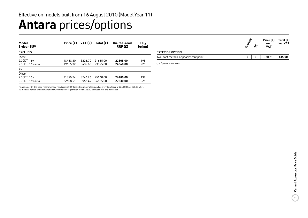## **Antara** prices/options

| Model<br>5-door SUV | Price $(E)$ | VAT $(f)$ | Total $(E)$ | On-the-road<br>RRP(E) | CO <sub>2</sub><br>(g/km) |
|---------------------|-------------|-----------|-------------|-----------------------|---------------------------|
| <b>EXCLUSIV</b>     |             |           |             |                       |                           |
| Diesel              |             |           |             |                       |                           |
| 2.0CDTi 16y         | 18438.30    | 3226.70   | 21665.00    | 22805.00              | 198                       |
| 2.0CDTi 16y auto    | 19655.32    | 3439.68   | 23095.00    | 24360.00              | 225                       |
| <b>SE</b>           |             |           |             |                       |                           |
| Diesel              |             |           |             |                       |                           |
| 2.0CDTi 16y         | 21395.74    | 3744.26   | 25140.00    | 26280.00              | 198                       |
| 2.0CDTi 16y auto    | 22608.51    | 3956.49   | 26565.00    | 27830.00              | 225                       |

|                                        |  | Price $(E)$ Total $(E)$<br>exc.<br><b>VAT</b> | inc. VAT |
|----------------------------------------|--|-----------------------------------------------|----------|
| <b>EXTERIOR OPTION</b>                 |  |                                               |          |
| Two-coat metallic or pearlescent paint |  | 370.21                                        | 435.00   |
|                                        |  |                                               |          |

 $O =$  Optional at extra cost.

Please note: On-the-road recommended retail prices (RRP) include number plates and delivery to retailer of £660.00 (inc. £98.30 VAT), 12 months' Vehicle Excise Duty and new vehicle first registration fee of £55.00. Excludes fuel and insurance.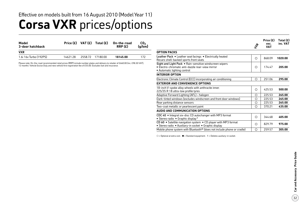### **Corsa VXR** prices/options Effective on models built from 16 August 2010 (Model Year 11)

| Model<br>3-door hatchback |          | Price $(E)$ VAT $(E)$ Total $(E)$ | On-the-road<br>RRP(E) | CO <sub>2</sub><br>(q/km) |
|---------------------------|----------|-----------------------------------|-----------------------|---------------------------|
| <b>VXR</b>                |          |                                   |                       |                           |
| 1.6i 16v Turbo (192PS)    | 14621.28 | 2558 72 17180 00                  | 18145.00              | 172                       |

Please note: On-the-road recommended retail prices (RRP) include number plates and delivery to retailer of £660.00 (inc. £98.30 VAT), 12 months' Vehicle Excise Duty and new vehicle first registration fee of £55.00. Excludes fuel and insurance.

|                                                                                                                                             | $z_{\text{f}}$ | Price $(E)$<br>exc.<br><b>VAT</b> | Total (£)<br>inc. VAT |
|---------------------------------------------------------------------------------------------------------------------------------------------|----------------|-----------------------------------|-----------------------|
| <b>OPTION PACKS</b>                                                                                                                         |                |                                   |                       |
| Leather Pack • Leather seat facings • Electrically heated<br>Recaro shell-backed sports front seats                                         | ∩              | 868.09                            | 1020.00               |
| Sight and Light Pack . Rain-sensitive windscreen wipers<br>• Electro-chromatic anti-dazzle rear-view mirror<br>• Automatic lighting control | ∩              | 174.47                            | 205.00                |
| <b>INTERIOR OPTION</b>                                                                                                                      |                |                                   |                       |
| Electronic Climate Control (ECC) incorporating air conditioning                                                                             | О              | 251.06                            | 295.00                |
| <b>EXTERIOR AND CONVENIENCE OPTIONS</b>                                                                                                     |                |                                   |                       |
| 18-inch V-spoke alloy wheels with anthracite inner,<br>225/35 R 18 ultra-low profile tyres                                                  | Ω              | 425.53                            | 500.00                |
| Adaptive Forward Lighting (AFL) - halogen                                                                                                   | Ω              | 225.53                            | 265.00                |
| Dark-tinted windows (excludes windscreen and front door windows)                                                                            | Ο              | 225.53                            | 265.00                |
| Rear parking distance sensors                                                                                                               | Ο              | 225.53                            | 265.00                |
| Two-coat metallic or pearlescent paint                                                                                                      | Ω              | 370.21                            | 435.00                |
| AUDIO AND COMMUNICATION OPTIONS                                                                                                             |                |                                   |                       |
| CDC 40 . Integral six-disc CD autochanger with MP3 format<br>• Stereo radio • Graphic display <sup>1</sup>                                  | Ο              | 344.68                            | 405.00                |
| CD 60 • Satellite navigation system • CD player with MP3 format<br>· Stereo radio · Auxiliary-in socket · Graphic display                   | Ο              | 829.79                            | 975.00                |
| Mobile phone system with Bluetooth <sup>®</sup> (does not include phone or cradle)                                                          | О              | 259.57                            | 305.00                |

 $O =$  Optional at extra cost.  $\bullet =$  Standard equipment. 1 = Deletes auxiliary-in socket.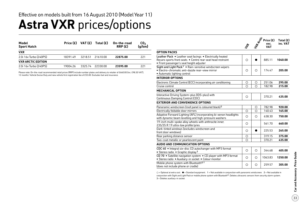### **Astra VXR** prices/options Effective on models built from 16 August 2010 (Model Year 11)

| Model<br><b>Sport Hatch</b> | Price $(E)$ |         | VAT $(E)$ Total $(E)$ | On-the-road<br>RRP(E) | CO <sub>2</sub><br>(g/km) |
|-----------------------------|-------------|---------|-----------------------|-----------------------|---------------------------|
| <b>VXR</b>                  |             |         |                       |                       |                           |
| 2.0i 16v Turbo (240PS)      | 18391.49    | 3218.51 | 21610.00              | 22875.00              | 221                       |
| <b>VXR ARCTIC EDITION</b>   |             |         |                       |                       |                           |
| 2.0i 16y Turbo (240PS)      | 19004.26    | 3325.74 | -22330.00             | 23595.00              | 221                       |

Please note: On-the-road recommended retail prices (RRP) include number plates and delivery to retailer of £660.00 (inc. £98.30 VAT), 12 months' Vehicle Excise Duty and new vehicle first registration fee of £55.00. Excludes fuel and insurance.

|                                                                                                                                                                      | $z^2$      | <b>WAANCISCO</b> | Price (£)<br>exc.<br><b>VAT</b> | Total (£)<br>inc. VAT |
|----------------------------------------------------------------------------------------------------------------------------------------------------------------------|------------|------------------|---------------------------------|-----------------------|
| <b>OPTION PACKS</b>                                                                                                                                                  |            |                  |                                 |                       |
| Leather Pack • Leather seat facings • Electrically heated<br>Recaro sports front seats . Centre rear seat head restraint<br>· Front passenger's seat height adjuster | $\bigcirc$ |                  | 885.11                          | 1040.00               |
| Sight and Light Pack <sup>1</sup> . Rain-sensitive windscreen wipers<br>· Electro-chromatic anti-dazzle rear-view mirror<br>• Automatic lighting control             | O          | О                | 174.47                          | 205.00                |
| <b>INTERIOR OPTIONS</b>                                                                                                                                              |            |                  |                                 |                       |
| Electronic Climate Control (ECC) incorporating air conditioning                                                                                                      | O          | O                | 251.06                          | 295.00                |
| Cruise control                                                                                                                                                       | $\bigcirc$ | $\bigcirc$       | 182.98                          | 215.00                |
| <b>MECHANICAL OPTION</b>                                                                                                                                             |            |                  |                                 |                       |
| Interactive Driving System-plus (IDS-plus) with<br>Continuous Damping Control (CDC)                                                                                  | $\circ$    |                  | 370.21                          | 435.00                |
| <b>EXTERIOR AND CONVENIENCE OPTIONS</b>                                                                                                                              |            |                  |                                 |                       |
| Panoramic windscreen (roof panel is coloured black) <sup>2</sup>                                                                                                     |            | O                | 782.98                          | 920.00                |
| Electrically foldable door mirrors                                                                                                                                   | $\circ$    | $\bigcirc$       | 140.43                          | 165.00                |
| Adaptive Forward Lighting (AFL) incorporating bi-xenon headlights<br>with dynamic beam levelling and high-pressure washers                                           | $\circ$    | Ο                | 638.30                          | 750.00                |
| 19-inch multi-spoke alloy wheels with anthracite inner.<br>235/35 R 19 ultra-low profile tyres                                                                       | $\bigcirc$ |                  | 561.70                          | 660.00                |
| Dark-tinted windows (excludes windscreen and<br>front door windows)                                                                                                  | O          |                  | 225.53                          | 265.00                |
| Rear parking distance sensor                                                                                                                                         | $\circ$    |                  | 319.15                          | 375.00                |
| Two-coat metallic or pearlescent paint                                                                                                                               | $\bigcirc$ |                  | 370.21                          | 435.00                |
| <b>AUDIO AND COMMUNICATION OPTIONS</b>                                                                                                                               |            |                  |                                 |                       |
| CDC 40 . Integral six-disc CD autochanger with MP3 format<br>• Stereo radio • Graphic display <sup>3</sup>                                                           | $\bigcirc$ | Ο                | 344.68                          | 405.00                |
| CD 70 • Satellite navigation system • CD player with MP3 format<br>· Stereo radio · Auxiliary-in socket · Colour monitor                                             | $\circ$    | Ο                | 1063.83                         | 1250.00               |
| Mobile phone system with Bluetooth®1<br>(does not include phone or cradle)                                                                                           | O          | O                | 259.57                          | 305.00                |

 $O =$  Optional at extra cost.  $\bullet =$  Standard equipment. 1 = Not available in conjunction with panoramic windscreen. 2 = Not available in conjunction with Sight and Light Pack or mobile phone system with Bluetooth®. Deletes ultrasonic sensors from security alarm system. 3 = Deletes auxiliary-in socket.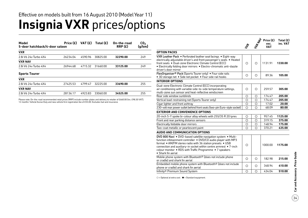### **Insignia VXR** prices/options Effective on models built from 16 August 2010 (Model Year 11)

| Price $(E)$ | VAT $(f)$                      | Total $(E)$ | On-the-road<br>RRP(E) | CO <sub>2</sub><br>(g/km) |
|-------------|--------------------------------|-------------|-----------------------|---------------------------|
|             |                                |             |                       |                           |
| 26234.04    | 4590.96                        | 30825.00    | 32290.00              | 249                       |
|             |                                |             |                       |                           |
| 26944.68    | 4715.32                        | 31660.00    | 33125.00              | 249                       |
|             |                                |             |                       |                           |
|             |                                |             |                       |                           |
| 27425.53    | 4799.47                        | 32225.00    | 33690.00              | 255                       |
|             |                                |             |                       |                           |
| 28136.17    | 4923.83                        | 33060.00    | 34525.00              | 255                       |
|             | 5-door hatchback/4-door saloon |             |                       |                           |

Please note: On-the-road recommended retail prices (RRP) include number plates and delivery to retailer of £660.00 (inc. £98.30 VAT), 12 months' Vehicle Excise Duty and new vehicle first registration fee of £55.00. Excludes fuel and insurance.

|                                                                                                                                                                                                                                                                                                                                                              | $\mathcal{L}$ | <b>STRAND</b> | Price (£)<br>exc.<br><b>VAT</b> | Total (£)<br>inc. VAT |
|--------------------------------------------------------------------------------------------------------------------------------------------------------------------------------------------------------------------------------------------------------------------------------------------------------------------------------------------------------------|---------------|---------------|---------------------------------|-----------------------|
| <b>OPTION PACKS</b>                                                                                                                                                                                                                                                                                                                                          |               |               |                                 |                       |
| VXR Leather Pack • Perforated leather seat facings • Eight-way<br>electrically adjustable driver's and front passenger's seats . Heated<br>front seats • Dual-zone Electronic Climate Control (ECC)<br>• Electrically folding door mirrors • Electro-chromatic anti-dazzle<br>driver's door mirror                                                           | $\circ$       | $\circ$       | 1131.91                         | 1330.00               |
| FlexOrganiser® Pack (Sports Tourer only) . Four side rails<br>• 3D storage net • Side net pocket • Four side rail hooks                                                                                                                                                                                                                                      | O             | O             | 89.36                           | 105.00                |
| <b>INTERIOR OPTIONS</b>                                                                                                                                                                                                                                                                                                                                      |               |               |                                 |                       |
| Dual-zone Electronic Climate Control (ECC) incorporating<br>air conditioning with variable side-to-side temperature settings,<br>multi-zone sun sensor and heat-reflective windscreen                                                                                                                                                                        | $\circ$       | $\bigcirc$    | 259.57                          | 305.00                |
| Rear side window sunblinds                                                                                                                                                                                                                                                                                                                                   | О             | O             | 174.47                          | 205.00                |
| Vertical load-restraining net (Sports Tourer only)                                                                                                                                                                                                                                                                                                           | $\circ$       | $\bigcirc$    | 174.47                          | 205.00                |
| Cigar lighter and front ashtray                                                                                                                                                                                                                                                                                                                              | $\circ$       | O             | 17.02                           | 20.00                 |
| 230-volt rear power outlet behind front seats (two-pin Euro-style socket)                                                                                                                                                                                                                                                                                    | $\circ$       | $\circ$       | 68.09                           | 80.00                 |
| <b>EXTERIOR AND CONVENIENCE OPTIONS</b>                                                                                                                                                                                                                                                                                                                      |               |               |                                 |                       |
| 20-inch 5-Y spoke bi-colour alloy wheels with 255/35 R 20 tyres                                                                                                                                                                                                                                                                                              | O             | O             | 957.45                          | 1125.00               |
| Front and rear parking distance sensors                                                                                                                                                                                                                                                                                                                      | $\bigcirc$    | $\bigcirc$    | 319.15                          | 375.00                |
| Electrically foldable door mirrors                                                                                                                                                                                                                                                                                                                           | $\circ$       | $\circ$       | 148.94                          | 175.00                |
| Two-coat metallic or pearlescent paint                                                                                                                                                                                                                                                                                                                       | $\bigcirc$    | $\bigcirc$    | 370.21                          | 435.00                |
| AUDIO AND COMMUNICATION OPTIONS                                                                                                                                                                                                                                                                                                                              |               |               |                                 |                       |
| DVD 800 Navi . DVD-based satellite navigation system . Multi-<br>function infotainment controller . DVD/CD audio player with MP3<br>format . AM/FM stereo radio with 36 station presets . USB<br>connection and auxiliary-in socket within centre armrest • 7-inch<br>colour monitor . RDS with Traffic Programme . 7 speakers<br>$\bullet$ Shark fin aerial | Ο             |               | 1000.00                         | 1175.00               |
| Mobile phone system with Bluetooth® (does not include phone<br>or cradle) and shark fin aerial                                                                                                                                                                                                                                                               | $\circ$       | $\circ$       | 182.98                          | 215.00                |
| Embedded mobile phone system with Bluetooth® (does not include<br>phone or cradle) and shark fin aerial                                                                                                                                                                                                                                                      | $\bigcirc$    | $\bigcirc$    | 348.94                          | 410.00                |
| Infinity® Premium Sound System                                                                                                                                                                                                                                                                                                                               | $\circ$       | $\circ$       | 434.04                          | 510.00                |

 $O =$  Optional at extra cost.  $\bullet =$  Standard equipment.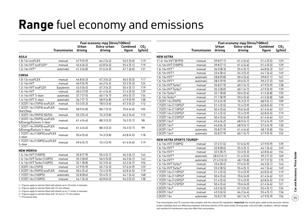## **Range** fuel economy and emissions

|                                                                                               |                     |                         | Fuel economy mpg (litres/100km) |                           |                           |                                  |                     | Fuel economy mpg (litres/100km) |                        |                           |                           |
|-----------------------------------------------------------------------------------------------|---------------------|-------------------------|---------------------------------|---------------------------|---------------------------|----------------------------------|---------------------|---------------------------------|------------------------|---------------------------|---------------------------|
|                                                                                               | <b>Transmission</b> | <b>Urban</b><br>driving | Extra-urban<br>driving          | <b>Combined</b><br>figure | CO <sub>2</sub><br>(g/km) |                                  | <b>Transmission</b> | <b>Urban</b><br>driving         | Extra-urban<br>driving | <b>Combined</b><br>figure | CO <sub>2</sub><br>(g/km) |
| <b>AGILA</b>                                                                                  |                     |                         |                                 |                           |                           | <b>NEW ASTRA</b>                 |                     |                                 |                        |                           |                           |
| 1.0i 12v ecoFLEX                                                                              | manual              | 47.9(5.9)               | 64.2(4.4)                       | 56.5(5.0)                 | 119                       | 11.4i 16v VVT (87PS)             | manual              | 39.8(7.1)                       | 61.4(4.6)              | 51.4(5.5)                 | 129                       |
| 1.2i 16v VVT ecoFLEX*                                                                         | manual              | 45.6(6.2)               | 62.8(4.5)                       | 55.4(5.1)                 | 119                       | 1.4i 16y VVT (100PS)             | manual              | 39.8(7.1)                       | 61.4(4.6)              | 51.4(5.5)                 | 129                       |
| 1.2i 16v VVT*                                                                                 | automatic           | 41.5(6.8)               | 57.6 (4.9)                      | 47.1(6.0)                 | 131                       | 1.6i 16v VVT <sup>1</sup>        | manual              | 34.0(8.3)                       | 55.4(5.1)              | 44.8(6.3)                 | 147                       |
| <b>CORSA</b>                                                                                  |                     |                         |                                 |                           |                           | 1.6i 16v VVT <sup>2</sup>        | manual              | 33.6(8.4)                       | 54.3(5.2)              | 44.1(6.4)                 | 149                       |
|                                                                                               |                     |                         |                                 |                           |                           | 1.6i 16v VVT1                    | automatic           | 28.8(9.8)                       | 50.4(5.6)              | 39.8(7.1)                 | 167                       |
| 1.0i 12v ecoFLEX                                                                              | manual              | 44.8(6.3)               | 67.3(4.2)                       | 56.5(5.0)                 | 117                       | I.6i 16v VVT <sup>2</sup>        | automatic           | 28.5 (9.9)                      | 49.6 (5.7)             | 39.2 (7.2)                | 169                       |
| 1.2i 16v VVT                                                                                  | manual              | 40.9(6.9)               | 64.2(4.4)                       | 53.3(5.3)                 | 124                       | 1.4i 16v VVT Turbo 1             | manual              | 35.8 (7.9)                      | 60.1(4.7)              | 47.9 (5.9)                | 138                       |
| 1.2i 16v VVT ecoFLEX                                                                          | Easytronic          | 43.5(6.5)               | 67.3(4.2)                       | 55.4(5.1)                 | 119                       | .4i 16v VVT Turbo <sup>2</sup>   | manual              | 35.3(8.0)                       | 60.1(4.7)              | 47.9 (5.9)                | 139                       |
| 1.4i 16v VVT                                                                                  | manual              | 40.4(7.0)               | 61.4(4.6)                       | 51.4(5.5)                 | 129                       | 1.6i 16v Turbo <sup>3</sup>      | manual              | 32.1 (8.8)                      | 50.4(5.6)              | 41.5(6.8)                 | 159                       |
| 1.4i 16v VVT 3-door                                                                           | automatic           | 37.7(7.5)               | 60.1(4.7)                       | 49.6(5.7)                 | 134                       | 1.6i 16v Turbo <sup>4</sup>      | manual              | 31.7(8.9)                       | 50.4(5.6)              | 41.5(6.8)                 | 160                       |
| 1.4i 16y VVT 5-door                                                                           | automatic           | 36.7(7.7)               | 58.9 (4.8)                      | 47.9 (5.9)                | 138                       | 1.3CDTi 16v (95PS)               | manual              | 57.6 (4.9)                      | 76.3(3.7)              | 68.9(4.1)                 | 109                       |
| 1.3CDTi 16v (75PS) ecoFLEX                                                                    | manual              | 53.3(5.3)               | 78.5 (3.6)                      | 67.3(4.2)                 | 112                       | 1.7CDTi 16v (110PS) <sup>3</sup> | manual              | 51.4(5.5)                       | 72.4 (3.9)             | 62.8(4.5)                 | 119                       |
| 1.3CDTi 16v (75PS) ecoFLEX<br>Start/Stop                                                      | manual              | 58.9 (4.8)              | 80.7(3.5)                       | 70.6 (4.0)                | 105                       | 1.7CDTi 16v (110PS) <sup>4</sup> | manual              | 50.4(5.6)                       | 70.6 (4.0)             | 61.4(4.6)                 | 121                       |
| 1.3CDTi 16v (95PS) SE/SXi                                                                     | manual              | 52.3(5.4)               | 74.3 (3.8)                      | 64.2(4.4)                 | 115                       | 1.7CDTi 16v (125PS)3             | manual              | 51.4(5.5)                       | 72.4 (3.9)             | 62.8(4.5)                 | 119                       |
| 1.3CDTi 16v (95PS) ecoFLEX                                                                    |                     |                         |                                 |                           |                           | 1.7CDTi 16v (125PS) <sup>4</sup> | manual              | 50.4(5.6)                       | 70.6 (4.0)             | 61.4(4.6)                 | 121                       |
| S/Energy/Exclusiv 3-door                                                                      | manual              | 61.4(4.6)               | 88.3 (3.2)                      | 76.3(3.7)                 | 98                        | 2.0CDTi 16v3                     | manual              | 45.6(6.2)                       | 68.9(4.1)              | 57.6(4.9)                 | 129                       |
| 1.3CDTi 16v (95PS) ecoFLEX                                                                    |                     |                         |                                 |                           |                           | 2.0CDTi 16v4                     | manual              | 44.8(6.3)                       | 68.9(4.1)              | 57.6 (4.9)                | 130                       |
| S/Energy/Exclusiv 5-door                                                                      | manual              | 61.4(4.6)               | 88.3 (3.2)                      | 76.3(3.7)                 | 99                        | 2.0CDTi 16v <sup>3</sup>         | automatic           | 35.8 (7.9)                      | 61.4(4.6)              | 48.7 (5.8)                | 154                       |
| 1.7CDTi 16v (130PS) ecoFLEX<br>3-door                                                         | manual              | 50.4(5.6)               | 74.3 (3.8)                      | 62.8(4.5)                 | 118                       | 2.0CDTi 16v4                     | automatic           | 35.8 (7.9)                      | 60.1(4.7)              | 47.9 (5.9)                | 155                       |
| 1.7CDTi 16v (130PS) ecoFLEX                                                                   |                     |                         |                                 |                           |                           | <b>NEW ASTRA SPORTS TOURER*</b>  |                     |                                 |                        |                           |                           |
| 5-door                                                                                        | manual              | 49.6(5.7)               | 72.4 (3.9)                      | 61.4(4.6)                 | 119                       | 1.4i 16v VVT (100PS)             | manual              | 37.2(7.6)                       | 57.6 (4.9)             | 47.9(5.9)                 | 139                       |
| <b>NEW MERIVA</b>                                                                             |                     |                         |                                 |                           |                           | 1.6i 16v VVT3                    | manual              | 32.8(8.6)                       | 55.4(5.1)              | 44.1(6.4)                 | 149                       |
|                                                                                               |                     |                         |                                 |                           |                           | 1.6i 16v VVT4                    | manual              | 32.5(8.7)                       | 53.3(5.3)              | 42.8(6.6)                 | 154                       |
| 1.4i 16v VVT (100PS)                                                                          | manual              | 35.8(7.9)               | 55.4(5.1)                       | 46.3(6.1)                 | 144                       | 1.6i 16v VVT3                    | automatic           | 28.0(10.1)                      | 51.4(5.5)              | 39.2 (7.2)                | 169                       |
| 1.4i 16y VVT Turbo (120PS)                                                                    | manual              | 35.3(8.0)               | 56.5(5.0)                       | 46.3(6.1)                 | 143                       | 1.6i 16v VVT4                    | automatic           | 27.4 (10.3)                     | 48.7 (5.8)             | 37.7(7.5)                 | 175                       |
| 1.4i 16v VVT Turbo (140PS)                                                                    | manual              | 32.1(8.8)               | 52.3(5.4)                       | 42.2(6.7)                 | 156                       | 1.4i 16v VVT Turbo 3             | manual              | 33.6 (8.4)                      | 57.6 (4.9)             | 46.3(6.1)                 | 144                       |
| 1.3CDTi 16v (75PS)                                                                            | manual              | 47.9(5.9)               | 65.7(4.3)                       | 57.6(4.9)                 | 129                       | 1.4i 16v VVT Turbo <sup>4</sup>  | manual              | 33.2(8.5)                       | 55.4(5.1)              | 44.1(6.4)                 | 149                       |
| 1.3CDTi 16v (95PS) ecoFLEX                                                                    | manual              | 50.4(5.6)               | 72.4 (3.9)                      | 62.8(4.5)                 | 119                       | 1.7CDTi 16v (110PS)3             | manual              | 51.4(5.5)                       | 72.4 (3.9)             | 62.8(4.5)                 | 119                       |
| 1.7CDTi 16v (100PS)                                                                           | automatic           | 32.8(8.6)               | 55.4(5.1)                       | 44.1(6.4)                 | 168                       | 1.7CDTi 16v (110PS) 4            | manual              | 50.4(5.6)                       | 70.6 (4.0)             | 61.4(4.6)                 | 121                       |
| 1.7CDTi 16v (130PS)                                                                           | manual              | 44.1(6.4)               | 62.8(4.5)                       | 54.3(5.2)                 | 138                       | 1.7CDTi 16v (125PS) <sup>3</sup> | manual              | 51.4(5.5)                       | 72.4 (3.9)             | 62.8(4.5)                 | 119                       |
| 1 = Figures apply to vehicles fitted with wheels up to 18 inches in diameter.                 |                     |                         |                                 |                           |                           | 1.7CDTi 16v (125PS)4             | manual              | 50.4(5.6)                       | 70.6 (4.0)             | 61.4(4.6)                 | 121                       |
| 2 = Figures apply to vehicles fitted with 19-inch wheels.                                     |                     |                         |                                 |                           |                           | 2.0CDTi 16v3                     | manual              | 43.5(6.5)                       | 67.3(4.2)              | 55.4(5.1)                 | 134                       |
| 3 = Figures apply to vehicles fitted with wheels up to 17 inches in diameter.                 |                     |                         |                                 |                           |                           | 2.0CDTi 16v <sup>4</sup>         | manual              | 43.5(6.5)                       | 64.2(4.4)              | 55.4(5.1)                 | 136                       |
| 4 = Figures apply to vehicles fitted with 18-inch or 19-inch wheels.<br>* = Provisional data. |                     |                         |                                 |                           |                           | 2.0CDTi 16v                      | automatic           | 35.8(7.9)                       | 60.1(4.7)              | 47.9 (5.9)                | 156                       |

\* = Provisional data.

Fuel consumption and CO<sub>2</sub> emission data complies with the relevant EU regulations. Important: the results given relate to the particular vehicle tested; inevitably there are differences between individual vehicles of the same model. Driving style, road and traffic conditions, vehicle mileage and standard of maintenance may also affect fuel consumption.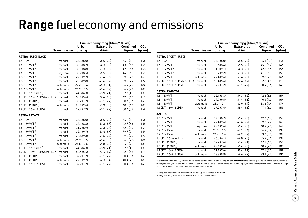## **Range** fuel economy and emissions

|                             |                     |                         | Fuel economy mpg (litres/100km) |                           |                           | Fuel economy mpg (litres/100km)                                                                                                                                                                                      |                     |                         |                        |                           |                           |
|-----------------------------|---------------------|-------------------------|---------------------------------|---------------------------|---------------------------|----------------------------------------------------------------------------------------------------------------------------------------------------------------------------------------------------------------------|---------------------|-------------------------|------------------------|---------------------------|---------------------------|
|                             | <b>Transmission</b> | <b>Urban</b><br>driving | Extra-urban<br>driving          | <b>Combined</b><br>figure | CO <sub>2</sub><br>(g/km) |                                                                                                                                                                                                                      | <b>Transmission</b> | <b>Urban</b><br>driving | Extra-urban<br>driving | <b>Combined</b><br>figure | CO <sub>2</sub><br>(g/km) |
| <b>ASTRA HATCHBACK</b>      |                     |                         |                                 |                           |                           | <b>ASTRA SPORT HATCH</b>                                                                                                                                                                                             |                     |                         |                        |                           |                           |
| 1.4i 16v                    | manual              | 35.3(8.0)               | 56.5(5.0)                       | 46.3(6.1)                 | 146                       | 1.4i 16v                                                                                                                                                                                                             | manual              | 35.3(8.0)               | 56.5(5.0)              | 46.3(6.1)                 | 146                       |
| 1.6i 16v VVT5               | manual              | 32.5(8.7)               | 54.3(5.2)                       | 43.5(6.5)                 | 155                       | 1.6i 16v VVT                                                                                                                                                                                                         | manual              | 33.6(8.4)               | 56.5(5.0)              | 45.6(6.2)                 | 146                       |
| 1.6i 16v VVT <sup>6</sup>   | manual              | 32.1(8.8)               | 53.3(5.3)                       | 42.8(6.6)                 | 158                       | 1.8i 16v VVT <sup>5</sup>                                                                                                                                                                                            | manual              | 31.0(9.1)               | 54.3(5.2)              | 42.8(6.6)                 | 156                       |
| 1.6i 16v VVT                | Easytronic          | 33.2(8.5)               | 56.5(5.0)                       | 44.8(6.3)                 | 151                       | 1.8i 16v VVT <sup>6</sup>                                                                                                                                                                                            | manual              | 30.7(9.2)               | 53.3(5.3)              | 41.5(6.8)                 | 159                       |
| 1.8i 16v VVT5               | manual              | 29.1 (9.7)              | 50.4(5.6)                       | 39.8 (7.1)                | 169                       | 1.8i 16v VVT                                                                                                                                                                                                         | automatic           | 29.4(9.6)               | 50.4(5.6)              | 39.8(7.1)                 | 166                       |
| 1.8i 16y VVT <sup>6</sup>   | manual              | 28.8(9.8)               | 49.6(5.7)                       | 39.2(7.2)                 | 172                       | 1.7CDTi 16v (110PS) ecoFLEX                                                                                                                                                                                          | manual              | 50.4(5.6)               | 72.4 (3.9)             | 62.8(4.5)                 | 119                       |
| 1.8i 16v VVT5               | automatic           | 27.2(10.4)              | 46.3(6.1)                       | 36.7(7.7)                 | 184                       | 1.9CDTi 16v (150PS)                                                                                                                                                                                                  | manual              | 39.2(7.2)               | 60.1(4.7)              | 50.4(5.6)                 | 149                       |
| 1.8i 16v VVT <sup>6</sup>   | automatic           | 26.9(10.5)              | 45.6(6.2)                       | 36.2(7.8)                 | 186                       | <b>ASTRA TWINTOP</b>                                                                                                                                                                                                 |                     |                         |                        |                           |                           |
| 1.3CDTi 16v (90PS)          | manual              | 44.8(6.3)               | 68.9(4.1)                       | 57.6 (4.9)                | 130                       |                                                                                                                                                                                                                      |                     |                         |                        |                           |                           |
| 1.7CDTi 16v (110PS) ecoFLEX | manual              | 50.4(5.6)               | 72.4 (3.9)                      | 62.8(4.5)                 | 119                       | 1.6i 16v VVT                                                                                                                                                                                                         | manual              | 32.1 (8.8)              | 54.3(5.2)              | 42.8(6.6)                 | 154                       |
| 1.9CDTi (120PS)             | manual              | 39.2 (7.2)              | 60.1(4.7)                       | 50.4(5.6)                 | 149                       | 1.8i 16v VVT                                                                                                                                                                                                         | manual              | 29.7(9.5)               | 51.4(5.5)              | 40.4 (7.0)                | 164                       |
| 1.9CDTi (120PS)             | automatic           | 29.4(9.6)               | 53.3(5.3)                       | 40.9 (6.9)                | 186                       | 1.8i 16v VVT                                                                                                                                                                                                         | automatic           | 28.0 (10.1)             | 47.9(5.9)              | 38.2(7.4)                 | 174                       |
| 1.9CDTi 16v (150PS)         | manual              | 39.2(7.2)               | 60.1(4.7)                       | 50.4(5.6)                 | 149                       | 1.9CDTi 16v (150PS)                                                                                                                                                                                                  | manual              | 37.2 (7.6)              | 55.4(5.1)              | 47.1 (6.0)                | 159                       |
| <b>ASTRA ESTATE</b>         |                     |                         |                                 |                           |                           | <b>ZAFIRA</b>                                                                                                                                                                                                        |                     |                         |                        |                           |                           |
| 1.4i 16v                    | manual              | 35.3(8.0)               | 56.5(5.0)                       | 46.3(6.1)                 | 146                       | 1.6i 16v VVT                                                                                                                                                                                                         | manual              | 32.5(8.7)               | 51.4(5.5)              | 42.2(6.7)                 | 157                       |
| 1.6i 16v VVT5               | manual              | 32.1 (8.8)              | 53.3(5.3)                       | 42.8(6.6)                 | 158                       | 1.8i 16v VVT                                                                                                                                                                                                         | manual              | 29.4(9.6)               | 49.6(5.7)              | 39.2(7.2)                 | 168                       |
| 1.6i 16v VVT <sup>6</sup>   | manual              | 31.7(8.9)               | 52.3(5.4)                       | 42.2(6.7)                 | 159                       | 1.8i 16v VVT                                                                                                                                                                                                         | Easytronic          | 29.4(9.6)               | 51.4(5.5)              | 40.4(7.0)                 | 164                       |
| 1.8i 16v VVT <sup>5</sup>   | manual              | 29.1(9.7)               | 50.4(5.6)                       | 39.8(7.1)                 | 169                       | 2.2i 16v Direct                                                                                                                                                                                                      | manual              | 25.0(11.3)              | 44.1(6.4)              | 34.4(8.2)                 | 197                       |
| 1.8i 16v VVT6               | manual              | 28.8(9.8)               | 49.6(5.7)                       | 39.2(7.2)                 | 172                       | 2.2i 16v Direct                                                                                                                                                                                                      | automatic           | 24.4 (11.6)             | 42.2(6.7)              | 33.2(8.5)                 | 204                       |
| 1.8i 16v VVT5               | automatic           | 26.9(10.5)              | 45.6(6.2)                       | 36.2(7.8)                 | 186                       | 1.7CDTi 16v ecoFLEX                                                                                                                                                                                                  | manual              | 46.3(6.1)               | 62.8(4.5)              | 55.4(5.1)                 | 134                       |
| 1.8i 16v VVT <sup>6</sup>   | automatic           | 26.6(10.6)              | 44.8(6.3)                       | 35.8(7.9)                 | 189                       | 1.9CDTi (120PS)                                                                                                                                                                                                      | manual              | 37.2(7.6)               | 55.4(5.1)              | 47.1(6.0)                 | 159                       |
| 1.3CDTi 16y (90PS)          | manual              | 44.8(6.3)               | 68.9(4.1)                       | 57.6(4.9)                 | 130                       | 1.9CDTi (120PS)                                                                                                                                                                                                      | automatic           | 29.4(9.6)               | 51.4(5.5)              | 40.4 (7.0)                | 186                       |
| 1.7CDTi 16v (110PS) ecoFLEX | manual              | 50.4(5.6)               | 72.4 (3.9)                      | 62.8(4.5)                 | 119                       | 1.9CDTi 16v (150PS)                                                                                                                                                                                                  | manual              | 37.2 (7.6)              | 55.4(5.1)              | 47.1 (6.0)                | 159                       |
| 1.9CDTi (120PS)             | manual              | 39.2 (7.2)              | 60.1(4.7)                       | 50.4(5.6)                 | 149                       | 1.9CDTi 16v (150PS)                                                                                                                                                                                                  | automatic           | 28.8(9.8)               | 49.6(5.7)              | 39.2 (7.2)                | 191                       |
| 1.9CDTi (120PS)             | automatic           | 29.1(9.7)               | 52.3(5.4)                       | 40.4(7.0)                 | 189                       | Fuel consumption and CO <sub>2</sub> emission data complies with the relevant EU requlations. Important: the results given relate to the particular vehicle                                                          |                     |                         |                        |                           |                           |
| 1.9CDTi 16y (150PS)         | manual              | 39.2 (7.2)              | 60.1(4.7)                       | 50.4(5.6)                 | 149                       | tested; inevitably there are differences between individual vehicles of the same model. Driving style, road and traffic conditions, vehicle mileage<br>and standard of maintenance may also affect fuel consumption. |                     |                         |                        |                           |                           |

5 = Figures apply to vehicles fitted with wheels up to 16 inches in diameter.

6 = Figures apply to vehicles fitted with 17-inch or 18-inch wheels.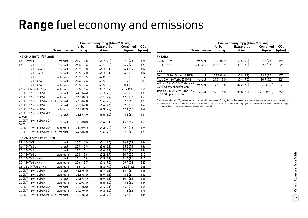## **Range** fuel economy and emissions

|                                    |                     |              | Fuel economy mpg (litres/100km) |                 |                 |
|------------------------------------|---------------------|--------------|---------------------------------|-----------------|-----------------|
|                                    |                     | <b>Urban</b> | Extra-urban                     | <b>Combined</b> | CO <sub>2</sub> |
|                                    | <b>Transmission</b> | driving      | driving                         | figure          | (g/km)          |
| <b>INSIGNIA HATCH/SALOON</b>       |                     |              |                                 |                 |                 |
| 1.8i 16v VVT                       | manual              | 26.2 (10.8)  | 48.7(5.8)                       | 37.2(7.6)       | 178             |
| 1.6i 16y Turbo                     | manual              | 26.6 (10.6)  | 47.1 (6.0)                      | 36.7(7.7)       | 179             |
| 2.0i 16v Turbo saloon              | manual              | 23.9 (11.8)  | 46.3(6.1)                       | 34.4(8.2)       | 192             |
| 2.0i 16y Turbo hatch               | manual              | 23.5 (12.0)  | 46.3(6.1)                       | 34.0(8.3)       | 194             |
| 2.0i 16y Turbo                     | automatic           | 20.9 (13.5)  | 42.8(6.6)                       | 31.0(9.1)       | 214             |
| 2.0i 16y Turbo 4X4                 | manual              | 22.4 (12.6)  | 41.5(6.8)                       | 31.7(8.9)       | 209             |
| 2.0i 16v Turbo 4X4                 | automatic           | 20.8 (13.6)  | 41.5(6.8)                       | 30.4(9.3)       | 218             |
| 2.8i V6 24v Turbo 4X4              | automatic           | 17.0 (16.6)  | 36.7(7.7)                       | 25.7 (11.0)     | 258             |
| 2.0CDTi 16y (130PS)                | manual              | 44.1(6.4)    | 67.3(4.2)                       | 56.5(5.0)       | 133             |
| 2.0CDTi 16v (130PS)                | automatic           | 34.9(8.1)    | 60.1(4.7)                       | 47.9 (5.9)      | 157             |
| 2.0CDTi 16v (130PS) ecoFLEX manual |                     | 44.8 (6.3)   | 70.6 (4.0)                      | 57.6 (4.9)      | 129             |
| 2.0CDTi 16v (160PS)                | manual              | 40.9 (6.9)   | 61.4(4.6)                       | 52.3(5.4)       | 144             |
| 2.0CDTi 16v (160PS)                | automatic           | 34.4(8.2)    | 58.9 (4.8)                      | 47.1 (6.0)      | 159             |
| 2.0CDTi 16v (160PS) 4X4<br>saloon  | manual              | 35.8(7.9)    | 56.5(5.0)                       | 46.3(6.1)       | 161             |
| 2.0CDTi 16v (160PS) 4X4<br>hatch   | manual              | 35.3(8.0)    | 55.4(5.1)                       | 45.6(6.2)       | 163             |
| 2.0CDTi 16v (160PS) 4X4            | automatic           | 31.0(9.1)    | 54.3(5.2)                       | 42.8(6.6)       | 174             |
| 2.0CDTi 16v (160PS) ecoFLEX        | manual              | 44.8 (6.3)   | 70.6 (4.0)                      | 57.6 (4.9)      | 129             |
| <b>INSIGNIA SPORTS TOURER</b>      |                     |              |                                 |                 |                 |
| 1.8i 16v VVT                       | manual              | 25.7 (11.0)  | 47.1 (6.0)                      | 36.2 (7.8)      | 184             |
| 1.6i 16v Turbo                     | manual              | 25.9 (10.9)  | 45.6(6.2)                       | 35.8(7.9)       | 186             |
| 2.0i 16y Turbo                     | manual              | 23.3(12.1)   | 45.6 (6.2)                      | 33.6(8.4)       | 196             |
| 2.0i 16v Turbo                     | automatic           | 20.8 (13.6)  | 42.2 (6.7)                      | 30.7 (9.2)      | 217             |
| 2.0i 16y Turbo 4X4                 | manual              | 22.1 (12.8)  | 40.9 (6.9)                      | 31.0(9.1)       | 213             |
| 2.0i 16v Turbo 4X4                 | automatic           | 20.6 (13.7)  | 40.4 (7.0)                      | 29.7 (9.5)      | 223             |
| 2.8i V6 24v Turbo 4X4              | automatic           | 16.5(17.1)   | 35.8(7.9)                       | 25.0 (11.3)     | 265             |
| 2.0CDTi 16v (130PS)                | manual              | 43.5(6.5)    | 65.7(4.3)                       | 55.4(5.1)       | 136             |
| 2.0CDTi 16v (130PS)                | automatic           | 33.6(8.4)    | 58.9 (4.8)                      | 46.3(6.1)       | 162             |
| 2.0CDTi 16v (160PS)                | manual              | 39.8(7.1)    | 58.9 (4.8)                      | 50.4(5.6)       | 149             |
| 2.0CDTi 16v (160PS)                | automatic           | 34.0(8.3)    | 56.5(5.0)                       | 45.6(6.2)       | 164             |
| 2.0CDTi 16v (160PS) 4X4            | manual              | 35.3(8.0)    | 55.4(5.1)                       | 45.6(6.2)       | 164             |
| 2.0CDTi 16v (160PS) 4X4            | automatic           | 29.7(9.5)    | 54.3(5.2)                       | 41.5(6.8)       | 179             |
| 2.0CDTi 16v (160PS) ecoFLEX        | manual              | 43.5(6.5)    | 67.3(4.2)                       | 55.4(5.1)       | 134             |

|                                                            |                     |                  | Fuel economy mpg (litres/100km) |                           |                           |
|------------------------------------------------------------|---------------------|------------------|---------------------------------|---------------------------|---------------------------|
|                                                            | <b>Transmission</b> | Urban<br>driving | Extra-urban<br>driving          | <b>Combined</b><br>figure | CO <sub>2</sub><br>(g/km) |
| <b>ANTARA</b>                                              |                     |                  |                                 |                           |                           |
| 2.0CDTi 16v                                                | manual              | 32.5(8.7)        | 41.5(6.8)                       | 37.2(7.6)                 | 198                       |
| 2.0CDTi 16v                                                | automatic           | 25.9(10.9)       | 38.7(7.3)                       | 32.8(8.6)                 | 225                       |
| <b>VXR</b>                                                 |                     |                  |                                 |                           |                           |
| Corsa 1.6i 16v Turbo (192PS)                               | manual              | 28.8(9.8)        | 47.9(5.9)                       | 38.7(7.3)                 | 172                       |
| Astra 2.0i 16v Turbo (240PS)                               | manual              | 21.7(13.0)       | 40.4(7.0)                       | 30.7(9.2)                 | 221                       |
| Insignia 2.8i V6 24v Turbo 4X4<br>(325PS) hatchback/saloon | manual              | 17.9(15.8)       | 37.2(7.6)                       | 26.6(10.6)                | 249                       |
| Insignia 2.8i V6 24v Turbo 4X4<br>(325PS) Sports Tourer    | manual              | 17.7(16.0)       | 35.8(7.9)                       | 25.9(10.9)                | 255                       |

Fuel consumption and CO<sub>2</sub> emission data complies with the relevant EU regulations. **Important:** the results given relate to the particular vehicle tested; inevitably there are differences between individual vehicles of the same model. Driving style, road and traffic conditions, vehicle mileage and standard of maintenance may also affect fuel consumption.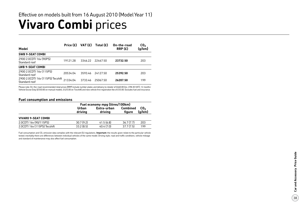### **Vivaro Combi** prices Effective on models built from 16 August 2010 (Model Year 11)

| Model                                              | Price $(E)$ | VAT (£) | Total (£) | On-the-road<br>RRP(E) | CO <sub>2</sub><br>(g/km) |
|----------------------------------------------------|-------------|---------|-----------|-----------------------|---------------------------|
| <b>SWB 9-SEAT COMBI</b>                            |             |         |           |                       |                           |
| 2900 2.0CDTI 16y (90PS)<br>Standard roof           | 19121.28    | 3346.22 | 22467.50  | 23732.50              | 203                       |
| LWB 9-SEAT COMBI                                   |             |         |           |                       |                           |
| 2900 2.0CDTI 16y (115PS)<br>Standard roof          | 20534.04    | 3593.46 | 24127.50  | 25392.50              | 203                       |
| 2900 2.0CDTI 16v (115PS) Tecshift<br>Standard roof | 21334.04    | 373346  | 25067.50  | 26207.50              | 199                       |

Please note: On-the-road recommended retail prices (RRP) include number plates and delivery to retailer of £660.00 (inc. £98.30 VAT), 12 months' Vehicle Excise Duty (£550.00 on manual models, £425.00 on Tecshift) and new vehicle first registration fee of £55.00. Excludes fuel and insurance.

#### **Fuel consumption and emissions**

|                              | Fuel economy mpg (litres/100km) |                        |                           |                           |
|------------------------------|---------------------------------|------------------------|---------------------------|---------------------------|
|                              | Urban<br>driving                | Extra-urban<br>driving | <b>Combined</b><br>figure | CO <sub>2</sub><br>(g/km) |
| <b>VIVARO 9-SEAT COMBI</b>   |                                 |                        |                           |                           |
| 2.0CDTI 16v (90/115PS)       | 30.7(9.2)                       | 41.5(6.8)              | 36.7(7.7)                 | 203                       |
| 2.0CDTI 16v (115PS) Tecshift | 33.2(8.5)                       | 40.4(7.0)              | 37.7(7.5)                 | 199                       |

Fuel consumption and CO 2 emission data complies with the relevant EU regulations. **Important:** the results given relate to the particular vehicle tested; inevitably there are differences between individual vehicles of the same model. Driving style, road and traffic conditions, vehicle mileage and standard of maintenance may also affect fuel consumption.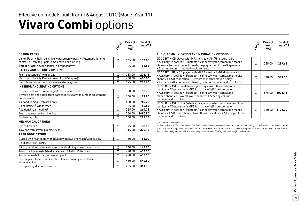### **Vivaro Combi** options Effective on models built from 16 August 2010 (Model Year 11)

|                                                                                                                            | Compi      | Price (E)<br>exc.<br><b>VAT</b> | Total $(E)$<br>inc. VAT |
|----------------------------------------------------------------------------------------------------------------------------|------------|---------------------------------|-------------------------|
| <b>OPTION PACKS</b>                                                                                                        |            |                                 |                         |
| Vision Pack . Rain-sensitive windscreen wipers . Automatic lighting<br>control . Front fog lights . Selective door locking | $\bigcirc$ | 165.00                          | 193.88                  |
| Smoker Pack . Cigar lighter . Front ashtray                                                                                | ∩          | 45.00                           | 52.88                   |
| <b>SAFETY AND SECURITY OPTIONS</b>                                                                                         |            |                                 |                         |
| Front passengers' twin airbag                                                                                              | $\circ$    | 235.00                          | 276.13                  |
| Electronic Stability Programme-plus (ESP-plus)1                                                                            | Ω          | 400.00                          | 470.00                  |
| Remote control ultrasonic security alarm system                                                                            | $\bigcirc$ | 175.00                          | 205.63                  |
| <b>INTERIOR AND SEATING OPTIONS</b>                                                                                        |            |                                 |                         |
| Driver's seat with lumbar adjustment and armrest                                                                           | О          | 50.00                           | 58.75                   |
| Driver's seat and single front passenger's seat with lumbar adjustment<br>and armrest                                      | ◯          | 100.00                          | 117.50                  |
| Air conditioning - cab area only                                                                                           | Ω          | 630.00                          | 740.25                  |
| Solar Reflect <sup>®</sup> windscreen                                                                                      | O          | 55.00                           | 64.63                   |
| Additional rear heating <sup>2</sup>                                                                                       | $\bigcirc$ | 225.00                          | 264.38                  |
| Front and rear air conditioning                                                                                            | $\circ$    | 1260.00                         | 1480.50                 |
| Cruise control <sup>3</sup>                                                                                                | ∩          | 250.00                          | 293.75                  |
| <b>MECHANICAL OPTIONS</b>                                                                                                  |            |                                 |                         |
| Speed limiter <sup>3</sup>                                                                                                 | О          | 75.00                           | 88.13                   |
| Tow bar with seven-pin electrics 4                                                                                         | O          | 315.00                          | 370.13                  |
| <b>REAR DOOR OPTION</b>                                                                                                    |            |                                 |                         |
| Glazed twin rear doors with heated windows and wash/wipe facility                                                          | O          | 160.00                          | 188.00                  |
| <b>EXTERIOR OPTIONS</b>                                                                                                    |            |                                 |                         |
| Sliding windows in nearside and offside sliding side-access doors                                                          | Ο          | 140.00                          | 164.50                  |
| 16-inch alloy wheels (steel spare) with 215/65 R 16 tyres                                                                  | $\bigcirc$ | 420.00                          | 493.50                  |
| Two-coat metallic or pearlescent paint                                                                                     | Ο          | 420.00                          | 493.50                  |
| Special paint (restrictions apply - please consult your retailer<br>for availability)                                      | $\bigcirc$ | 460.00                          | 540.50                  |
| Rear parking distance sensors                                                                                              | Ο          | 265.00                          | 311.38                  |

|                                                                                                                                                                                                                                                                                                                   | Combi | Price (£)<br>exc.<br>VAT | Total (£)<br>inc. VAT |
|-------------------------------------------------------------------------------------------------------------------------------------------------------------------------------------------------------------------------------------------------------------------------------------------------------------------|-------|--------------------------|-----------------------|
| AUDIO, COMMUNICATION AND NAVIGATION OPTIONS                                                                                                                                                                                                                                                                       |       |                          |                       |
| CD 30 BT • CD player with MP3 format • AM/FM stereo radio<br>• Auxiliary-in socket • Bluetooth <sup>®</sup> connectivity for compatible mobile<br>phones • Remote monochromatic display • Two 20-watt speakers<br>• Steering column mounted audio controls                                                        | ∩     | 255.00                   | 299.63                |
| CD 30 BT USB • CD player with MP3 format • AM/FM stereo radio<br>• Auxiliary-in socket • Bluetooth <sup>®</sup> connectivity for compatible mobile<br>phones • USB connection • Remote monochromatic display<br>• Two 20-watt speakers • Steering column mounted audio controls                                   | ∩     | 340.00                   | 399.50                |
| CD 30 BT NAVI • Satellite navigation system with remote colour<br>monitor • CD player with MP3 format • AM/FM stereo radio<br>• Auxiliary-in socket • Bluetooth <sup>®</sup> connectivity for compatible<br>mobile phones • Two 20-watt speakers • Steering column<br>mounted audio controls                      | O     | 875.00                   | 1028.13               |
| CD 30 BT NAVI USB • Satellite navigation system with remote colour<br>monitor • CD player with MP3 format • AM/FM stereo radio<br>• Auxiliary-in socket • Bluetooth <sup>®</sup> connectivity for compatible mobile<br>phones • USB connection • Two 20-watt speakers • Steering column<br>mounted audio controls | ∩     | 960.00                   | 1128.00               |

 $O =$  Optional at extra cost.

1 = Not available on Tecshift models. 2 = Only available in conjunction with front and rear air conditioning on LWB models. 3 = Cruise control is not available in conjunction with speed limiter.  $4 =$  Unless the user qualifies for a specific exemption, vehicles operated with a trailer, where the combined weight of the vehicle, trailer and payload exceeds 3500kg, will need a digital tachograph.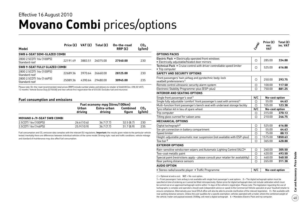### **Movano Combi** prices/options Effective 16 August 2010

|                                              | Price $(E)$ | VAT (£) | Total $(E)$ | On-the-road | CO <sub>2</sub> |
|----------------------------------------------|-------------|---------|-------------|-------------|-----------------|
| Model                                        |             |         |             | RRP(E)      | (g/km)          |
| SWB 6-SEAT SEMI-GLAZED COMBI                 |             |         |             |             |                 |
| 2800 2.5CDTI 16y (100PS)<br>Standard roof    | 22191.49    | 3883.51 | 26075.00    | 27540.00    | 230             |
| SWB 9-SEAT FULLY GLAZED COMBI                |             |         |             |             |                 |
| 2800 2.5CDTI 16y (100PS)<br>Standard roof    | 2268936     | 3970.64 | 26660.00    | 28125.00    | 230             |
| 2800 2.5 CDTI 16 v (146 PS)<br>Standard roof | 25089.36    | 4390.64 | 29480.00    | 30945.00    | 235             |

Please note: On-the-road recommended retail prices (RRP) include number plates and delivery to retailer of £660.00 (inc. £98.30 VAT), 12 months' Vehicle Excise Duty (£750.00) and new vehicle first registration fee of £55.00. Excludes fuel and insurance.

#### **Fuel consumption and emissions**

|                            | Fuel economy mpg (litres/100km) |                        |                           |                           |
|----------------------------|---------------------------------|------------------------|---------------------------|---------------------------|
|                            | Urban<br>driving                | Extra-urban<br>driving | <b>Combined</b><br>figure | CO <sub>2</sub><br>(g/km) |
| MOVANO 6-/9-SEAT SWB COMBI |                                 |                        |                           |                           |
| 2.5CDTI 16v (100PS)        | 26.6(10.6)                      | 36.7(7.7)              | 32.5(8.7)                 | 230                       |
| 2.5CDTI 16y (146PS)        | 25.9(10.9)                      | 36.7(7.7)              | 31.7(8.9)                 | 235                       |

Fuel consumption and CO<sub>2</sub> emission data complies with the relevant EU regulations. Important: the results given relate to the particular vehicle tested; inevitably there are differences between individual vehicles of the same model. Driving style, road and traffic conditions, vehicle mileage and standard of maintenance may also affect fuel consumption.

|                                                                                                                                                                                                                                                                                                                                                                                                                                                                                                                                                                                                                                                                                                                                                                                                                            | Composit | Price (E)<br>exc.<br>VAT | Total $(E)$<br>inc. VAT |
|----------------------------------------------------------------------------------------------------------------------------------------------------------------------------------------------------------------------------------------------------------------------------------------------------------------------------------------------------------------------------------------------------------------------------------------------------------------------------------------------------------------------------------------------------------------------------------------------------------------------------------------------------------------------------------------------------------------------------------------------------------------------------------------------------------------------------|----------|--------------------------|-------------------------|
| <b>OPTIONS PACKS</b>                                                                                                                                                                                                                                                                                                                                                                                                                                                                                                                                                                                                                                                                                                                                                                                                       |          |                          |                         |
| Electric Pack . Electrically operated front windows<br>• Electrically adjustable/heated door mirrors                                                                                                                                                                                                                                                                                                                                                                                                                                                                                                                                                                                                                                                                                                                       | Ο        | 285.00                   | 334.88                  |
| Technical Pack . Cruise control with driver controllable speed limiter<br>• Trip computer                                                                                                                                                                                                                                                                                                                                                                                                                                                                                                                                                                                                                                                                                                                                  | Ο        | 525.00                   | 616.88                  |
| <b>SAFETY AND SECURITY OPTIONS</b>                                                                                                                                                                                                                                                                                                                                                                                                                                                                                                                                                                                                                                                                                                                                                                                         |          |                          |                         |
| Front passengers' twin airbag and pyrotechnic body-lock<br>seatbelt pretensioners <sup>1</sup>                                                                                                                                                                                                                                                                                                                                                                                                                                                                                                                                                                                                                                                                                                                             | О        | 250.00                   | 293.75                  |
| Remote control ultrasonic security alarm system                                                                                                                                                                                                                                                                                                                                                                                                                                                                                                                                                                                                                                                                                                                                                                            | О        | 100.00                   | 117.50                  |
| Electronic Stability Programme-plus (ESP-plus)                                                                                                                                                                                                                                                                                                                                                                                                                                                                                                                                                                                                                                                                                                                                                                             | Ω        | 750.00                   | 881.25                  |
| <b>INTERIOR AND SEATING OPTIONS</b>                                                                                                                                                                                                                                                                                                                                                                                                                                                                                                                                                                                                                                                                                                                                                                                        |          |                          |                         |
| Single front passenger's seat <sup>1</sup>                                                                                                                                                                                                                                                                                                                                                                                                                                                                                                                                                                                                                                                                                                                                                                                 | N/C      | No-cost option           |                         |
| Single fully adjustable 'comfort' front passenger's seat with armrest <sup>1</sup>                                                                                                                                                                                                                                                                                                                                                                                                                                                                                                                                                                                                                                                                                                                                         | О        | 55.00                    | 64.63                   |
| Multi-function front passenger's bench seat with underseat storage facility                                                                                                                                                                                                                                                                                                                                                                                                                                                                                                                                                                                                                                                                                                                                                | О        | 105.00                   | 123.38                  |
| Tyre inflation kit in lieu of spare wheel                                                                                                                                                                                                                                                                                                                                                                                                                                                                                                                                                                                                                                                                                                                                                                                  | N/C      | No-cost option           |                         |
| Trip computer                                                                                                                                                                                                                                                                                                                                                                                                                                                                                                                                                                                                                                                                                                                                                                                                              | О        | 315.00                   | 370.13                  |
| Tilting glass sunroof for saloon area                                                                                                                                                                                                                                                                                                                                                                                                                                                                                                                                                                                                                                                                                                                                                                                      | Ω        | 210.00                   | 246.75                  |
| <b>MECHANICAL OPTIONS</b>                                                                                                                                                                                                                                                                                                                                                                                                                                                                                                                                                                                                                                                                                                                                                                                                  |          |                          |                         |
| Digital tachograph <sup>2</sup>                                                                                                                                                                                                                                                                                                                                                                                                                                                                                                                                                                                                                                                                                                                                                                                            | О        | 525.00                   | 616.88                  |
| Six-pin connection in battery compartment                                                                                                                                                                                                                                                                                                                                                                                                                                                                                                                                                                                                                                                                                                                                                                                  | $\circ$  | 55.00                    | 64.63                   |
| Speed limiter                                                                                                                                                                                                                                                                                                                                                                                                                                                                                                                                                                                                                                                                                                                                                                                                              | $\circ$  | 75.00                    | 88.13                   |
| Height-adjustable pneumatic rear suspension (not available with ESP-plus)                                                                                                                                                                                                                                                                                                                                                                                                                                                                                                                                                                                                                                                                                                                                                  | $\circ$  | 1575.00                  | 1850.63                 |
| Tow bar $3$                                                                                                                                                                                                                                                                                                                                                                                                                                                                                                                                                                                                                                                                                                                                                                                                                | Ο        | 365.00                   | 428.88                  |
| <b>EXTERIOR OPTIONS</b>                                                                                                                                                                                                                                                                                                                                                                                                                                                                                                                                                                                                                                                                                                                                                                                                    |          |                          |                         |
| Rain-sensitive windscreen wipers and Automatic Lighting Control (ALC) <sup>4</sup>                                                                                                                                                                                                                                                                                                                                                                                                                                                                                                                                                                                                                                                                                                                                         | О        | 260.00                   | 305.50                  |
| Two-coat metallic paint                                                                                                                                                                                                                                                                                                                                                                                                                                                                                                                                                                                                                                                                                                                                                                                                    | О        | 420.00                   | 493.50                  |
| Special paint (restrictions apply - please consult your retailer for availability)                                                                                                                                                                                                                                                                                                                                                                                                                                                                                                                                                                                                                                                                                                                                         | Ο        | 460.00                   | 540.50                  |
| Rear parking distance sensors                                                                                                                                                                                                                                                                                                                                                                                                                                                                                                                                                                                                                                                                                                                                                                                              | Ο        | 265.00                   | 311.38                  |
| <b>AUDIO OPTION</b>                                                                                                                                                                                                                                                                                                                                                                                                                                                                                                                                                                                                                                                                                                                                                                                                        |          |                          |                         |
| • Stereo radio/cassette player • Traffic Programme                                                                                                                                                                                                                                                                                                                                                                                                                                                                                                                                                                                                                                                                                                                                                                         | N/C      | No-cost option           |                         |
| $\bigcirc$ = Optional at extra cost. N/C = No-cost option.<br>1 = Front passengers' twin airbag is not available with single front passenger's seat options. 2 = The digital tachograph option must be<br>specified at time of ordering as it cannot be fitted retrospectively. Option price for digital tachograph does not include calibration which must<br>be carried out at an approved tachograph centre within 14 days of the vehicle's registration. Please note: The legislation regarding the use of<br>tachographs is complex and operators should seek independent advice or speak to the Commercial Vehicle specialist at your Vauxhall retailer to<br>ensure compliance. Alternatively your local DVLA office will also be able to provide clarification of the relevant legislation. 3 = Not available with |          |                          |                         |

rear parking distance sensors. Unless the user qualifies for a specific exemption, vehicles operated with a trailer, where the combined weight of the vehicle, trailer and payload exceeds 3500kg, will need a digital tachograph. 4 = Mandates Electric Pack and trip computer.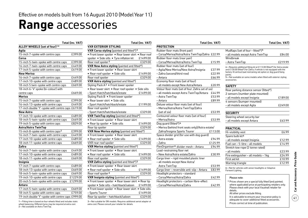## **Range** accessories

|                                                   | <b>Total (inc. VAT)</b> |                            |
|---------------------------------------------------|-------------------------|----------------------------|
| ALLOY WHEELS (set of four) <sup>1*</sup>          |                         | VXR <sub>E</sub>           |
| Agila                                             |                         | <b>VXR Co</b>              |
| 15-inch 7-spoke with centre caps                  | £399.00                 | • Front                    |
| Corsa                                             |                         | spoiler                    |
| 15-inch 5-twin-spoke with centre caps             | £399.00                 | Rear ro                    |
| 16-inch 7-twin-spoke with centre caps             | £449.00                 | <b>VXR Ne</b>              |
| 17-inch 5-spoke with centre caps                  | £619.00                 | $\bullet$ Front            |
| <b>New Meriva</b>                                 |                         | • Rear i                   |
| 16-inch 7-spoke with centre caps                  | £449.00                 | Rear ro                    |
| 17-inch 10-spoke with centre caps                 | £489.00                 | <b>VXR As</b>              |
| 18-inch 5 twin-spoke with centre caps             | £669.00                 | Styling                    |
| 18-inch 6-'V' spoke (bi-colour) with              |                         | • Rear I                   |
| centre caps                                       | £669.00                 | - Sport                    |
| Meriva                                            |                         | Styling                    |
| 15-inch 7-spoke with centre caps                  | £399.00                 | • Rear I                   |
| 16-inch 13-spoke with centre caps                 | £449.00                 | – Sport                    |
| 17-inch double 'Y'-spoke with centre caps £619.00 |                         | Rear ro                    |
| <b>New Astra</b>                                  |                         | - Sport                    |
| 17-inch 10-spoke with centre caps                 | £489.00                 | <b>VXR Tv</b>              |
| 18-inch 5-twin-spoke with centre caps             | £669.00                 | $\bullet$ Front            |
| 19-inch 5-spoke with centre caps                  | £829.00                 | $\bullet$ Rearl            |
| Astra/Astra TwinTop                               |                         | Rear lip                   |
| 15-inch 8-spoke with centre caps <sup>2</sup>     | £399.00                 | <b>VXR Ne</b>              |
| 16-inch 7-twin-spoke with centre caps             | $\overline{E}$ 449.00   | $\bullet$ Front            |
| 17-inch 10-spoke with centre caps                 | £489.00                 | • Rear i                   |
| 18-inch 11-spoke with centre caps                 | £669.00                 | VXR rea                    |
| Zafira                                            |                         | VXR M                      |
| 16-inch 7-twin-spoke with centre caps             | £449.00                 | $\overline{\bullet}$ Front |
| 17-inch 10-spoke with centre caps                 | £489.00                 | • Rear i                   |
| 18-inch 11-spoke with centre caps                 | £669.00                 | Rear ro                    |
| <b>Insignia</b>                                   |                         | VXR Za                     |
| 17-inch 7-spoke with centre caps                  | £489.00                 | $\bullet$ Front            |
| 18-inch 13-spoke with centre caps                 | £669.00                 | • Rear i                   |
| 18-inch 5-twin-spoke with centre caps             | £669.00                 | Rear ro                    |
| 19-inch 10-spoke with centre caps                 | £1229.00                | VXR In:                    |
| 20-inch 5-twin-spoke with centre caps             | £1299.00                | $\bullet$ Front            |
| Antara                                            |                         | spoiler                    |
| 17-inch 5-twin-spoke with centre caps             | £669.00                 | • Front                    |
| 18-inch 5-spoke with centre caps                  | £759.00                 | - Sports                   |
| 19-inch double 'Y'-spoke with centre caps £999.00 |                         | Rear lip                   |

1 = Fitting time is based on four wheels fitted and includes static wheel balancing. Different tyres may be required at extra cost. 2 = Not available on Astra TwinTop.

|                                                       | Total (Inc. VAT) |
|-------------------------------------------------------|------------------|
| <b>VXR EXTERIOR STYLING</b>                           |                  |
| VXR Corsa styling (painted and fitted*) <sup>3</sup>  |                  |
| • Front lower spoiler • Rear lower skirt • Rear roof  |                  |
| spoiler . Side sills . Tyre inflation kit             | £1499.00         |
| Rear roof spoiler <sup>3</sup>                        | £329.00          |
| VXR New Astra styling (painted and fitted*)           |                  |
| • Front lower spoiler • Rear lower skirt              |                  |
| • Rear roof spoiler • Side sills                      | £1499.00         |
| Rear roof spoiler                                     | £329.00          |
| VXR Astra styling (painted and fitted*)               |                  |
| Styling Pack A <sup>3</sup> . Front lower spoiler     |                  |
| • Rear lower skirt • Rear roof spoiler • Side sills   |                  |
| – Sport Hatch/hatchback/estate                        | £1499.00         |
| Styling Pack B . Front lower spoiler                  |                  |
| • Rear lower skirt • Side sills                       |                  |
| - Sport Hatch/hatchback/estate                        | £1199.00         |
| Rear roof spoiler <sup>3</sup>                        |                  |
| - Sport Hatch/hatchback/estate                        | £329.00          |
| VXR TwinTop styling (painted and fitted*)             |                  |
| • Front lower spoiler • Rear lower skirt              |                  |
| · Rear lip spoiler · Side sills                       | £1499.00         |
| Rear lip spoiler                                      | £329.00          |
| <b>VXR New Meriva styling</b> (painted and fitted*)   |                  |
| • Front lower spoiler • Rear lower skirt              |                  |
| · Rear roof spoiler · Side sills                      | £1499.00         |
| VXR rear roof spoiler                                 | £329.00          |
| VXR Meriva styling (painted and fitted*)              |                  |
| • Front lower spoiler • Rear lower skirt              |                  |
| · Rear roof spoiler · Side sills                      | £1499.00         |
| Rear roof spoiler                                     | £329.00          |
| VXR Zafira styling (painted and fitted*) <sup>3</sup> |                  |
| • Front lower spoiler • Rear lower skirt              |                  |
| · Rear roof spoiler · Side sills                      | £1499.00         |
| Rear roof spoiler <sup>3</sup>                        | £329.00          |
| VXR Insignia styling (painted and fitted*)            |                  |
| • Front lower spoiler • Rear lower skirt • Rear lip   |                  |
| spoiler · Side sills - hatchback/saloon               | £1499.00         |
| . Front lower spoiler . Rear lower skirt . Side sills |                  |
| - Sports Tourer                                       | £1499.00         |
| Rear lip spoiler - hatchback/saloon                   | £329.00          |

3 = Not suitable for SRi models. Requires additional aerial adaptor at extra cost. Please consult your retailer for details.

|      | Total (inc. VAT) |                                                       | <b>Total (inc. VAT)</b> |                                                    | <b>Total (inc. VAT)</b> |                                                                                 | <b>Total (inc. VAT)</b> |
|------|------------------|-------------------------------------------------------|-------------------------|----------------------------------------------------|-------------------------|---------------------------------------------------------------------------------|-------------------------|
|      |                  | <b>VXR EXTERIOR STYLING</b>                           |                         | <b>PROTECTION</b>                                  |                         |                                                                                 |                         |
|      |                  | VXR Corsa styling (painted and fitted*) <sup>3</sup>  |                         | Rubber floor mats (front pair)                     |                         | Mudflaps (set of four $-$ fitted*) <sup>5</sup>                                 |                         |
|      | £399.00          | • Front lower spoiler • Rear lower skirt • Rear roof  |                         | - Corsa/Meriva/Astra/Astra TwinTop/Zafira £22.99   |                         | - all models except Astra TwinTop                                               | £84.00                  |
|      |                  | spoiler . Side sills . Tyre inflation kit             | £1499.00                | Rubber floor mats (rear pair)                      |                         | Windbreak                                                                       |                         |
| aps: | £399.00          | Rear roof spoiler <sup>3</sup>                        | £329.00                 | - Corsa/Meriva/Astra/Astra TwinTop                 | £15.99                  | - Astra TwinTop                                                                 | £219.99                 |
| aps  | £449.00          | VXR New Astra styling (painted and fitted*)           |                         | Rubber floor mats (set of four)                    |                         | 4 = Requires additional fitting kit at £113.00 (fitted*) for Astra estate       |                         |
|      | £619.00          | • Front lower spoiler • Rear lower skirt              |                         | - Agila/New Meriva/New Astra/Insignia              | £37.99                  | and £130.00 (fitted*) for Zafira, if vehicle is not equipped with the           |                         |
|      |                  | • Rear roof spoiler • Side sills                      | £1499.00                | - Zafira (second/third row)                        | £22.99                  | factory-fit vertical load restraining net option or dog guard fixing<br>points. |                         |
|      | £449.00          | Rear roof spoiler                                     | £329.00                 | – Antara                                           | £66.99                  | 5 = Not available on some models when fitted with exterior styling              |                         |
|      | £489.00          | VXR Astra styling (painted and fitted*)               |                         | Economy floor mats (set of four)                   |                         | accessories.                                                                    |                         |
| aps  | £669.00          | Styling Pack A <sup>3</sup> . Front lower spoiler     |                         | - all models except New Astra/Antara               | £20.99                  | <b>SAFETY</b>                                                                   |                         |
|      |                  | • Rear lower skirt • Rear roof spoiler • Side sills   |                         | Velour floor mats (set of four, Zafira set of six) |                         | Rear parking distance sensor (fitted*)                                          |                         |
|      | £669.00          | - Sport Hatch/hatchback/estate                        | £1499.00                | - all models except Astra TwinTop/Antara           | £44.99                  | 2 sensors (number plate mounted)                                                |                         |
|      |                  | Styling Pack B . Front lower spoiler                  |                         | - Astra TwinTop                                    | £53.99                  | - all models except Insignia                                                    | £189.00                 |
|      | £399.00          | • Rear lower skirt • Side sills                       |                         | - Antara                                           | £89.99                  | 4 sensors (bumper mounted)                                                      |                         |
|      | £449.00          | - Sport Hatch/hatchback/estate                        | £1199.00                | Deluxe velour floor mats (set of four)             |                         | - all models except Agila                                                       | £249.00                 |
|      | e caps $£619.00$ | Rear roof spoiler <sup>3</sup>                        |                         | - Meriva/Astra/Astra TwinTop/Zafira                |                         |                                                                                 |                         |
|      |                  | - Sport Hatch/hatchback/estate                        | £329.00                 | (set of six)                                       | £53.99                  | <b>SECURITY</b>                                                                 |                         |
|      | £489.00          | VXR TwinTop styling (painted and fitted*)             |                         | Contoured velour floor mats (set of four)          |                         | Steering wheel security bar                                                     |                         |
| aps: | £669.00          | • Front lower spoiler • Rear lower skirt              |                         | – Meriva/Astra                                     | £53.99                  | - all models except Antara                                                      | £63.99                  |
|      | £829.00          | • Rear lip spoiler • Side sills                       | £1499.00                | Dog quard (fitted*)4                               |                         |                                                                                 |                         |
|      |                  | Rear lip spoiler                                      | £329.00                 | - Meriva (behind front seats only)/Astra estate/   |                         | <b>PRACTICAL</b>                                                                |                         |
|      | £399.00          | <b>VXR New Meriva styling (painted and fitted*)</b>   |                         | Zafira/Insignia Sports Tourer                      | £113.00                 | Hi-visibility vest                                                              | £6.99                   |
| aps: | £449.00          | • Front lower spoiler • Rear lower skirt              |                         | Space divider grid (for use with dog guard)        |                         | Spare bulb kit <sup>6</sup>                                                     |                         |
|      | £489.00          | • Rear roof spoiler • Side sills                      | £1499.00                | - Astra estate                                     | £94.99                  | - all models except Insignia                                                    | £12.99                  |
|      | £669.00          | VXR rear roof spoiler                                 | £329.00                 | – Zafira                                           | £125.99                 | Fuel can - 5-litre - all models                                                 | £14.99                  |
|      |                  | VXR Meriva styling (painted and fitted*)              |                         | FlexOrganiser <sup>®</sup> divider mesh - Antara   | £94.99                  | Stretch tow rope (2 tonne rated)                                                |                         |
| aps: | £449.00          | • Front lower spoiler • Rear lower skirt              |                         | Load-restraining floor net                         |                         | – all models                                                                    | £23.99                  |
|      | £489.00          | • Rear roof spoiler • Side sills                      | £1499.00                | - New Astra/Astra estate/Zafira                    | £30.99                  | Fire extinguisher - all models - 1 kg                                           | £24.99                  |
|      | £669.00          | Rear roof spoiler                                     | £329.00                 | Cargo liner - rigid moulded plastic liner          |                         | First aid kit                                                                   | £10.99                  |
|      |                  | VXR Zafira styling (painted and fitted*) <sup>3</sup> |                         | - all models except New Astra/                     |                         | Warning triangle                                                                | £12.99                  |
|      | £489.00          | • Front lower spoiler • Rear lower skirt              |                         | Astra TwinTop                                      | £53.99                  |                                                                                 |                         |
|      | £669.00          | • Rear roof spoiler • Side sills                      | £1499.00                | Cargo liner - reversible anti-slip - Antara        | £83.99                  | 6 = Not for vehicles with xenon headlights or Adaptive<br>Forward Lighting.     |                         |
| aps: | £669.00          | Rear roof spoiler <sup>3</sup>                        | £329.00                 | Headlight protectors - standard                    |                         |                                                                                 |                         |
|      | £1229.00         | VXR Insignia styling (painted and fitted*)            |                         | - Corsa/Meriva/Astra/Zafira                        | £42.99                  | Please note:                                                                    |                         |
| aps: | £1299.00         | • Front lower spoiler • Rear lower skirt • Rear lip   |                         | Headlight protectors - carbon fibre-effect         |                         | * Prices shown are a special fully fitted (and painted,                         |                         |
|      |                  | spoiler . Side sills - hatchback/saloon               | £1499.00                | - Corsa/Meriva/Astra/Zafira                        | £42.99                  | where applicable) price at participating retailers only.                        |                         |
| aps: | £669.00          | • Front lower spoiler • Rear lower skirt • Side sills |                         |                                                    |                         | Please check with your local Vauxhall retailer for<br>details.                  |                         |
|      |                  |                                                       |                         |                                                    |                         |                                                                                 |                         |

All other prices exclude fitting. It is advisable to ensure your insurance policy is adequate to cover additional fitted accessories. Prices correct at time of publication.

 $\overline{\phantom{0}}$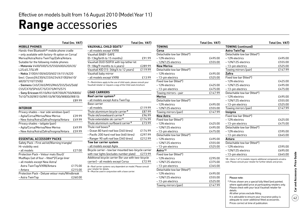## **Range** accessories

#### **MOBILE PHONES**

Hands-free Bluetooth® mobile phone cradle – only available with factory-fit option on Corsa/ Meriva/Astra/Astra TwinTop/Zafira/Antara. Suitable for the following mobile phones: – Motorola V400/500/525/550/600/620/635/ L2/L6/L7/SLVR – Nokia 3100/6100/6020/6021/6151/6220 (excl. Classic)/6230/6233/6234/6310(i)/6610/ 6820/7210/7250(i) – Siemens C65/CX65/M55/M65/S55/S65/S68/ C55/CX70/SP65/C75/CX75/M75/S75

– Sony Ericsson K510i/K610i/K700i/K750i/K800i/ T610/T630/W310i/W510i/W700i/W800i/W810i £89.99

| <b>INTERIOR</b>                               |         |
|-----------------------------------------------|---------|
| Privacy shades – rear side windows (pair)     |         |
| – Agila/Corsa/Meriva/New Meriva               | £39.99  |
| – New Astra/Astra/Zafira/Insignia/Antara      | £49.99  |
| Privacy shades - tailgate (pair)              |         |
| – Agila/Corsa/Meriva/New Meriva               | £49.99  |
| – New Astra/Astra/Zafira/Insignia/Antara      | £59.99  |
|                                               |         |
| <b>ESSENTIAL ACCESSORY PACKS</b>              |         |
| Safety Pack - First aid kit/Warning triangle/ |         |
| Hi-visibility vest                            |         |
| - all models                                  | £27.00  |
| Protection Pack - Velour mats (four)/         |         |
| Mudflaps (set of four – fitted*)/Cargo liner  |         |
| – all models except New Astra/                |         |
| Astra TwinTop/VXR8/Antara                     | £175.00 |
| – Antara                                      | £215.00 |

Protection Pack – Deluxe velour mats/Windbreak – Astra TwinTop £260.00

| – all models except VXR8                                                                                                                  |         |
|-------------------------------------------------------------------------------------------------------------------------------------------|---------|
| Vauxhall BABY-SAFF                                                                                                                        |         |
| (0-13kg/birth to 15 months)                                                                                                               | £91.99  |
| Vauxhall DUO ISOFIX with top tether kit                                                                                                   |         |
| (9-18kg/9 months to 4 years)                                                                                                              | £289.99 |
| Vauxhall KID (15-36kg/4 to 12 years)                                                                                                      | £119.99 |
| Vauxhall baby mirror                                                                                                                      |         |
| - all models except VXR8                                                                                                                  | £13.99  |
| 7 = Restrictions apply to the use of child seats, please consult your<br>Vauxhall retailer or request a copy of the Child seats brochure. |         |
| <b>LOAD CARRIERS</b>                                                                                                                      |         |
| Roof carrier system <sup>8</sup>                                                                                                          |         |
| - all models except Astra TwinTop                                                                                                         |         |
| Base carrier                                                                                                                              |         |
| - all models                                                                                                                              | £119.99 |
| Thule aluminium bicycle carrier <sup>9</sup>                                                                                              | £87.99  |
| Thule ski/snowboard carrier <sup>9</sup>                                                                                                  | £96.99  |
| Thule extendable ski carrier <sup>9</sup>                                                                                                 | £174.99 |
| Thule aluminium surfboard carrier <sup>9</sup>                                                                                            | £73.99  |
| Thule roof boxes <sup>9</sup>                                                                                                             |         |
| - Ocean 80 hard roof box (340 litres)                                                                                                     | £174.99 |
| – Pacific 200 hard roof box (460 litres)                                                                                                  | £297.99 |
| - Ranger 90 soft roof box (340 litres)                                                                                                    | £212.99 |
| Tow bar carrier system                                                                                                                    |         |
| – all models except Agila                                                                                                                 |         |
| Bicycle carrier - tow bar mounted two-bicycle carrier                                                                                     |         |
| with rear lights (excludes number plate)                                                                                                  | £273.99 |
| Additional bicycle carrier (for use with two-bicycle                                                                                      |         |
| carrier) - all models except Corsa                                                                                                        | £72.99  |
| 8 = Roof carrier systems vary dependent on model. Please consult                                                                          |         |

| Total (inc. VAT) |                                                                                    | <b>Total (inc. VAT)</b> |                              | <b>Total (inc. VAT)</b> |                                                                                                                | <b>Total (inc. VAT)</b> |
|------------------|------------------------------------------------------------------------------------|-------------------------|------------------------------|-------------------------|----------------------------------------------------------------------------------------------------------------|-------------------------|
|                  | <b>VAUXHALL CHILD SEATS7</b>                                                       |                         | <b>TOWING</b>                |                         | <b>TOWING</b> (continued)                                                                                      |                         |
| ne cradle        | - all models except VXR8                                                           |                         | Corsa                        |                         | <b>Astra TwinTop</b>                                                                                           |                         |
| on on Corsa/     | Vauxhall BABY-SAFE                                                                 |                         | Detachable tow bar (fitted*) |                         | Detachable tow bar (fitted*)                                                                                   |                         |
| /Antara.         | (0-13kg/birth to 15 months)                                                        | £91.99                  | -12N electrics               | £495.00                 | -12N electrics                                                                                                 | £495.00                 |
| ones:            | Vauxhall DUO ISOFIX with top tether kit                                            |                         | -12N/12S electrics           | £555.00                 | -12N/12S electrics                                                                                             | £555.00                 |
| 0/620/635/       | (9-18kg/9 months to 4 years)                                                       | £289.99                 | <b>New Meriva</b>            |                         | - 13-pin electrics                                                                                             | £525.00                 |
|                  | Vauxhall KID (15-36kg/4 to 12 years)                                               | £119.99                 | Detachable tow bar (fitted*) |                         | Towing mirrors (pair)                                                                                          | £147.99                 |
| 51/6220          | Vauxhall baby mirror                                                               |                         | -12N electrics               | £495.00                 | Zafira                                                                                                         |                         |
| 10(i)/6610/      | - all models except VXR8                                                           | £13.99                  | - 13-pin electrics           | £525.00                 | Fixed tow bar (fitted*)                                                                                        |                         |
|                  | 7 = Restrictions apply to the use of child seats, please consult your              |                         | Fixed tow bar (fitted*)      |                         | -12N electrics                                                                                                 | £425.00                 |
| 55/S65/S68/      | Vauxhall retailer or request a copy of the Child seats brochure.                   |                         | -12N electrics               | £425.00                 | -12N/12S electrics                                                                                             | £495.00                 |
| 575              |                                                                                    |                         | -13-pin electrics            | £475.00                 | - 13-pin electrics                                                                                             | £475.00                 |
| )i/K750i/K800i/  | <b>LOAD CARRIERS</b>                                                               |                         | Towing mirrors - pair        | £147.99                 | Detachable tow bar (fitted*)                                                                                   |                         |
| W800i/W810i      | Roof carrier system <sup>8</sup>                                                   |                         | <b>Meriva</b>                |                         | -12N electrics                                                                                                 | £495.00                 |
| £89.99           | - all models except Astra TwinTop                                                  |                         | Detachable tow bar (fitted*) |                         | -12N/12S electrics                                                                                             | £555.00                 |
|                  | Base carrier                                                                       |                         | -12N electrics               | £495.00                 | - 13-pin electrics                                                                                             | £525.00                 |
|                  | - all models                                                                       | £119.99                 | - 12N/12S electrics          | £555.00                 | Towing mirrors (pair)                                                                                          | £147.99                 |
| (pair)           | Thule aluminium bicycle carrier <sup>9</sup>                                       | £87.99                  | Towing mirrors (pair)        | £147.99                 | Insignia                                                                                                       |                         |
| £39.99           | Thule ski/snowboard carrier <sup>9</sup>                                           | £96.99                  | <b>New Astra</b>             |                         | Fixed tow bar (fitted*)                                                                                        |                         |
| £49.99<br>ntara  | Thule extendable ski carrier <sup>9</sup>                                          | £174.99                 | Fixed tow bar (fitted*)      |                         | -12N electrics                                                                                                 | £425.00                 |
|                  | Thule aluminium surfboard carrier <sup>9</sup>                                     | £73.99                  | -12N electrics               | £425.00                 | - 13-pin electrics                                                                                             | £475.00                 |
| £49.99           | Thule roof boxes <sup>9</sup>                                                      |                         | -12N/12S electrics           | £495.00                 | Detachable tow bar (fitted*)                                                                                   |                         |
| £59.99<br>ntara. | - Ocean 80 hard roof box (340 litres)                                              | £174.99                 | - 13-pin electrics           | £475.00                 | -12N electrics                                                                                                 | £595.00                 |
|                  | - Pacific 200 hard roof box (460 litres)                                           | £297.99                 | Detachable tow bar (fitted*) |                         | - 13-pin electrics                                                                                             | £645.00                 |
|                  | - Ranger 90 soft roof box (340 litres)                                             | £212.99                 | -12N electrics               | £495.00                 | Antara                                                                                                         |                         |
| riangle/         | Tow bar carrier system                                                             |                         | -12N/12S electrics           | £555.00                 | Detachable tow bar (fitted*)                                                                                   |                         |
|                  | - all models except Agila                                                          |                         | -13-pin electrics            | £525.00                 | -12N electrics                                                                                                 | £595.00                 |
| £27.00           | Bicycle carrier - tow bar mounted two-bicycle carrier                              |                         | Astra <sup>10</sup>          |                         | -12N/12S electrics                                                                                             | £695.00                 |
| $\mathcal{U}$    | with rear lights (excludes number plate)                                           | £273.99                 | Fixed tow bar (fitted*)      |                         | -13-pin electrics                                                                                              | £645.00                 |
| o liner          | Additional bicycle carrier (for use with two-bicycle                               |                         | -12N electrics               | £295.00                 | 10 = Astra 1.4/1.6 models require additional components at extra                                               |                         |
|                  | carrier) - all models except Corsa                                                 | £72.99                  | -12N/12S electrics           | £375.00                 | cost. Please consult your retailer for further details and prices.                                             |                         |
| £175.00          | 8 = Roof carrier systems vary dependent on model. Please consult                   |                         | -13-pin electrics            | £345.00                 |                                                                                                                |                         |
| £215.00          | your retailer for details.<br>9 = Must be used in conjunction with a base carrier. |                         | Detachable tow bar (fitted*) |                         |                                                                                                                |                         |
| ts/Windbreak     |                                                                                    |                         | -12N electrics               | £495.00                 |                                                                                                                |                         |
| £260.00          |                                                                                    |                         | - 12N/12S electrics          | £555.00                 | Please note:                                                                                                   |                         |
|                  |                                                                                    |                         | - 13-pin electrics           | £525.00                 | * Prices shown are a special fully fitted (and painted,                                                        |                         |
|                  |                                                                                    |                         | Towing mirrors (pair)        | £147.99                 | where applicable) price at participating retailers only.<br>Please check with your local Vauxhall retailer for |                         |

details.

All other prices exclude fitting.

 It is advisable to ensure your insurance policy is adequate to cover additional fitted accessories. Prices correct at time of publication.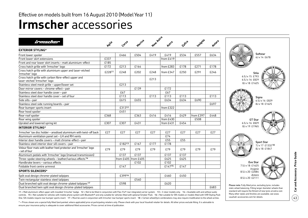## **Irmscher** accessories

| irmsdier                                                                                                                                                                                                                                                                                                                                                                                                                                                                                                                                                                                                                                                                 | Agila  | Corsa  | Meriya              | New Astra |           | Zatira | Insignia  | Antara |
|--------------------------------------------------------------------------------------------------------------------------------------------------------------------------------------------------------------------------------------------------------------------------------------------------------------------------------------------------------------------------------------------------------------------------------------------------------------------------------------------------------------------------------------------------------------------------------------------------------------------------------------------------------------------------|--------|--------|---------------------|-----------|-----------|--------|-----------|--------|
|                                                                                                                                                                                                                                                                                                                                                                                                                                                                                                                                                                                                                                                                          |        |        |                     |           |           |        |           |        |
| <b>EXTERIOR STYLING*</b>                                                                                                                                                                                                                                                                                                                                                                                                                                                                                                                                                                                                                                                 |        |        |                     |           |           |        |           |        |
| Front lower spoiler                                                                                                                                                                                                                                                                                                                                                                                                                                                                                                                                                                                                                                                      |        | £466   | £504                | £419      | £419      | £534   | £557      | £634   |
| Front lower skirt extensions                                                                                                                                                                                                                                                                                                                                                                                                                                                                                                                                                                                                                                             | £337   |        |                     |           | from £419 |        |           |        |
| Front and rear lower skirt inserts – matt aluminium-effect                                                                                                                                                                                                                                                                                                                                                                                                                                                                                                                                                                                                               | £185   |        |                     |           |           |        |           |        |
| Cross hatch grille with 'Irmscher' logo                                                                                                                                                                                                                                                                                                                                                                                                                                                                                                                                                                                                                                  | £172   | £213   | £164                |           | from £283 | £178   | £271      | £178   |
| Cross hatch grille with aluminium upper and laser-etched<br>'Irmscher' logo                                                                                                                                                                                                                                                                                                                                                                                                                                                                                                                                                                                              | £22811 | £248   | £202                | £248      | from £347 | £250   | £291      | £246   |
| Cross hatch grille with carbon fibre-effect upper and<br>laser-etched 'Irmscher' logo                                                                                                                                                                                                                                                                                                                                                                                                                                                                                                                                                                                    |        |        |                     | £213      |           |        |           |        |
| Stainless steel mesh grille - upper/lower set                                                                                                                                                                                                                                                                                                                                                                                                                                                                                                                                                                                                                            |        | £213   |                     |           |           |        |           |        |
| Door mirror covers - chrome-effect - pair                                                                                                                                                                                                                                                                                                                                                                                                                                                                                                                                                                                                                                |        |        | £139                |           | £172      |        |           |        |
| Stainless steel door handle cover - pair                                                                                                                                                                                                                                                                                                                                                                                                                                                                                                                                                                                                                                 |        | £67    |                     |           | £67       |        |           |        |
| Stainless steel door handle cover - set of four                                                                                                                                                                                                                                                                                                                                                                                                                                                                                                                                                                                                                          |        | £113   |                     | £113      | £113      | £113   |           | £113   |
| Side sills - pair                                                                                                                                                                                                                                                                                                                                                                                                                                                                                                                                                                                                                                                        |        | £615   | £655                |           | £634      | £634   | £690      |        |
| Stainless steel side running boards - pair                                                                                                                                                                                                                                                                                                                                                                                                                                                                                                                                                                                                                               |        |        |                     |           |           |        |           | £697   |
| Rear bumper sports insert                                                                                                                                                                                                                                                                                                                                                                                                                                                                                                                                                                                                                                                |        | £31312 |                     |           | from £322 |        |           |        |
| Rear hood spoiler                                                                                                                                                                                                                                                                                                                                                                                                                                                                                                                                                                                                                                                        |        | £451   |                     |           |           |        |           |        |
| Rear roof spoiler                                                                                                                                                                                                                                                                                                                                                                                                                                                                                                                                                                                                                                                        | £368   |        | £363                | £416      | £416      | £429   | from £397 | £448   |
| Rear wing spoiler                                                                                                                                                                                                                                                                                                                                                                                                                                                                                                                                                                                                                                                        |        |        |                     |           | from £430 |        | £508      |        |
| Uprated and lowered spring kit                                                                                                                                                                                                                                                                                                                                                                                                                                                                                                                                                                                                                                           | £307   | £307   | £431                |           | from £431 | £454   |           |        |
| <b>INTERIOR STYLING*</b>                                                                                                                                                                                                                                                                                                                                                                                                                                                                                                                                                                                                                                                 |        |        |                     |           |           |        |           |        |
| 'Irmscher' tax disc holder – anodised aluminium with twist-off back                                                                                                                                                                                                                                                                                                                                                                                                                                                                                                                                                                                                      | £27    | £27    | £27                 | £27       | £27       | £27    | £27       | £27    |
| Aluminium ventilation panel set - LH and RH vents                                                                                                                                                                                                                                                                                                                                                                                                                                                                                                                                                                                                                        |        |        |                     |           | £74       |        |           |        |
| Interior door handle covers - matt chrome-effect - pair                                                                                                                                                                                                                                                                                                                                                                                                                                                                                                                                                                                                                  |        |        |                     |           | £55       | £55    |           |        |
| Stainless steel interior door sill covers - pair                                                                                                                                                                                                                                                                                                                                                                                                                                                                                                                                                                                                                         |        | £18213 | £167                | £177      | £178      |        |           |        |
| Velour floor mats with leather heel protector and 'Irmscher' logo<br>– set of four                                                                                                                                                                                                                                                                                                                                                                                                                                                                                                                                                                                       | £79    | £79    | £79                 | £79       | £79       | £79    | £79       | £79    |
| Aluminium pedals with 'Irmscher' logo (manual transmission)                                                                                                                                                                                                                                                                                                                                                                                                                                                                                                                                                                                                              |        | £137   | £137                |           | £137      | £137   |           |        |
| Three-spoke steering wheels - leather/various effects <sup>14</sup>                                                                                                                                                                                                                                                                                                                                                                                                                                                                                                                                                                                                      |        |        | from £405 from £405 |           | £625      | £625   |           |        |
| Handbrake levers - various effects                                                                                                                                                                                                                                                                                                                                                                                                                                                                                                                                                                                                                                       |        |        | £102                |           | £102      |        |           |        |
| Foldable front centre armrest                                                                                                                                                                                                                                                                                                                                                                                                                                                                                                                                                                                                                                            |        | £147   |                     |           | £14715    | £147   |           |        |
| <b>SPORTS SILENCERS*</b>                                                                                                                                                                                                                                                                                                                                                                                                                                                                                                                                                                                                                                                 |        |        |                     |           |           |        |           |        |
| Split oval design chrome-plated tailpipes                                                                                                                                                                                                                                                                                                                                                                                                                                                                                                                                                                                                                                |        | £39916 |                     |           | £460      | £450   |           |        |
| Twin rectangular stainless steel tailpipes                                                                                                                                                                                                                                                                                                                                                                                                                                                                                                                                                                                                                               |        |        | £540                |           |           |        |           |        |
| Dual branched split oval design chrome-plated tailpipes <sup>17</sup>                                                                                                                                                                                                                                                                                                                                                                                                                                                                                                                                                                                                    |        | £598   |                     |           | £620      |        |           |        |
| Dual branched twin split oval design chrome-plated tailpipes                                                                                                                                                                                                                                                                                                                                                                                                                                                                                                                                                                                                             |        |        |                     |           |           |        |           | £683   |
| 11 = Matt aluminium-effect upper with moulded 'Irmscher' badge. 12 = Not to be fitted in conjunction with Flex-Fix® rear integrated carrier system. 13 = 3-door models only. 14 = Available with and without audio<br>controls. 15 = Not suitable for vehicles with mobile phone system with Bluetooth® and only suitable for vehicles fitted with optional Smoker Pack. 16 = Not suitable for SRi models or models fitted with VXR Styling Pack<br>One. SXi models require rear bumper sports insert. 17 = Must be used in conjunction with Irmscher rear bumper sports insert. 18 = Certain wheel/tyre combinations may also require modification to the wheel arches. |        |        |                     |           |           |        |           |        |

\* = Prices shown are a special fully fitted (and painted, where applicable) price at participating retailers only. Please check with your local Vauxhall retailer for details. All other prices exclude fitting. It is advisab ensure your insurance policy is adequate to cover additional fitted accessories. Prices correct at time of publication.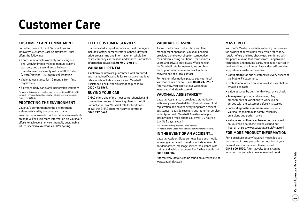## **Customer Care**

### **Customer Care Commitment**

For added peace of mind, Vauxhall has an innovative Customer Care Commitment\* that offers the following:

- Three-year vehicle warranty consisting of a one-year/unlimited mileage manufacturer's warranty and a second and third year manufacturer's warranty with a 60,000 miles (Vivaro/Movano 100,000 miles) limitation
- Vauxhall Assistance for 12 months from first registration
- Six years' body panel anti-perforation warranty
- \* = Warranty is only on vehicles sourced from General Motors UK Limited. Terms and conditions apply – please see your Vauxhall retailer for details.

### **Protecting the environment**

Vauxhall's commitment to the environment is demonstrated by our products' many environmental awards. Further details are available on page 3. For even more information on Vauxhall's efforts to achieve an environmentally sustainable future, see www.vauxhall.co.uk/recycling

### **Fleet Customer Services**

Our dedicated support services for fleet managers includes factory demonstrators, a three-day test drive programme and information on whole life costs, company car taxation and finance. For further information please call **0870 010 0651.**

#### **Vauxhall Rental**

A nationwide network guarantees well prepared and maintained Vauxhalls for rental at competitive rates which include insurance and Vauxhall Assistance. For further information please call **0870 442 1567.**

#### **Buying your car**

GMAC offers one of the most comprehensive and competitive ranges of financing plans in the UK. Contact your local Vauxhall retailer for details or call the GMAC customer service centre on **0845 712 3444**.

### **Vauxhall Leasing**

As Vauxhall's own contract hire and fleet management operation, Vauxhall Leasing provides a one-stop-shop for competitive car and van leasing solutions – for business users and private individuals. Working with the Vauxhall retailer network, we combine the support of a national contract with the convenience of a local contact.

For further information, please see your local Vauxhall retailer or call us on **0870 737 2557.** Alternatively, you can visit our website at www.vauxhall-leasing.co.uk

### **Vauxhall Assistance\*\***

Vauxhall Assistance is provided automatically with every new Vauxhall for 12 months from first registration and covers everything from accident assistance, roadside recovery and 'at home' service to flat tyres. With Vauxhall Assistance help is literally just a free† phone call away, 24 hours a day, 365 days a year!

- \*\* = Conditions may apply to Combi models.
- † = Mobile phone users will be charged at their standard tariff.

### **In the event of an accident...**

Vauxhall Accident Support helps keep you mobile following an accident. Benefits include scene-ofaccident advice, message service, assistance with claims and vehicle recovery. For further details call **0800 010 304.**

Alternatively, details can be found on our website at www.vauxhall.co.uk

### **MasterFit**

Vauxhall's MasterFit retailers offer a great service for owners of all Vauxhall cars. Value for money, regular offers and free check-ups, combined with the peace of mind that comes from using trained technicians and genuine parts, help keep your car in peak condition at all times. Every MasterFit retailer supports our customer promise:

- Convenience for our customers in every aspect of the MasterFit experience
- Professional advice on what work is essential and what is desirable
- Value assured by our monthly local price check
- Transparent pricing and invoicing. Any amendments or variations to work will be agreed with the customer before it is started
- Latest diagnostic equipment used on your Vauxhall to maintain its safety, reliability, emissions and performance
- Vehicle and software enhancements advised on Vauxhall's database will be carried out free-of-charge, www.vauxhall.co.uk/masterfit

### **For more product information**

For a brochure on any Vauxhall model (up to a maximum of three per caller) or location of your nearest Vauxhall retailer please Lo-call **0845 600 1500.** Alternatively, details can be found on our website at www.vauxhall.co.uk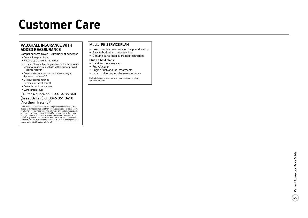## **Customer Care**

### **Vauxhall I n s u ran ce with added reass u ran c e**

Comprehensive cover – Summary of benefits\*

- Competitive premiums
- Repairs by a Vauxhall technician
- Genuine Vauxhall parts, guaranteed for three years when we repair your vehicle within our Approved Repairer Network
- Free courtesy car as standard when using an Approved Repairer\*\*
- 24 hour claims helpline
- Personal accident benefit
- Cover for audio equipment
- Windscreen cover

#### Call for a quote on 0844 84 85 840 (Great Britain) or 0845 351 3410 (Northern Ireland) †

\* The benefits listed above are for comprehensive cover only. For details of third party, fire and theft cover, please call our sales team. \*\* Should your car need repairing following an accident, we provide a courtesy car (subject to availability) for the duration of the repair. Only genuine Vauxhall parts are used. Terms and conditions apply. † Calls may be recorded. Vauxhall Motor Insurance is underwritten and administered by Provident Insurance plc (Great Britain) and AXA Insurance Limited (Northern Ireland).

#### **Master Fit Serv i ce Plan**

- Fixed monthly payments for the plan duration
- Easy to budget and interest-free
- Genuine parts fitted by trained technicians

#### **Plus on Gold plans:**

- Valet and courtesy car
- Full AA cover
- Engine flush and fuel treatments
- Litre of oil for top ups between services

Full details can be obtained from your local participating Vauxhall retailer.